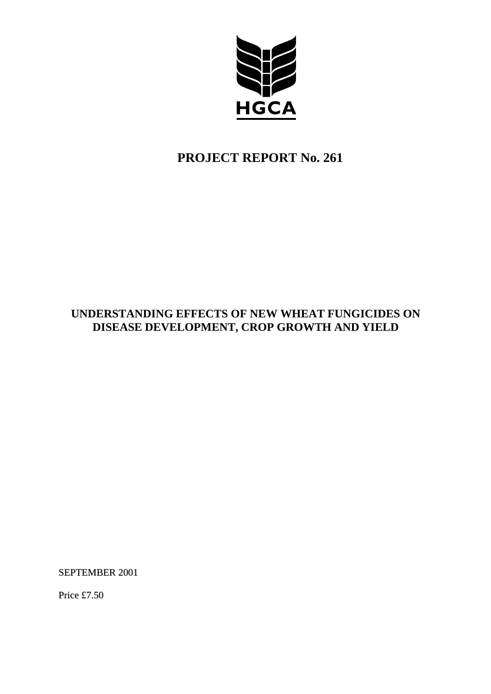

# **PROJECT REPORT No. 261**

# **UNDERSTANDING EFFECTS OF NEW WHEAT FUNGICIDES ON DISEASE DEVELOPMENT, CROP GROWTH AND YIELD**

SEPTEMBER 2001

Price £7.50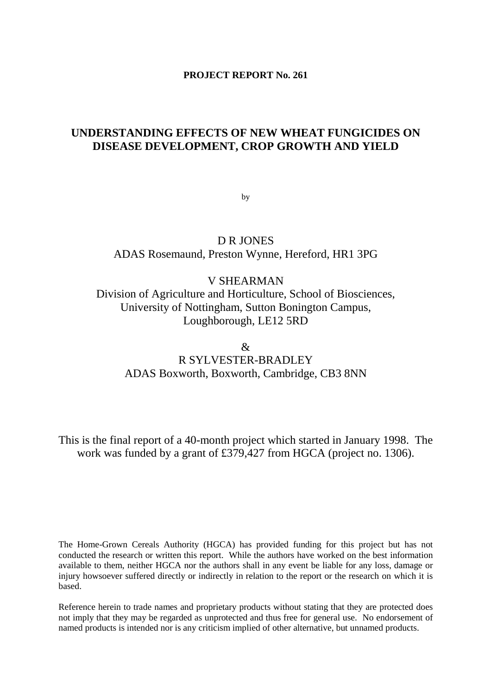#### **PROJECT REPORT No. 261**

# **UNDERSTANDING EFFECTS OF NEW WHEAT FUNGICIDES ON DISEASE DEVELOPMENT, CROP GROWTH AND YIELD**

by

D R JONES ADAS Rosemaund, Preston Wynne, Hereford, HR1 3PG

V SHEARMAN Division of Agriculture and Horticulture, School of Biosciences, University of Nottingham, Sutton Bonington Campus, Loughborough, LE12 5RD

& R SYLVESTER-BRADLEY ADAS Boxworth, Boxworth, Cambridge, CB3 8NN

This is the final report of a 40-month project which started in January 1998. The work was funded by a grant of £379,427 from HGCA (project no. 1306).

The Home-Grown Cereals Authority (HGCA) has provided funding for this project but has not conducted the research or written this report. While the authors have worked on the best information available to them, neither HGCA nor the authors shall in any event be liable for any loss, damage or injury howsoever suffered directly or indirectly in relation to the report or the research on which it is based.

Reference herein to trade names and proprietary products without stating that they are protected does not imply that they may be regarded as unprotected and thus free for general use. No endorsement of named products is intended nor is any criticism implied of other alternative, but unnamed products.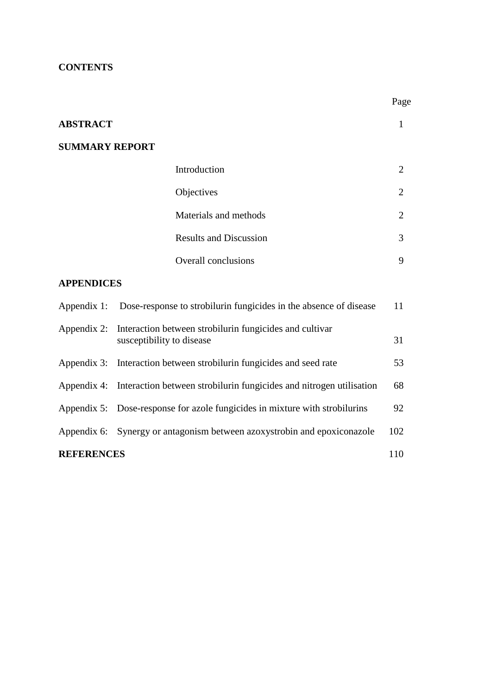# **CONTENTS**

|                       |                                                                                      | Page           |
|-----------------------|--------------------------------------------------------------------------------------|----------------|
| <b>ABSTRACT</b>       |                                                                                      | 1              |
| <b>SUMMARY REPORT</b> |                                                                                      |                |
|                       | Introduction                                                                         | $\overline{2}$ |
|                       | Objectives                                                                           | $\overline{2}$ |
|                       | Materials and methods                                                                | $\overline{2}$ |
|                       | <b>Results and Discussion</b>                                                        | 3              |
|                       | <b>Overall conclusions</b>                                                           | 9              |
| <b>APPENDICES</b>     |                                                                                      |                |
| Appendix 1:           | Dose-response to strobilurin fungicides in the absence of disease                    | 11             |
| Appendix 2:           | Interaction between strobilurin fungicides and cultivar<br>susceptibility to disease | 31             |
| Appendix 3:           | Interaction between strobilurin fungicides and seed rate                             | 53             |
| Appendix 4:           | Interaction between strobilurin fungicides and nitrogen utilisation                  | 68             |
| Appendix 5:           | Dose-response for azole fungicides in mixture with strobilurins                      | 92             |
| Appendix 6:           | Synergy or antagonism between azoxystrobin and epoxiconazole                         | 102            |
| <b>REFERENCES</b>     |                                                                                      | 110            |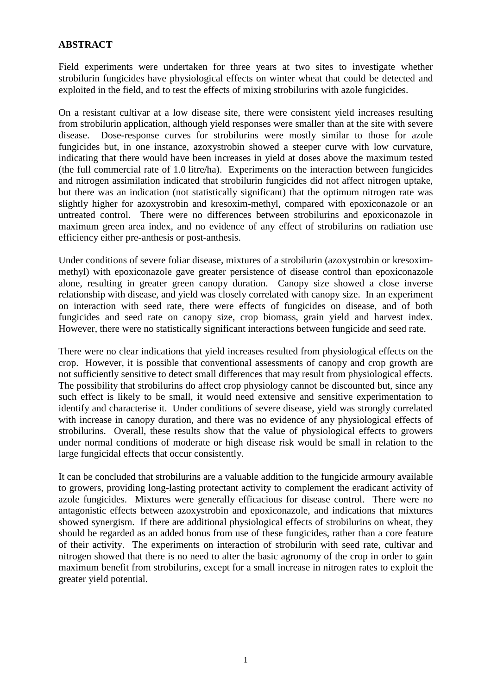# **ABSTRACT**

Field experiments were undertaken for three years at two sites to investigate whether strobilurin fungicides have physiological effects on winter wheat that could be detected and exploited in the field, and to test the effects of mixing strobilurins with azole fungicides.

On a resistant cultivar at a low disease site, there were consistent yield increases resulting from strobilurin application, although yield responses were smaller than at the site with severe disease. Dose-response curves for strobilurins were mostly similar to those for azole fungicides but, in one instance, azoxystrobin showed a steeper curve with low curvature, indicating that there would have been increases in yield at doses above the maximum tested (the full commercial rate of 1.0 litre/ha). Experiments on the interaction between fungicides and nitrogen assimilation indicated that strobilurin fungicides did not affect nitrogen uptake, but there was an indication (not statistically significant) that the optimum nitrogen rate was slightly higher for azoxystrobin and kresoxim-methyl, compared with epoxiconazole or an untreated control. There were no differences between strobilurins and epoxiconazole in maximum green area index, and no evidence of any effect of strobilurins on radiation use efficiency either pre-anthesis or post-anthesis.

Under conditions of severe foliar disease, mixtures of a strobilurin (azoxystrobin or kresoximmethyl) with epoxiconazole gave greater persistence of disease control than epoxiconazole alone, resulting in greater green canopy duration. Canopy size showed a close inverse relationship with disease, and yield was closely correlated with canopy size. In an experiment on interaction with seed rate, there were effects of fungicides on disease, and of both fungicides and seed rate on canopy size, crop biomass, grain yield and harvest index. However, there were no statistically significant interactions between fungicide and seed rate.

There were no clear indications that yield increases resulted from physiological effects on the crop. However, it is possible that conventional assessments of canopy and crop growth are not sufficiently sensitive to detect small differences that may result from physiological effects. The possibility that strobilurins do affect crop physiology cannot be discounted but, since any such effect is likely to be small, it would need extensive and sensitive experimentation to identify and characterise it. Under conditions of severe disease, yield was strongly correlated with increase in canopy duration, and there was no evidence of any physiological effects of strobilurins. Overall, these results show that the value of physiological effects to growers under normal conditions of moderate or high disease risk would be small in relation to the large fungicidal effects that occur consistently.

It can be concluded that strobilurins are a valuable addition to the fungicide armoury available to growers, providing long-lasting protectant activity to complement the eradicant activity of azole fungicides. Mixtures were generally efficacious for disease control. There were no antagonistic effects between azoxystrobin and epoxiconazole, and indications that mixtures showed synergism. If there are additional physiological effects of strobilurins on wheat, they should be regarded as an added bonus from use of these fungicides, rather than a core feature of their activity. The experiments on interaction of strobilurin with seed rate, cultivar and nitrogen showed that there is no need to alter the basic agronomy of the crop in order to gain maximum benefit from strobilurins, except for a small increase in nitrogen rates to exploit the greater yield potential.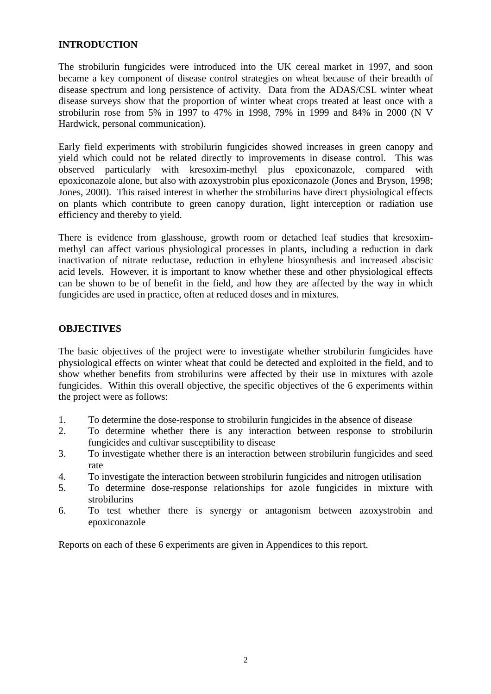### **INTRODUCTION**

The strobilurin fungicides were introduced into the UK cereal market in 1997, and soon became a key component of disease control strategies on wheat because of their breadth of disease spectrum and long persistence of activity. Data from the ADAS/CSL winter wheat disease surveys show that the proportion of winter wheat crops treated at least once with a strobilurin rose from 5% in 1997 to 47% in 1998, 79% in 1999 and 84% in 2000 (N V Hardwick, personal communication).

Early field experiments with strobilurin fungicides showed increases in green canopy and yield which could not be related directly to improvements in disease control. This was observed particularly with kresoxim-methyl plus epoxiconazole, compared with epoxiconazole alone, but also with azoxystrobin plus epoxiconazole (Jones and Bryson, 1998; Jones, 2000). This raised interest in whether the strobilurins have direct physiological effects on plants which contribute to green canopy duration, light interception or radiation use efficiency and thereby to yield.

There is evidence from glasshouse, growth room or detached leaf studies that kresoximmethyl can affect various physiological processes in plants, including a reduction in dark inactivation of nitrate reductase, reduction in ethylene biosynthesis and increased abscisic acid levels. However, it is important to know whether these and other physiological effects can be shown to be of benefit in the field, and how they are affected by the way in which fungicides are used in practice, often at reduced doses and in mixtures.

### **OBJECTIVES**

The basic objectives of the project were to investigate whether strobilurin fungicides have physiological effects on winter wheat that could be detected and exploited in the field, and to show whether benefits from strobilurins were affected by their use in mixtures with azole fungicides. Within this overall objective, the specific objectives of the 6 experiments within the project were as follows:

- 1. To determine the dose-response to strobilurin fungicides in the absence of disease
- 2. To determine whether there is any interaction between response to strobilurin fungicides and cultivar susceptibility to disease
- 3. To investigate whether there is an interaction between strobilurin fungicides and seed rate
- 4. To investigate the interaction between strobilurin fungicides and nitrogen utilisation
- 5. To determine dose-response relationships for azole fungicides in mixture with strobilurins
- 6. To test whether there is synergy or antagonism between azoxystrobin and epoxiconazole

Reports on each of these 6 experiments are given in Appendices to this report.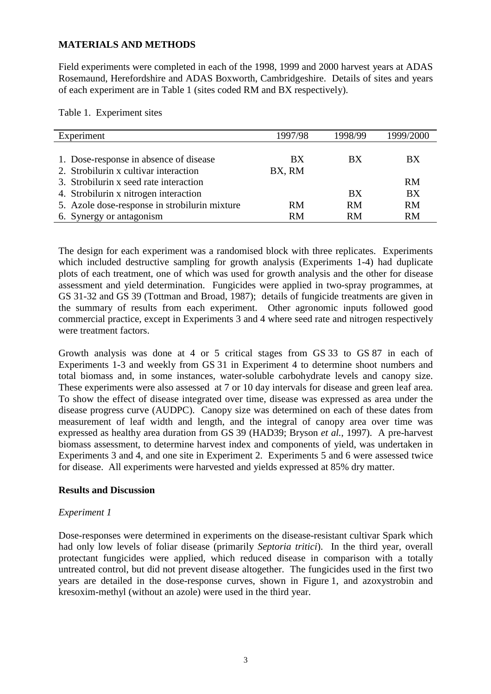### **MATERIALS AND METHODS**

Field experiments were completed in each of the 1998, 1999 and 2000 harvest years at ADAS Rosemaund, Herefordshire and ADAS Boxworth, Cambridgeshire. Details of sites and years of each experiment are in Table 1 (sites coded RM and BX respectively).

Table 1. Experiment sites

| Experiment                                    | 1997/98   | 1998/99   | 1999/2000 |
|-----------------------------------------------|-----------|-----------|-----------|
|                                               |           |           |           |
| 1. Dose-response in absence of disease        | BX        | BX        | BX.       |
| 2. Strobilurin x cultivar interaction         | BX, RM    |           |           |
| 3. Strobilurin x seed rate interaction        |           |           | <b>RM</b> |
| 4. Strobilurin x nitrogen interaction         |           | <b>BX</b> | <b>BX</b> |
| 5. Azole dose-response in strobilurin mixture | <b>RM</b> | RM        | <b>RM</b> |
| 6. Synergy or antagonism                      | <b>RM</b> | <b>RM</b> | <b>RM</b> |

The design for each experiment was a randomised block with three replicates. Experiments which included destructive sampling for growth analysis (Experiments 1-4) had duplicate plots of each treatment, one of which was used for growth analysis and the other for disease assessment and yield determination. Fungicides were applied in two-spray programmes, at GS 31-32 and GS 39 (Tottman and Broad, 1987); details of fungicide treatments are given in the summary of results from each experiment. Other agronomic inputs followed good commercial practice, except in Experiments 3 and 4 where seed rate and nitrogen respectively were treatment factors.

Growth analysis was done at 4 or 5 critical stages from GS 33 to GS 87 in each of Experiments 1-3 and weekly from GS 31 in Experiment 4 to determine shoot numbers and total biomass and, in some instances, water-soluble carbohydrate levels and canopy size. These experiments were also assessed at 7 or 10 day intervals for disease and green leaf area. To show the effect of disease integrated over time, disease was expressed as area under the disease progress curve (AUDPC). Canopy size was determined on each of these dates from measurement of leaf width and length, and the integral of canopy area over time was expressed as healthy area duration from GS 39 (HAD39; Bryson *et al.*, 1997). A pre-harvest biomass assessment, to determine harvest index and components of yield, was undertaken in Experiments 3 and 4, and one site in Experiment 2. Experiments 5 and 6 were assessed twice for disease. All experiments were harvested and yields expressed at 85% dry matter.

### **Results and Discussion**

### *Experiment 1*

Dose-responses were determined in experiments on the disease-resistant cultivar Spark which had only low levels of foliar disease (primarily *Septoria tritici*). In the third year, overall protectant fungicides were applied, which reduced disease in comparison with a totally untreated control, but did not prevent disease altogether. The fungicides used in the first two years are detailed in the dose-response curves, shown in Figure 1, and azoxystrobin and kresoxim-methyl (without an azole) were used in the third year.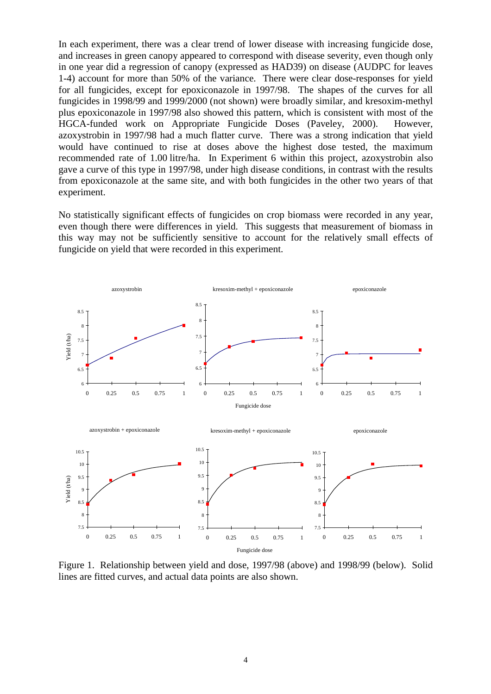In each experiment, there was a clear trend of lower disease with increasing fungicide dose, and increases in green canopy appeared to correspond with disease severity, even though only in one year did a regression of canopy (expressed as HAD39) on disease (AUDPC for leaves 1-4) account for more than 50% of the variance. There were clear dose-responses for yield for all fungicides, except for epoxiconazole in 1997/98. The shapes of the curves for all fungicides in 1998/99 and 1999/2000 (not shown) were broadly similar, and kresoxim-methyl plus epoxiconazole in 1997/98 also showed this pattern, which is consistent with most of the HGCA-funded work on Appropriate Fungicide Doses (Paveley, 2000). However, azoxystrobin in 1997/98 had a much flatter curve. There was a strong indication that yield would have continued to rise at doses above the highest dose tested, the maximum recommended rate of 1.00 litre/ha. In Experiment 6 within this project, azoxystrobin also gave a curve of this type in 1997/98, under high disease conditions, in contrast with the results from epoxiconazole at the same site, and with both fungicides in the other two years of that experiment.

No statistically significant effects of fungicides on crop biomass were recorded in any year, even though there were differences in yield. This suggests that measurement of biomass in this way may not be sufficiently sensitive to account for the relatively small effects of fungicide on yield that were recorded in this experiment.



Figure 1. Relationship between yield and dose, 1997/98 (above) and 1998/99 (below). Solid lines are fitted curves, and actual data points are also shown.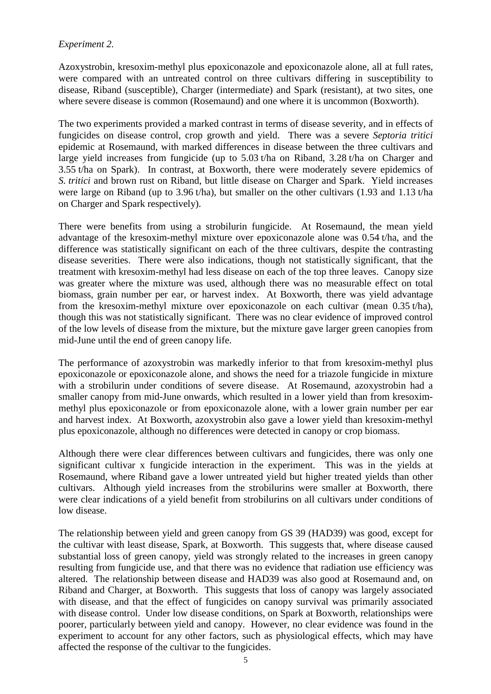# *Experiment 2.*

Azoxystrobin, kresoxim-methyl plus epoxiconazole and epoxiconazole alone, all at full rates, were compared with an untreated control on three cultivars differing in susceptibility to disease, Riband (susceptible), Charger (intermediate) and Spark (resistant), at two sites, one where severe disease is common (Rosemaund) and one where it is uncommon (Boxworth).

The two experiments provided a marked contrast in terms of disease severity, and in effects of fungicides on disease control, crop growth and yield. There was a severe *Septoria tritici* epidemic at Rosemaund, with marked differences in disease between the three cultivars and large yield increases from fungicide (up to 5.03 t/ha on Riband, 3.28 t/ha on Charger and 3.55 t/ha on Spark). In contrast, at Boxworth, there were moderately severe epidemics of *S. tritici* and brown rust on Riband, but little disease on Charger and Spark. Yield increases were large on Riband (up to 3.96 t/ha), but smaller on the other cultivars (1.93 and 1.13 t/ha on Charger and Spark respectively).

There were benefits from using a strobilurin fungicide. At Rosemaund, the mean yield advantage of the kresoxim-methyl mixture over epoxiconazole alone was 0.54 t/ha, and the difference was statistically significant on each of the three cultivars, despite the contrasting disease severities. There were also indications, though not statistically significant, that the treatment with kresoxim-methyl had less disease on each of the top three leaves. Canopy size was greater where the mixture was used, although there was no measurable effect on total biomass, grain number per ear, or harvest index. At Boxworth, there was yield advantage from the kresoxim-methyl mixture over epoxiconazole on each cultivar (mean 0.35 t/ha), though this was not statistically significant. There was no clear evidence of improved control of the low levels of disease from the mixture, but the mixture gave larger green canopies from mid-June until the end of green canopy life.

The performance of azoxystrobin was markedly inferior to that from kresoxim-methyl plus epoxiconazole or epoxiconazole alone, and shows the need for a triazole fungicide in mixture with a strobilurin under conditions of severe disease. At Rosemaund, azoxystrobin had a smaller canopy from mid-June onwards, which resulted in a lower yield than from kresoximmethyl plus epoxiconazole or from epoxiconazole alone, with a lower grain number per ear and harvest index. At Boxworth, azoxystrobin also gave a lower yield than kresoxim-methyl plus epoxiconazole, although no differences were detected in canopy or crop biomass.

Although there were clear differences between cultivars and fungicides, there was only one significant cultivar x fungicide interaction in the experiment. This was in the yields at Rosemaund, where Riband gave a lower untreated yield but higher treated yields than other cultivars. Although yield increases from the strobilurins were smaller at Boxworth, there were clear indications of a yield benefit from strobilurins on all cultivars under conditions of low disease.

The relationship between yield and green canopy from GS 39 (HAD39) was good, except for the cultivar with least disease, Spark, at Boxworth. This suggests that, where disease caused substantial loss of green canopy, yield was strongly related to the increases in green canopy resulting from fungicide use, and that there was no evidence that radiation use efficiency was altered. The relationship between disease and HAD39 was also good at Rosemaund and, on Riband and Charger, at Boxworth. This suggests that loss of canopy was largely associated with disease, and that the effect of fungicides on canopy survival was primarily associated with disease control. Under low disease conditions, on Spark at Boxworth, relationships were poorer, particularly between yield and canopy. However, no clear evidence was found in the experiment to account for any other factors, such as physiological effects, which may have affected the response of the cultivar to the fungicides.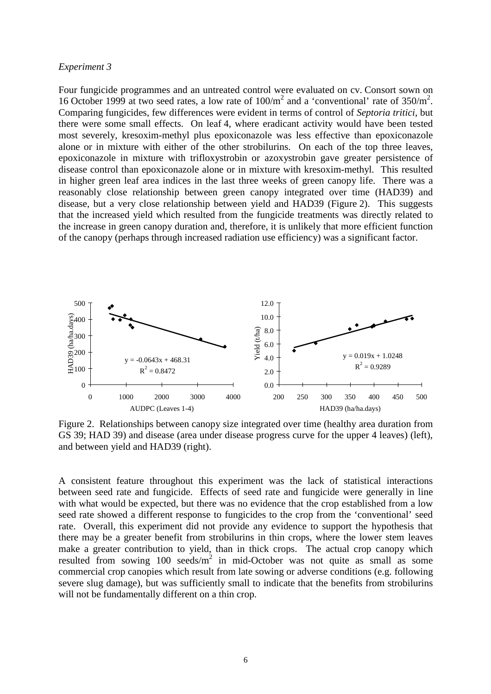#### *Experiment 3*

Four fungicide programmes and an untreated control were evaluated on cv. Consort sown on 16 October 1999 at two seed rates, a low rate of  $100/m^2$  and a 'conventional' rate of  $350/m^2$ . Comparing fungicides, few differences were evident in terms of control of *Septoria tritici*, but there were some small effects. On leaf 4, where eradicant activity would have been tested most severely, kresoxim-methyl plus epoxiconazole was less effective than epoxiconazole alone or in mixture with either of the other strobilurins. On each of the top three leaves, epoxiconazole in mixture with trifloxystrobin or azoxystrobin gave greater persistence of disease control than epoxiconazole alone or in mixture with kresoxim-methyl. This resulted in higher green leaf area indices in the last three weeks of green canopy life. There was a reasonably close relationship between green canopy integrated over time (HAD39) and disease, but a very close relationship between yield and HAD39 (Figure 2). This suggests that the increased yield which resulted from the fungicide treatments was directly related to the increase in green canopy duration and, therefore, it is unlikely that more efficient function of the canopy (perhaps through increased radiation use efficiency) was a significant factor.



Figure 2. Relationships between canopy size integrated over time (healthy area duration from GS 39; HAD 39) and disease (area under disease progress curve for the upper 4 leaves) (left), and between yield and HAD39 (right).

A consistent feature throughout this experiment was the lack of statistical interactions between seed rate and fungicide. Effects of seed rate and fungicide were generally in line with what would be expected, but there was no evidence that the crop established from a low seed rate showed a different response to fungicides to the crop from the 'conventional' seed rate. Overall, this experiment did not provide any evidence to support the hypothesis that there may be a greater benefit from strobilurins in thin crops, where the lower stem leaves make a greater contribution to yield, than in thick crops. The actual crop canopy which resulted from sowing  $100 \text{ seeds/m}^2$  in mid-October was not quite as small as some commercial crop canopies which result from late sowing or adverse conditions (e.g. following severe slug damage), but was sufficiently small to indicate that the benefits from strobilurins will not be fundamentally different on a thin crop.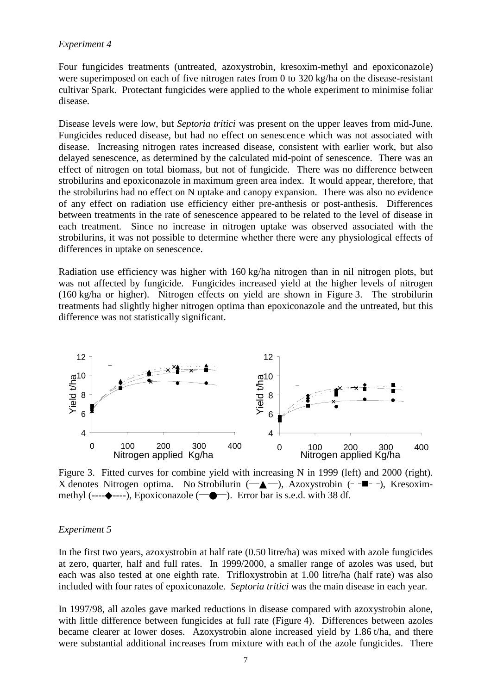#### *Experiment 4*

Four fungicides treatments (untreated, azoxystrobin, kresoxim-methyl and epoxiconazole) were superimposed on each of five nitrogen rates from 0 to 320 kg/ha on the disease-resistant cultivar Spark. Protectant fungicides were applied to the whole experiment to minimise foliar disease.

Disease levels were low, but *Septoria tritici* was present on the upper leaves from mid-June. Fungicides reduced disease, but had no effect on senescence which was not associated with disease. Increasing nitrogen rates increased disease, consistent with earlier work, but also delayed senescence, as determined by the calculated mid-point of senescence. There was an effect of nitrogen on total biomass, but not of fungicide. There was no difference between strobilurins and epoxiconazole in maximum green area index. It would appear, therefore, that the strobilurins had no effect on N uptake and canopy expansion. There was also no evidence of any effect on radiation use efficiency either pre-anthesis or post-anthesis. Differences between treatments in the rate of senescence appeared to be related to the level of disease in each treatment. Since no increase in nitrogen uptake was observed associated with the strobilurins, it was not possible to determine whether there were any physiological effects of differences in uptake on senescence.

Radiation use efficiency was higher with 160 kg/ha nitrogen than in nil nitrogen plots, but was not affected by fungicide. Fungicides increased yield at the higher levels of nitrogen (160 kg/ha or higher). Nitrogen effects on yield are shown in Figure 3. The strobilurin treatments had slightly higher nitrogen optima than epoxiconazole and the untreated, but this difference was not statistically significant.



Figure 3. Fitted curves for combine yield with increasing N in 1999 (left) and 2000 (right). X denotes Nitrogen optima. No Strobilurin  $(\overline{-} \blacktriangle -)$ , Azoxystrobin  $(-\blacksquare -)$ , Kresoximmethyl (---- $\blacklozenge$ ----), Epoxiconazole ( $\blacktriangleright$ e $\blacktriangleright$ ). Error bar is s.e.d. with 38 df.

#### *Experiment 5*

In the first two years, azoxystrobin at half rate (0.50 litre/ha) was mixed with azole fungicides at zero, quarter, half and full rates. In 1999/2000, a smaller range of azoles was used, but each was also tested at one eighth rate. Trifloxystrobin at 1.00 litre/ha (half rate) was also included with four rates of epoxiconazole. *Septoria tritici* was the main disease in each year.

In 1997/98, all azoles gave marked reductions in disease compared with azoxystrobin alone, with little difference between fungicides at full rate (Figure 4). Differences between azoles became clearer at lower doses. Azoxystrobin alone increased yield by 1.86 t/ha, and there were substantial additional increases from mixture with each of the azole fungicides. There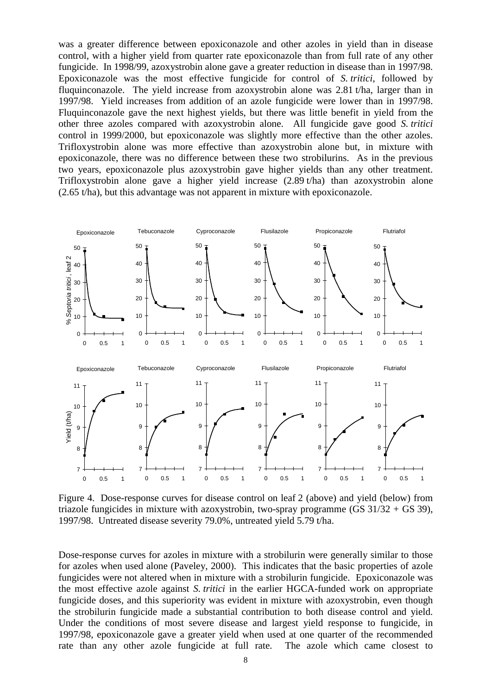was a greater difference between epoxiconazole and other azoles in yield than in disease control, with a higher yield from quarter rate epoxiconazole than from full rate of any other fungicide. In 1998/99, azoxystrobin alone gave a greater reduction in disease than in 1997/98. Epoxiconazole was the most effective fungicide for control of *S. tritici*, followed by fluquinconazole. The yield increase from azoxystrobin alone was 2.81 t/ha, larger than in 1997/98. Yield increases from addition of an azole fungicide were lower than in 1997/98. Fluquinconazole gave the next highest yields, but there was little benefit in yield from the other three azoles compared with azoxystrobin alone. All fungicide gave good *S. tritici* control in 1999/2000, but epoxiconazole was slightly more effective than the other azoles. Trifloxystrobin alone was more effective than azoxystrobin alone but, in mixture with epoxiconazole, there was no difference between these two strobilurins. As in the previous two years, epoxiconazole plus azoxystrobin gave higher yields than any other treatment. Trifloxystrobin alone gave a higher yield increase (2.89 t/ha) than azoxystrobin alone (2.65 t/ha), but this advantage was not apparent in mixture with epoxiconazole.



Figure 4. Dose-response curves for disease control on leaf 2 (above) and yield (below) from triazole fungicides in mixture with azoxystrobin, two-spray programme (GS  $31/32 +$  GS 39), 1997/98. Untreated disease severity 79.0%, untreated yield 5.79 t/ha.

Dose-response curves for azoles in mixture with a strobilurin were generally similar to those for azoles when used alone (Paveley, 2000). This indicates that the basic properties of azole fungicides were not altered when in mixture with a strobilurin fungicide. Epoxiconazole was the most effective azole against *S. tritici* in the earlier HGCA-funded work on appropriate fungicide doses, and this superiority was evident in mixture with azoxystrobin, even though the strobilurin fungicide made a substantial contribution to both disease control and yield. Under the conditions of most severe disease and largest yield response to fungicide, in 1997/98, epoxiconazole gave a greater yield when used at one quarter of the recommended rate than any other azole fungicide at full rate. The azole which came closest to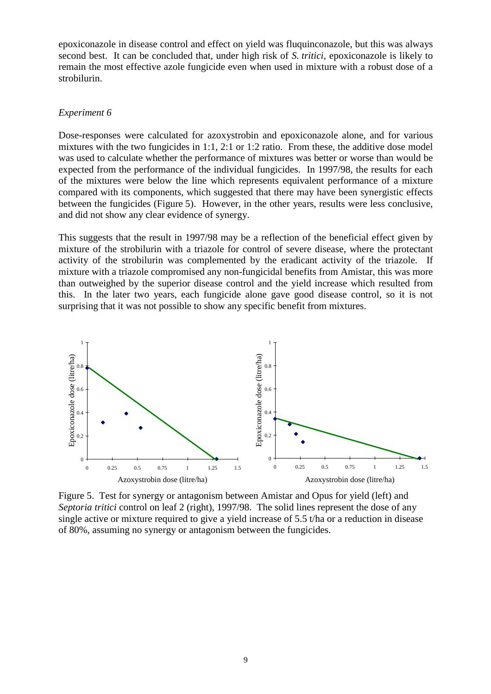epoxiconazole in disease control and effect on yield was fluquinconazole, but this was always second best. It can be concluded that, under high risk of *S. tritici*, epoxiconazole is likely to remain the most effective azole fungicide even when used in mixture with a robust dose of a strobilurin.

#### *Experiment 6*

Dose-responses were calculated for azoxystrobin and epoxiconazole alone, and for various mixtures with the two fungicides in 1:1, 2:1 or 1:2 ratio. From these, the additive dose model was used to calculate whether the performance of mixtures was better or worse than would be expected from the performance of the individual fungicides. In 1997/98, the results for each of the mixtures were below the line which represents equivalent performance of a mixture compared with its components, which suggested that there may have been synergistic effects between the fungicides (Figure 5). However, in the other years, results were less conclusive, and did not show any clear evidence of synergy.

This suggests that the result in 1997/98 may be a reflection of the beneficial effect given by mixture of the strobilurin with a triazole for control of severe disease, where the protectant activity of the strobilurin was complemented by the eradicant activity of the triazole. If mixture with a triazole compromised any non-fungicidal benefits from Amistar, this was more than outweighed by the superior disease control and the yield increase which resulted from this. In the later two years, each fungicide alone gave good disease control, so it is not surprising that it was not possible to show any specific benefit from mixtures.



Figure 5. Test for synergy or antagonism between Amistar and Opus for yield (left) and *Septoria tritici* control on leaf 2 (right), 1997/98. The solid lines represent the dose of any single active or mixture required to give a yield increase of 5.5 t/ha or a reduction in disease of 80%, assuming no synergy or antagonism between the fungicides.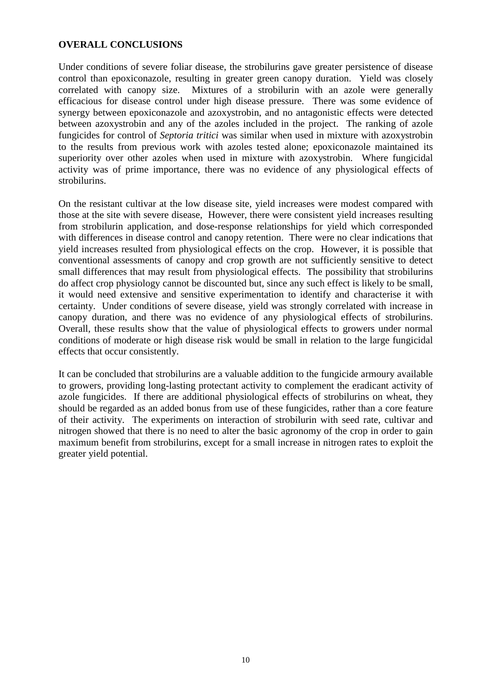### **OVERALL CONCLUSIONS**

Under conditions of severe foliar disease, the strobilurins gave greater persistence of disease control than epoxiconazole, resulting in greater green canopy duration. Yield was closely correlated with canopy size. Mixtures of a strobilurin with an azole were generally efficacious for disease control under high disease pressure. There was some evidence of synergy between epoxiconazole and azoxystrobin, and no antagonistic effects were detected between azoxystrobin and any of the azoles included in the project. The ranking of azole fungicides for control of *Septoria tritici* was similar when used in mixture with azoxystrobin to the results from previous work with azoles tested alone; epoxiconazole maintained its superiority over other azoles when used in mixture with azoxystrobin. Where fungicidal activity was of prime importance, there was no evidence of any physiological effects of strobilurins.

On the resistant cultivar at the low disease site, yield increases were modest compared with those at the site with severe disease, However, there were consistent yield increases resulting from strobilurin application, and dose-response relationships for yield which corresponded with differences in disease control and canopy retention. There were no clear indications that yield increases resulted from physiological effects on the crop. However, it is possible that conventional assessments of canopy and crop growth are not sufficiently sensitive to detect small differences that may result from physiological effects. The possibility that strobilurins do affect crop physiology cannot be discounted but, since any such effect is likely to be small, it would need extensive and sensitive experimentation to identify and characterise it with certainty. Under conditions of severe disease, yield was strongly correlated with increase in canopy duration, and there was no evidence of any physiological effects of strobilurins. Overall, these results show that the value of physiological effects to growers under normal conditions of moderate or high disease risk would be small in relation to the large fungicidal effects that occur consistently.

It can be concluded that strobilurins are a valuable addition to the fungicide armoury available to growers, providing long-lasting protectant activity to complement the eradicant activity of azole fungicides. If there are additional physiological effects of strobilurins on wheat, they should be regarded as an added bonus from use of these fungicides, rather than a core feature of their activity. The experiments on interaction of strobilurin with seed rate, cultivar and nitrogen showed that there is no need to alter the basic agronomy of the crop in order to gain maximum benefit from strobilurins, except for a small increase in nitrogen rates to exploit the greater yield potential.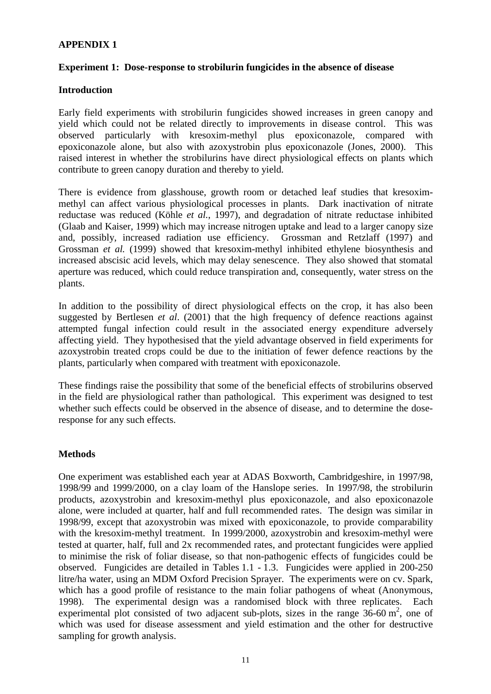## **APPENDIX 1**

### **Experiment 1: Dose-response to strobilurin fungicides in the absence of disease**

### **Introduction**

Early field experiments with strobilurin fungicides showed increases in green canopy and yield which could not be related directly to improvements in disease control. This was observed particularly with kresoxim-methyl plus epoxiconazole, compared with epoxiconazole alone, but also with azoxystrobin plus epoxiconazole (Jones, 2000). This raised interest in whether the strobilurins have direct physiological effects on plants which contribute to green canopy duration and thereby to yield.

There is evidence from glasshouse, growth room or detached leaf studies that kresoximmethyl can affect various physiological processes in plants. Dark inactivation of nitrate reductase was reduced (Köhle *et al.*, 1997), and degradation of nitrate reductase inhibited (Glaab and Kaiser, 1999) which may increase nitrogen uptake and lead to a larger canopy size and, possibly, increased radiation use efficiency. Grossman and Retzlaff (1997) and Grossman *et al.* (1999) showed that kresoxim-methyl inhibited ethylene biosynthesis and increased abscisic acid levels, which may delay senescence. They also showed that stomatal aperture was reduced, which could reduce transpiration and, consequently, water stress on the plants.

In addition to the possibility of direct physiological effects on the crop, it has also been suggested by Bertlesen *et al*. (2001) that the high frequency of defence reactions against attempted fungal infection could result in the associated energy expenditure adversely affecting yield. They hypothesised that the yield advantage observed in field experiments for azoxystrobin treated crops could be due to the initiation of fewer defence reactions by the plants, particularly when compared with treatment with epoxiconazole.

These findings raise the possibility that some of the beneficial effects of strobilurins observed in the field are physiological rather than pathological. This experiment was designed to test whether such effects could be observed in the absence of disease, and to determine the doseresponse for any such effects.

### **Methods**

One experiment was established each year at ADAS Boxworth, Cambridgeshire, in 1997/98, 1998/99 and 1999/2000, on a clay loam of the Hanslope series. In 1997/98, the strobilurin products, azoxystrobin and kresoxim-methyl plus epoxiconazole, and also epoxiconazole alone, were included at quarter, half and full recommended rates. The design was similar in 1998/99, except that azoxystrobin was mixed with epoxiconazole, to provide comparability with the kresoxim-methyl treatment. In 1999/2000, azoxystrobin and kresoxim-methyl were tested at quarter, half, full and 2x recommended rates, and protectant fungicides were applied to minimise the risk of foliar disease, so that non-pathogenic effects of fungicides could be observed. Fungicides are detailed in Tables 1.1 - 1.3. Fungicides were applied in 200-250 litre/ha water, using an MDM Oxford Precision Sprayer. The experiments were on cv. Spark, which has a good profile of resistance to the main foliar pathogens of wheat (Anonymous, 1998). The experimental design was a randomised block with three replicates. Each experimental plot consisted of two adjacent sub-plots, sizes in the range  $36-60$  m<sup>2</sup>, one of which was used for disease assessment and yield estimation and the other for destructive sampling for growth analysis.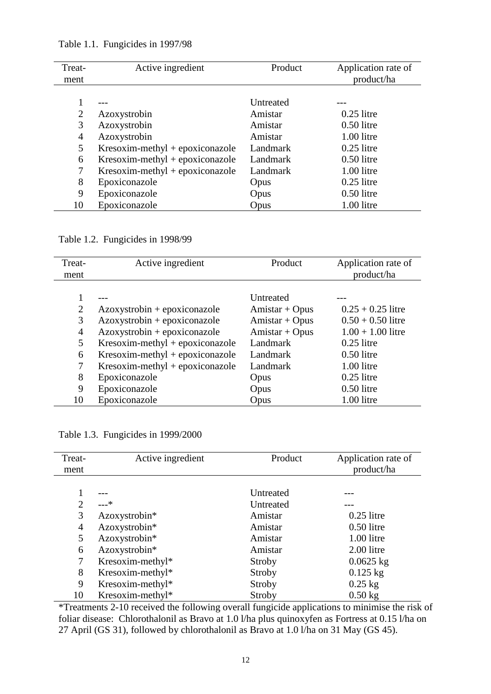| Treat-<br>ment | Active ingredient                 | Product   | Application rate of<br>product/ha |
|----------------|-----------------------------------|-----------|-----------------------------------|
|                |                                   |           |                                   |
|                |                                   | Untreated |                                   |
| 2              | Azoxystrobin                      | Amistar   | $0.25$ litre                      |
| 3              | Azoxystrobin                      | Amistar   | $0.50$ litre                      |
| $\overline{4}$ | Azoxystrobin                      | Amistar   | 1.00 litre                        |
| 5              | $Kresoxim-methyl + epoxiconazole$ | Landmark  | $0.25$ litre                      |
| 6              | $Kresoxim-methyl + epoxiconazole$ | Landmark  | $0.50$ litre                      |
|                | $Kresoxim-methyl + epoxiconazole$ | Landmark  | 1.00 litre                        |
| 8              | Epoxiconazole                     | Opus      | $0.25$ litre                      |
| 9              | Epoxiconazole                     | Opus      | $0.50$ litre                      |
| 10             | Epoxiconazole                     | Opus      | 1.00 litre                        |

Table 1.1. Fungicides in 1997/98

Table 1.2. Fungicides in 1998/99

| Treat-         | Active ingredient                 | Product          | Application rate of |
|----------------|-----------------------------------|------------------|---------------------|
| ment           |                                   |                  | product/ha          |
|                |                                   |                  |                     |
|                |                                   | Untreated        |                     |
| $\overline{2}$ | $Azoxystrobin + epoxiconazole$    | $Amistar + Opus$ | $0.25 + 0.25$ litre |
| 3              | $Azoxystrobin + epoxiconazole$    | $Amistar + Opus$ | $0.50 + 0.50$ litre |
| $\overline{4}$ | $Azoxystrobin + epoxiconazole$    | $Amistar + Opus$ | $1.00 + 1.00$ litre |
| 5              | $Kresoxim-methyl + epoxiconazole$ | Landmark         | $0.25$ litre        |
| 6              | $Kresoxim-methyl + epoxiconazole$ | Landmark         | $0.50$ litre        |
| 7              | $Kresoxim-methyl + epoxiconazole$ | Landmark         | 1.00 litre          |
| 8              | Epoxiconazole                     | Opus             | $0.25$ litre        |
| 9              | Epoxiconazole                     | Opus             | $0.50$ litre        |
| 10             | Epoxiconazole                     | Opus             | 1.00 litre          |

|  |  | Table 1.3. Fungicides in 1999/2000 |
|--|--|------------------------------------|
|--|--|------------------------------------|

| Treat-         | Active ingredient         | Product       | Application rate of |
|----------------|---------------------------|---------------|---------------------|
| ment           |                           |               | product/ha          |
|                |                           |               |                     |
|                |                           | Untreated     |                     |
| $\overline{2}$ | $---*$                    | Untreated     |                     |
| 3              | Azoxystrobin <sup>*</sup> | Amistar       | $0.25$ litre        |
| 4              | Azoxystrobin*             | Amistar       | $0.50$ litre        |
| 5              | Azoxystrobin*             | Amistar       | 1.00 litre          |
| 6              | Azoxystrobin*             | Amistar       | 2.00 litre          |
| 7              | Kresoxim-methyl*          | <b>Stroby</b> | $0.0625$ kg         |
| 8              | Kresoxim-methyl*          | Stroby        | $0.125$ kg          |
| 9              | Kresoxim-methyl $*$       | Stroby        | $0.25$ kg           |
| 10             | Kresoxim-methyl*          | Stroby        | $0.50$ kg           |

\*Treatments 2-10 received the following overall fungicide applications to minimise the risk of foliar disease: Chlorothalonil as Bravo at 1.0 l/ha plus quinoxyfen as Fortress at 0.15 l/ha on 27 April (GS 31), followed by chlorothalonil as Bravo at 1.0 l/ha on 31 May (GS 45).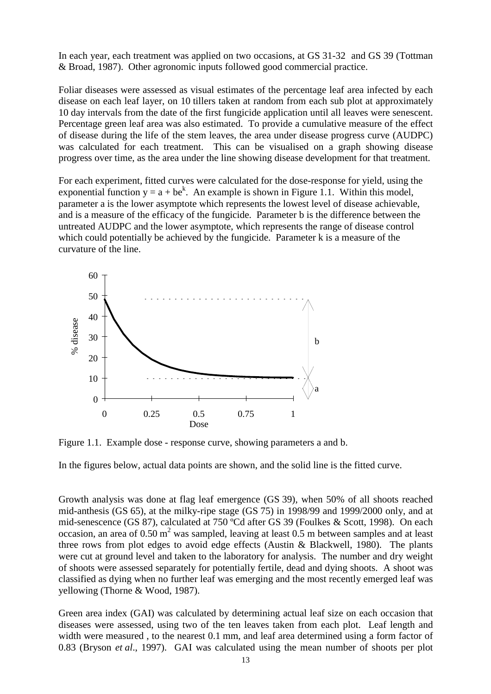In each year, each treatment was applied on two occasions, at GS 31-32 and GS 39 (Tottman & Broad, 1987). Other agronomic inputs followed good commercial practice.

Foliar diseases were assessed as visual estimates of the percentage leaf area infected by each disease on each leaf layer, on 10 tillers taken at random from each sub plot at approximately 10 day intervals from the date of the first fungicide application until all leaves were senescent. Percentage green leaf area was also estimated. To provide a cumulative measure of the effect of disease during the life of the stem leaves, the area under disease progress curve (AUDPC) was calculated for each treatment. This can be visualised on a graph showing disease progress over time, as the area under the line showing disease development for that treatment.

For each experiment, fitted curves were calculated for the dose-response for yield, using the exponential function  $y = a + be^k$ . An example is shown in Figure 1.1. Within this model, parameter a is the lower asymptote which represents the lowest level of disease achievable, and is a measure of the efficacy of the fungicide. Parameter b is the difference between the untreated AUDPC and the lower asymptote, which represents the range of disease control which could potentially be achieved by the fungicide. Parameter k is a measure of the curvature of the line.



Figure 1.1. Example dose - response curve, showing parameters a and b.

In the figures below, actual data points are shown, and the solid line is the fitted curve.

Growth analysis was done at flag leaf emergence (GS 39), when 50% of all shoots reached mid-anthesis (GS 65), at the milky-ripe stage (GS 75) in 1998/99 and 1999/2000 only, and at mid-senescence (GS 87), calculated at 750 ºCd after GS 39 (Foulkes & Scott, 1998). On each occasion, an area of  $0.50 \text{ m}^2$  was sampled, leaving at least  $0.5 \text{ m}$  between samples and at least three rows from plot edges to avoid edge effects (Austin & Blackwell, 1980). The plants were cut at ground level and taken to the laboratory for analysis. The number and dry weight of shoots were assessed separately for potentially fertile, dead and dying shoots. A shoot was classified as dying when no further leaf was emerging and the most recently emerged leaf was yellowing (Thorne & Wood, 1987).

Green area index (GAI) was calculated by determining actual leaf size on each occasion that diseases were assessed, using two of the ten leaves taken from each plot. Leaf length and width were measured , to the nearest 0.1 mm, and leaf area determined using a form factor of 0.83 (Bryson *et al*., 1997). GAI was calculated using the mean number of shoots per plot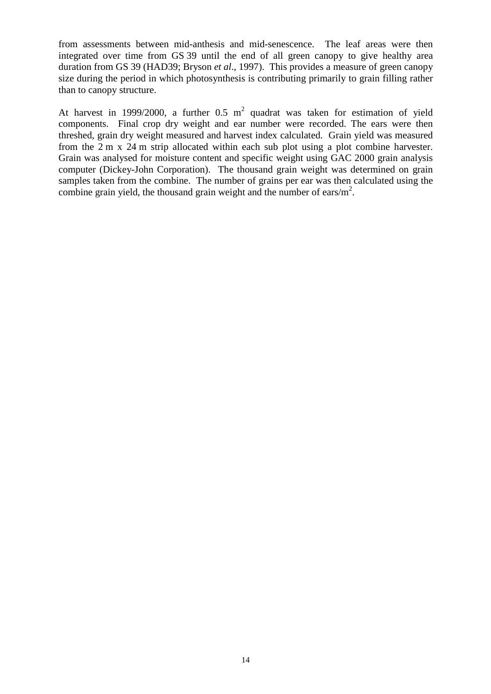from assessments between mid-anthesis and mid-senescence. The leaf areas were then integrated over time from GS 39 until the end of all green canopy to give healthy area duration from GS 39 (HAD39; Bryson *et al*., 1997). This provides a measure of green canopy size during the period in which photosynthesis is contributing primarily to grain filling rather than to canopy structure.

At harvest in 1999/2000, a further 0.5  $m^2$  quadrat was taken for estimation of yield components. Final crop dry weight and ear number were recorded. The ears were then threshed, grain dry weight measured and harvest index calculated. Grain yield was measured from the 2 m x 24 m strip allocated within each sub plot using a plot combine harvester. Grain was analysed for moisture content and specific weight using GAC 2000 grain analysis computer (Dickey-John Corporation). The thousand grain weight was determined on grain samples taken from the combine. The number of grains per ear was then calculated using the combine grain yield, the thousand grain weight and the number of ears/ $m^2$ .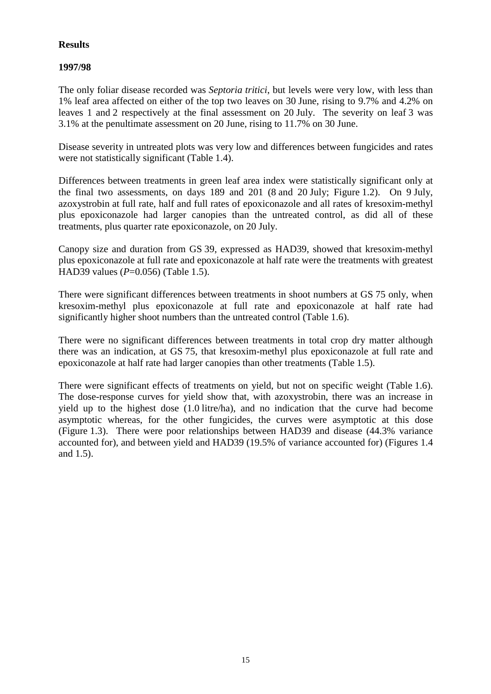# **Results**

## **1997/98**

The only foliar disease recorded was *Septoria tritici*, but levels were very low, with less than 1% leaf area affected on either of the top two leaves on 30 June, rising to 9.7% and 4.2% on leaves 1 and 2 respectively at the final assessment on 20 July. The severity on leaf 3 was 3.1% at the penultimate assessment on 20 June, rising to 11.7% on 30 June.

Disease severity in untreated plots was very low and differences between fungicides and rates were not statistically significant (Table 1.4).

Differences between treatments in green leaf area index were statistically significant only at the final two assessments, on days 189 and 201 (8 and 20 July; Figure 1.2). On 9 July, azoxystrobin at full rate, half and full rates of epoxiconazole and all rates of kresoxim-methyl plus epoxiconazole had larger canopies than the untreated control, as did all of these treatments, plus quarter rate epoxiconazole, on 20 July.

Canopy size and duration from GS 39, expressed as HAD39, showed that kresoxim-methyl plus epoxiconazole at full rate and epoxiconazole at half rate were the treatments with greatest HAD39 values (*P*=0.056) (Table 1.5).

There were significant differences between treatments in shoot numbers at GS 75 only, when kresoxim-methyl plus epoxiconazole at full rate and epoxiconazole at half rate had significantly higher shoot numbers than the untreated control (Table 1.6).

There were no significant differences between treatments in total crop dry matter although there was an indication, at GS 75, that kresoxim-methyl plus epoxiconazole at full rate and epoxiconazole at half rate had larger canopies than other treatments (Table 1.5).

There were significant effects of treatments on yield, but not on specific weight (Table 1.6). The dose-response curves for yield show that, with azoxystrobin, there was an increase in yield up to the highest dose (1.0 litre/ha), and no indication that the curve had become asymptotic whereas, for the other fungicides, the curves were asymptotic at this dose (Figure 1.3). There were poor relationships between HAD39 and disease (44.3% variance accounted for), and between yield and HAD39 (19.5% of variance accounted for) (Figures 1.4 and 1.5).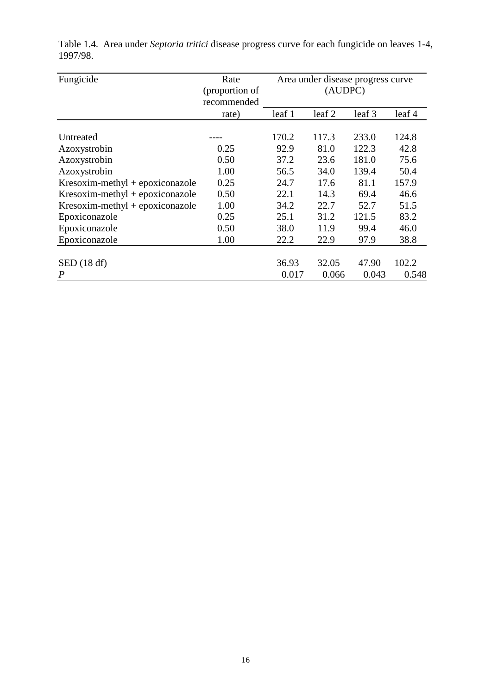| Fungicide                         | Rate                          | Area under disease progress curve<br>(AUDPC) |        |        |        |
|-----------------------------------|-------------------------------|----------------------------------------------|--------|--------|--------|
|                                   | (proportion of<br>recommended |                                              |        |        |        |
|                                   | rate)                         | leaf 1                                       | leaf 2 | leaf 3 | leaf 4 |
|                                   |                               |                                              |        |        |        |
| Untreated                         |                               | 170.2                                        | 117.3  | 233.0  | 124.8  |
| Azoxystrobin                      | 0.25                          | 92.9                                         | 81.0   | 122.3  | 42.8   |
| Azoxystrobin                      | 0.50                          | 37.2                                         | 23.6   | 181.0  | 75.6   |
| Azoxystrobin                      | 1.00                          | 56.5                                         | 34.0   | 139.4  | 50.4   |
| Kresoxim-methyl + epoxiconazole   | 0.25                          | 24.7                                         | 17.6   | 81.1   | 157.9  |
| $Kresoxim-methyl + epoxiconazole$ | 0.50                          | 22.1                                         | 14.3   | 69.4   | 46.6   |
| $Kresoxim-methyl + epoxiconazole$ | 1.00                          | 34.2                                         | 22.7   | 52.7   | 51.5   |
| Epoxiconazole                     | 0.25                          | 25.1                                         | 31.2   | 121.5  | 83.2   |
| Epoxiconazole                     | 0.50                          | 38.0                                         | 11.9   | 99.4   | 46.0   |
| Epoxiconazole                     | 1.00                          | 22.2                                         | 22.9   | 97.9   | 38.8   |
|                                   |                               |                                              |        |        |        |
| SED(18 df)                        |                               | 36.93                                        | 32.05  | 47.90  | 102.2  |
| $\boldsymbol{P}$                  |                               | 0.017                                        | 0.066  | 0.043  | 0.548  |

Table 1.4. Area under *Septoria tritici* disease progress curve for each fungicide on leaves 1-4, 1997/98.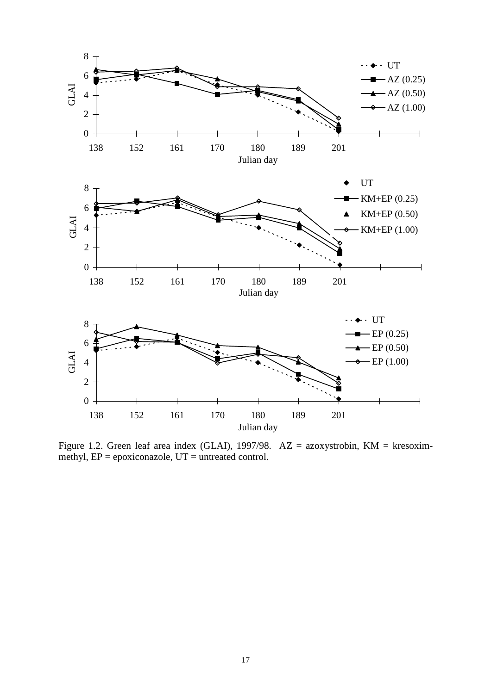

Figure 1.2. Green leaf area index (GLAI), 1997/98.  $AZ = azoxystrobin, KM = kresoxim$ methyl,  $EP = epoxiconazole$ ,  $UT = untreated control$ .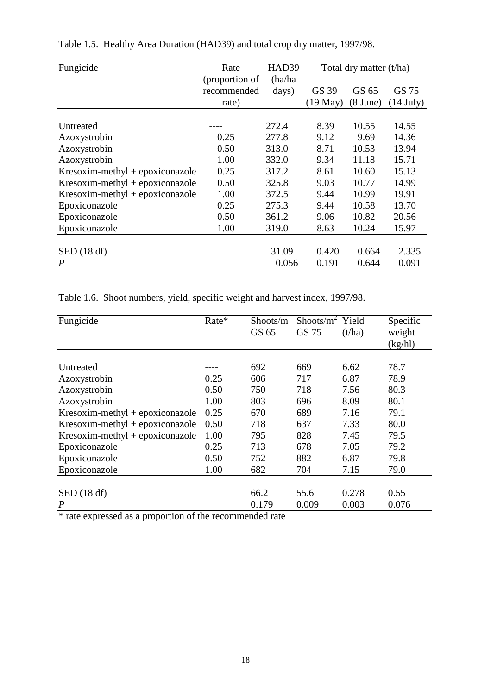| Fungicide                         | Rate           | HAD39   | Total dry matter (t/ha) |                    |             |
|-----------------------------------|----------------|---------|-------------------------|--------------------|-------------|
|                                   | (proportion of | (ha/ha) |                         |                    |             |
|                                   | recommended    | days)   | GS 39                   | GS 65              | GS 75       |
|                                   | rate)          |         | $(19$ May $)$           | $(8 \text{ June})$ | $(14$ July) |
|                                   |                |         |                         |                    |             |
| Untreated                         |                | 272.4   | 8.39                    | 10.55              | 14.55       |
| Azoxystrobin                      | 0.25           | 277.8   | 9.12                    | 9.69               | 14.36       |
| Azoxystrobin                      | 0.50           | 313.0   | 8.71                    | 10.53              | 13.94       |
| Azoxystrobin                      | 1.00           | 332.0   | 9.34                    | 11.18              | 15.71       |
| Kresoxim-methyl + epoxiconazole   | 0.25           | 317.2   | 8.61                    | 10.60              | 15.13       |
| $Kresoxim-methyl + epoxiconazole$ | 0.50           | 325.8   | 9.03                    | 10.77              | 14.99       |
| $Kresoxim-methyl + epoxiconazole$ | 1.00           | 372.5   | 9.44                    | 10.99              | 19.91       |
| Epoxiconazole                     | 0.25           | 275.3   | 9.44                    | 10.58              | 13.70       |
| Epoxiconazole                     | 0.50           | 361.2   | 9.06                    | 10.82              | 20.56       |
| Epoxiconazole                     | 1.00           | 319.0   | 8.63                    | 10.24              | 15.97       |
|                                   |                |         |                         |                    |             |
| SED(18 df)                        |                | 31.09   | 0.420                   | 0.664              | 2.335       |
| $\boldsymbol{P}$                  |                | 0.056   | 0.191                   | 0.644              | 0.091       |

Table 1.5. Healthy Area Duration (HAD39) and total crop dry matter, 1997/98.

Table 1.6. Shoot numbers, yield, specific weight and harvest index, 1997/98.

| Rate* | Shoots/m<br>GS 65 | Shoots/ $m^2$<br>GS 75 | Yield<br>(t/ha) | Specific<br>weight<br>(kg/hl) |
|-------|-------------------|------------------------|-----------------|-------------------------------|
|       |                   |                        |                 |                               |
|       |                   |                        |                 | 78.7                          |
| 0.25  | 606               | 717                    | 6.87            | 78.9                          |
| 0.50  | 750               | 718                    | 7.56            | 80.3                          |
| 1.00  | 803               | 696                    | 8.09            | 80.1                          |
| 0.25  | 670               | 689                    | 7.16            | 79.1                          |
| 0.50  | 718               | 637                    | 7.33            | 80.0                          |
| 1.00  | 795               | 828                    | 7.45            | 79.5                          |
| 0.25  | 713               | 678                    | 7.05            | 79.2                          |
| 0.50  | 752               | 882                    | 6.87            | 79.8                          |
| 1.00  | 682               | 704                    | 7.15            | 79.0                          |
|       |                   |                        |                 |                               |
|       | 66.2              | 55.6                   | 0.278           | 0.55                          |
|       | 0.179             | 0.009                  | 0.003           | 0.076                         |
|       | $\sim$ $\sim$     | 692                    | 669             | 6.62                          |

\* rate expressed as a proportion of the recommended rate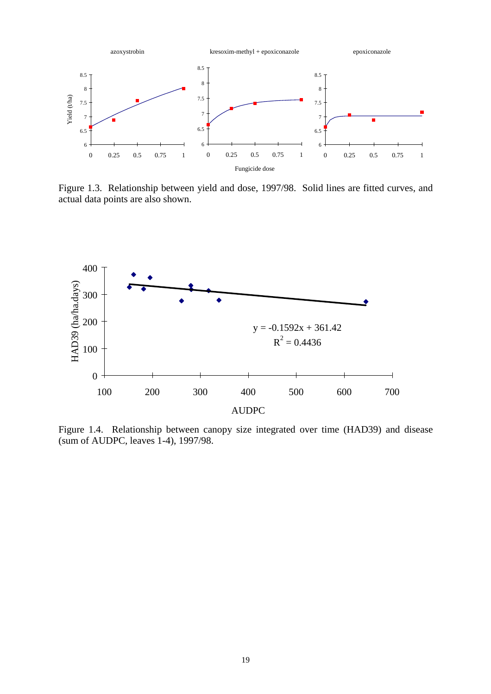

Figure 1.3. Relationship between yield and dose, 1997/98. Solid lines are fitted curves, and actual data points are also shown.



Figure 1.4. Relationship between canopy size integrated over time (HAD39) and disease (sum of AUDPC, leaves 1-4), 1997/98.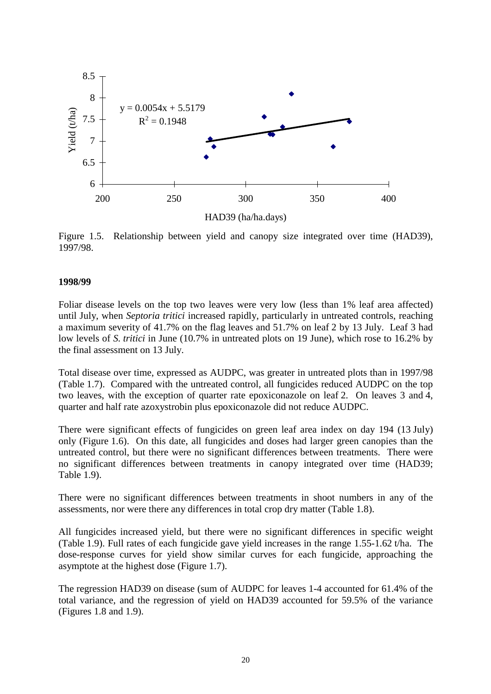

Figure 1.5. Relationship between yield and canopy size integrated over time (HAD39), 1997/98.

#### **1998/99**

Foliar disease levels on the top two leaves were very low (less than 1% leaf area affected) until July, when *Septoria tritici* increased rapidly, particularly in untreated controls, reaching a maximum severity of 41.7% on the flag leaves and 51.7% on leaf 2 by 13 July. Leaf 3 had low levels of *S. tritici* in June (10.7% in untreated plots on 19 June), which rose to 16.2% by the final assessment on 13 July.

Total disease over time, expressed as AUDPC, was greater in untreated plots than in 1997/98 (Table 1.7). Compared with the untreated control, all fungicides reduced AUDPC on the top two leaves, with the exception of quarter rate epoxiconazole on leaf 2. On leaves 3 and 4, quarter and half rate azoxystrobin plus epoxiconazole did not reduce AUDPC.

There were significant effects of fungicides on green leaf area index on day 194 (13 July) only (Figure 1.6). On this date, all fungicides and doses had larger green canopies than the untreated control, but there were no significant differences between treatments. There were no significant differences between treatments in canopy integrated over time (HAD39; Table 1.9).

There were no significant differences between treatments in shoot numbers in any of the assessments, nor were there any differences in total crop dry matter (Table 1.8).

All fungicides increased yield, but there were no significant differences in specific weight (Table 1.9). Full rates of each fungicide gave yield increases in the range 1.55-1.62 t/ha. The dose-response curves for yield show similar curves for each fungicide, approaching the asymptote at the highest dose (Figure 1.7).

The regression HAD39 on disease (sum of AUDPC for leaves 1-4 accounted for 61.4% of the total variance, and the regression of yield on HAD39 accounted for 59.5% of the variance (Figures 1.8 and 1.9).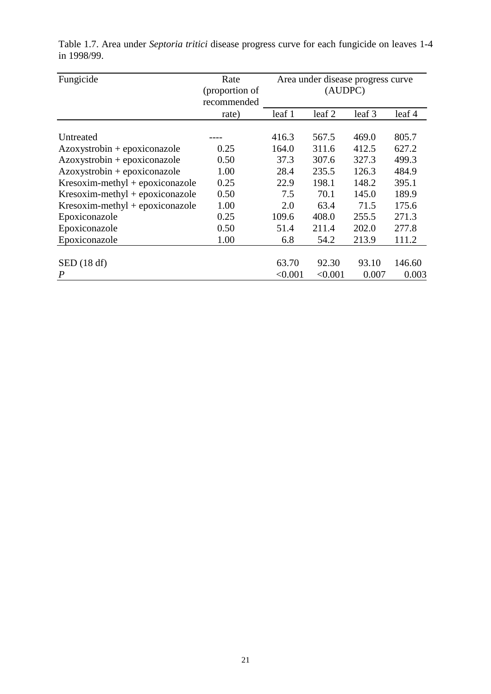| Fungicide                         | Rate                          | Area under disease progress curve |                   |        |        |
|-----------------------------------|-------------------------------|-----------------------------------|-------------------|--------|--------|
|                                   | (proportion of<br>recommended |                                   | (AUDPC)           |        |        |
|                                   | rate)                         | leaf 1                            | leaf <sub>2</sub> | leaf 3 | leaf 4 |
|                                   |                               |                                   |                   |        |        |
| Untreated                         |                               | 416.3                             | 567.5             | 469.0  | 805.7  |
| $Azoxystrobin + epoxiconazole$    | 0.25                          | 164.0                             | 311.6             | 412.5  | 627.2  |
| $Azoxystrobin + epoxiconazole$    | 0.50                          | 37.3                              | 307.6             | 327.3  | 499.3  |
| Azoxystrobin + epoxiconazole      | 1.00                          | 28.4                              | 235.5             | 126.3  | 484.9  |
| $Kresoxim-methyl + epoxiconazole$ | 0.25                          | 22.9                              | 198.1             | 148.2  | 395.1  |
| $Kresoxim-methyl + epoxiconazole$ | 0.50                          | 7.5                               | 70.1              | 145.0  | 189.9  |
| $Kresoxim-methyl + epoxiconazole$ | 1.00                          | 2.0                               | 63.4              | 71.5   | 175.6  |
| Epoxiconazole                     | 0.25                          | 109.6                             | 408.0             | 255.5  | 271.3  |
| Epoxiconazole                     | 0.50                          | 51.4                              | 211.4             | 202.0  | 277.8  |
| Epoxiconazole                     | 1.00                          | 6.8                               | 54.2              | 213.9  | 111.2  |
|                                   |                               |                                   |                   |        |        |
| SED(18 df)                        |                               | 63.70                             | 92.30             | 93.10  | 146.60 |
| $\boldsymbol{P}$                  |                               | < 0.001                           | < 0.001           | 0.007  | 0.003  |

Table 1.7. Area under *Septoria tritici* disease progress curve for each fungicide on leaves 1-4 in 1998/99.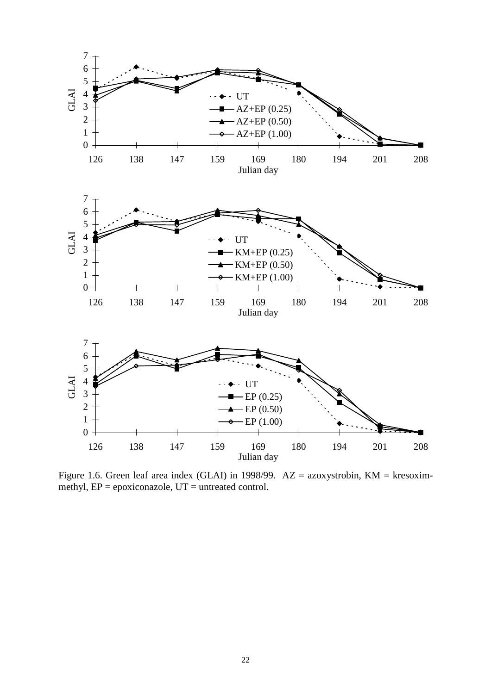

Figure 1.6. Green leaf area index (GLAI) in 1998/99. AZ = azoxystrobin, KM = kresoximmethyl,  $EP = epoxiconazole$ ,  $UT = untreated control$ .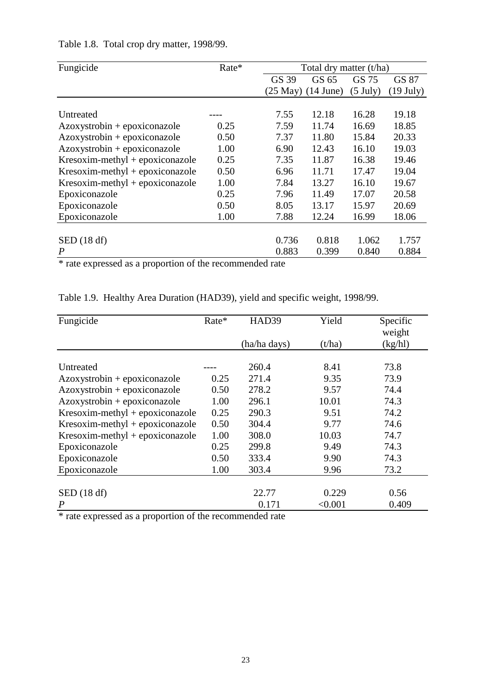| Fungicide                         | Rate* | Total dry matter (t/ha) |             |                    |                     |  |
|-----------------------------------|-------|-------------------------|-------------|--------------------|---------------------|--|
|                                   |       | GS 39                   | GS 65       | GS 75              | GS 87               |  |
|                                   |       | $(25$ May $)$           | $(14$ June) | $(5 \text{ July})$ | $(19 \text{ July})$ |  |
|                                   |       |                         |             |                    |                     |  |
| Untreated                         |       | 7.55                    | 12.18       | 16.28              | 19.18               |  |
| $Azoxystrobin + epoxiconazole$    | 0.25  | 7.59                    | 11.74       | 16.69              | 18.85               |  |
| $Azoxystrobin + epoxiconazole$    | 0.50  | 7.37                    | 11.80       | 15.84              | 20.33               |  |
| $Azoxystrobin + epoxiconazole$    | 1.00  | 6.90                    | 12.43       | 16.10              | 19.03               |  |
| $Kresoxim-methyl + epoxiconazole$ | 0.25  | 7.35                    | 11.87       | 16.38              | 19.46               |  |
| $Kresoxim-methyl + epoxiconazole$ | 0.50  | 6.96                    | 11.71       | 17.47              | 19.04               |  |
| $Kresoxim-methyl + epoxiconazole$ | 1.00  | 7.84                    | 13.27       | 16.10              | 19.67               |  |
| Epoxiconazole                     | 0.25  | 7.96                    | 11.49       | 17.07              | 20.58               |  |
| Epoxiconazole                     | 0.50  | 8.05                    | 13.17       | 15.97              | 20.69               |  |
| Epoxiconazole                     | 1.00  | 7.88                    | 12.24       | 16.99              | 18.06               |  |
|                                   |       |                         |             |                    |                     |  |
| SED (18 df)                       |       | 0.736                   | 0.818       | 1.062              | 1.757               |  |
| P                                 |       | 0.883                   | 0.399       | 0.840              | 0.884               |  |

Table 1.8. Total crop dry matter, 1998/99.

\* rate expressed as a proportion of the recommended rate

| Fungicide                         | Rate* | HAD39        | Yield   | Specific<br>weight |
|-----------------------------------|-------|--------------|---------|--------------------|
|                                   |       | (ha/ha days) | (t/ha)  | (kg/hl)            |
|                                   |       |              |         |                    |
| Untreated                         |       | 260.4        | 8.41    | 73.8               |
| Azoxystrobin + epoxiconazole      | 0.25  | 271.4        | 9.35    | 73.9               |
| $Azoxystrobin + epoxiconazole$    | 0.50  | 278.2        | 9.57    | 74.4               |
| Azoxystrobin + epoxiconazole      | 1.00  | 296.1        | 10.01   | 74.3               |
| $Kresoxim-methyl + epoxiconazole$ | 0.25  | 290.3        | 9.51    | 74.2               |
| Kresoxim-methyl + epoxiconazole   | 0.50  | 304.4        | 9.77    | 74.6               |
| $Kresoxim-methyl + epoxiconazole$ | 1.00  | 308.0        | 10.03   | 74.7               |
| Epoxiconazole                     | 0.25  | 299.8        | 9.49    | 74.3               |
| Epoxiconazole                     | 0.50  | 333.4        | 9.90    | 74.3               |
| Epoxiconazole                     | 1.00  | 303.4        | 9.96    | 73.2               |
|                                   |       |              |         |                    |
| SED(18 df)                        |       | 22.77        | 0.229   | 0.56               |
| $\boldsymbol{P}$                  |       | 0.171        | < 0.001 | 0.409              |

Table 1.9. Healthy Area Duration (HAD39), yield and specific weight, 1998/99.

\* rate expressed as a proportion of the recommended rate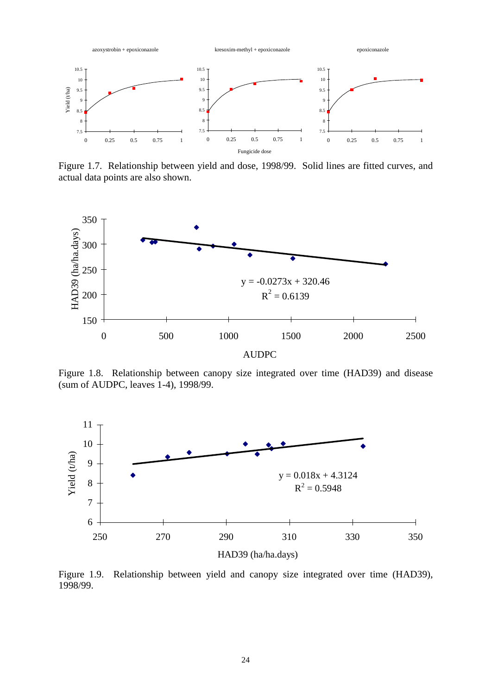

Figure 1.7. Relationship between yield and dose, 1998/99. Solid lines are fitted curves, and actual data points are also shown.



Figure 1.8. Relationship between canopy size integrated over time (HAD39) and disease (sum of AUDPC, leaves 1-4), 1998/99.



Figure 1.9. Relationship between yield and canopy size integrated over time (HAD39), 1998/99.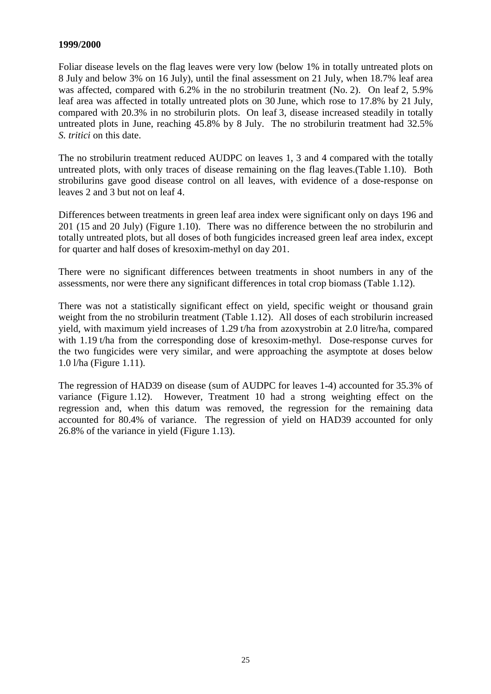### **1999/2000**

Foliar disease levels on the flag leaves were very low (below 1% in totally untreated plots on 8 July and below 3% on 16 July), until the final assessment on 21 July, when 18.7% leaf area was affected, compared with 6.2% in the no strobilurin treatment (No. 2). On leaf 2, 5.9% leaf area was affected in totally untreated plots on 30 June, which rose to 17.8% by 21 July, compared with 20.3% in no strobilurin plots. On leaf 3, disease increased steadily in totally untreated plots in June, reaching 45.8% by 8 July. The no strobilurin treatment had 32.5% *S. tritici* on this date.

The no strobilurin treatment reduced AUDPC on leaves 1, 3 and 4 compared with the totally untreated plots, with only traces of disease remaining on the flag leaves.(Table 1.10). Both strobilurins gave good disease control on all leaves, with evidence of a dose-response on leaves 2 and 3 but not on leaf 4.

Differences between treatments in green leaf area index were significant only on days 196 and 201 (15 and 20 July) (Figure 1.10). There was no difference between the no strobilurin and totally untreated plots, but all doses of both fungicides increased green leaf area index, except for quarter and half doses of kresoxim-methyl on day 201.

There were no significant differences between treatments in shoot numbers in any of the assessments, nor were there any significant differences in total crop biomass (Table 1.12).

There was not a statistically significant effect on yield, specific weight or thousand grain weight from the no strobilurin treatment (Table 1.12). All doses of each strobilurin increased yield, with maximum yield increases of 1.29 t/ha from azoxystrobin at 2.0 litre/ha, compared with 1.19 t/ha from the corresponding dose of kresoxim-methyl. Dose-response curves for the two fungicides were very similar, and were approaching the asymptote at doses below 1.0 l/ha (Figure 1.11).

The regression of HAD39 on disease (sum of AUDPC for leaves 1-4) accounted for 35.3% of variance (Figure 1.12). However, Treatment 10 had a strong weighting effect on the regression and, when this datum was removed, the regression for the remaining data accounted for 80.4% of variance. The regression of yield on HAD39 accounted for only 26.8% of the variance in yield (Figure 1.13).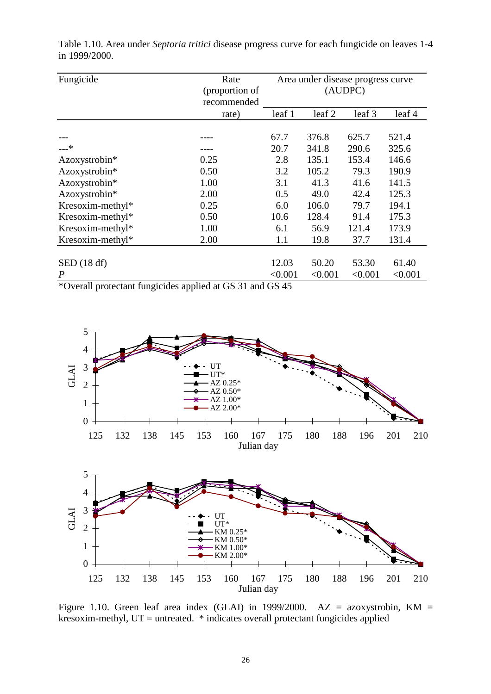| Fungicide                                   | Rate                             |         | Area under disease progress curve |         |         |  |
|---------------------------------------------|----------------------------------|---------|-----------------------------------|---------|---------|--|
|                                             | (proportion of                   |         | (AUDPC)                           |         |         |  |
|                                             | recommended                      |         |                                   |         |         |  |
|                                             | rate)                            | leaf 1  | leaf 2                            | leaf 3  | leaf 4  |  |
|                                             |                                  |         |                                   |         |         |  |
|                                             |                                  | 67.7    | 376.8                             | 625.7   | 521.4   |  |
| $---*$                                      |                                  | 20.7    | 341.8                             | 290.6   | 325.6   |  |
| Azoxystrobin*                               | 0.25                             | 2.8     | 135.1                             | 153.4   | 146.6   |  |
| Azoxystrobin*                               | 0.50                             | 3.2     | 105.2                             | 79.3    | 190.9   |  |
| Azoxystrobin*                               | 1.00                             | 3.1     | 41.3                              | 41.6    | 141.5   |  |
| Azoxystrobin*                               | 2.00                             | 0.5     | 49.0                              | 42.4    | 125.3   |  |
| Kresoxim-methyl*                            | 0.25                             | 6.0     | 106.0                             | 79.7    | 194.1   |  |
| Kresoxim-methyl*                            | 0.50                             | 10.6    | 128.4                             | 91.4    | 175.3   |  |
| Kresoxim-methyl*                            | 1.00                             | 6.1     | 56.9                              | 121.4   | 173.9   |  |
| Kresoxim-methyl*                            | 2.00                             | 1.1     | 19.8                              | 37.7    | 131.4   |  |
|                                             |                                  |         |                                   |         |         |  |
| SED(18 df)                                  |                                  | 12.03   | 50.20                             | 53.30   | 61.40   |  |
| $\boldsymbol{P}$                            |                                  | < 0.001 | < 0.001                           | < 0.001 | < 0.001 |  |
| $\cdots$<br>$\sim$<br>$\overline{c}$<br>11. | $1'$ , $1'$ , $0'$ , $0'$ , $1'$ | 1.00117 |                                   |         |         |  |

Table 1.10. Area under *Septoria tritici* disease progress curve for each fungicide on leaves 1-4 in 1999/2000.

\*Overall protectant fungicides applied at GS 31 and GS 45



Figure 1.10. Green leaf area index (GLAI) in 1999/2000. AZ = azoxystrobin, KM = kresoxim-methyl,  $UT =$  untreated.  $*$  indicates overall protectant fungicides applied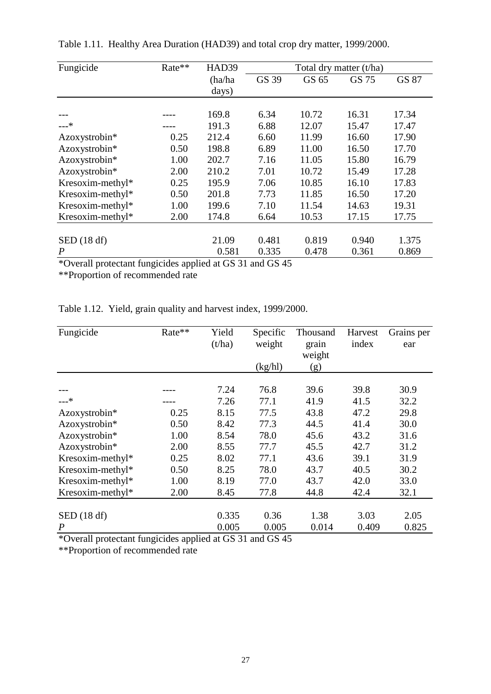| Fungicide        | Rate** | HAD39   | Total dry matter (t/ha) |       |       |       |
|------------------|--------|---------|-------------------------|-------|-------|-------|
|                  |        | (ha/ha) | GS 39                   | GS 65 | GS 75 | GS 87 |
|                  |        | days)   |                         |       |       |       |
|                  |        |         |                         |       |       |       |
|                  |        | 169.8   | 6.34                    | 10.72 | 16.31 | 17.34 |
| $---*$           |        | 191.3   | 6.88                    | 12.07 | 15.47 | 17.47 |
| Azoxystrobin*    | 0.25   | 212.4   | 6.60                    | 11.99 | 16.60 | 17.90 |
| Azoxystrobin*    | 0.50   | 198.8   | 6.89                    | 11.00 | 16.50 | 17.70 |
| Azoxystrobin*    | 1.00   | 202.7   | 7.16                    | 11.05 | 15.80 | 16.79 |
| Azoxystrobin*    | 2.00   | 210.2   | 7.01                    | 10.72 | 15.49 | 17.28 |
| Kresoxim-methyl* | 0.25   | 195.9   | 7.06                    | 10.85 | 16.10 | 17.83 |
| Kresoxim-methyl* | 0.50   | 201.8   | 7.73                    | 11.85 | 16.50 | 17.20 |
| Kresoxim-methyl* | 1.00   | 199.6   | 7.10                    | 11.54 | 14.63 | 19.31 |
| Kresoxim-methyl* | 2.00   | 174.8   | 6.64                    | 10.53 | 17.15 | 17.75 |
|                  |        |         |                         |       |       |       |
| SED(18 df)       |        | 21.09   | 0.481                   | 0.819 | 0.940 | 1.375 |
| $\boldsymbol{P}$ |        | 0.581   | 0.335                   | 0.478 | 0.361 | 0.869 |

Table 1.11. Healthy Area Duration (HAD39) and total crop dry matter, 1999/2000.

\*Overall protectant fungicides applied at GS 31 and GS 45

\*\*Proportion of recommended rate

Table 1.12. Yield, grain quality and harvest index, 1999/2000.

| Fungicide        | Rate** | Yield<br>(t/ha) | Specific<br>weight | Thousand<br>grain<br>weight | Harvest<br>index | Grains per<br>ear |
|------------------|--------|-----------------|--------------------|-----------------------------|------------------|-------------------|
|                  |        |                 | (kg/hl)            | (g)                         |                  |                   |
|                  |        | 7.24            | 76.8               | 39.6                        | 39.8             | 30.9              |
| –−*              |        | 7.26            | 77.1               | 41.9                        | 41.5             | 32.2              |
| Azoxystrobin*    | 0.25   | 8.15            | 77.5               | 43.8                        | 47.2             | 29.8              |
| Azoxystrobin*    | 0.50   | 8.42            | 77.3               | 44.5                        | 41.4             | 30.0              |
| Azoxystrobin*    | 1.00   | 8.54            | 78.0               | 45.6                        | 43.2             | 31.6              |
| Azoxystrobin*    | 2.00   | 8.55            | 77.7               | 45.5                        | 42.7             | 31.2              |
| Kresoxim-methyl* | 0.25   | 8.02            | 77.1               | 43.6                        | 39.1             | 31.9              |
| Kresoxim-methyl* | 0.50   | 8.25            | 78.0               | 43.7                        | 40.5             | 30.2              |
| Kresoxim-methyl* | 1.00   | 8.19            | 77.0               | 43.7                        | 42.0             | 33.0              |
| Kresoxim-methyl* | 2.00   | 8.45            | 77.8               | 44.8                        | 42.4             | 32.1              |
|                  |        |                 |                    |                             |                  |                   |
| SED(18 df)       |        | 0.335           | 0.36               | 1.38                        | 3.03             | 2.05              |
| $\boldsymbol{P}$ |        | 0.005           | 0.005              | 0.014                       | 0.409            | 0.825             |

\*Overall protectant fungicides applied at GS 31 and GS 45

\*\*Proportion of recommended rate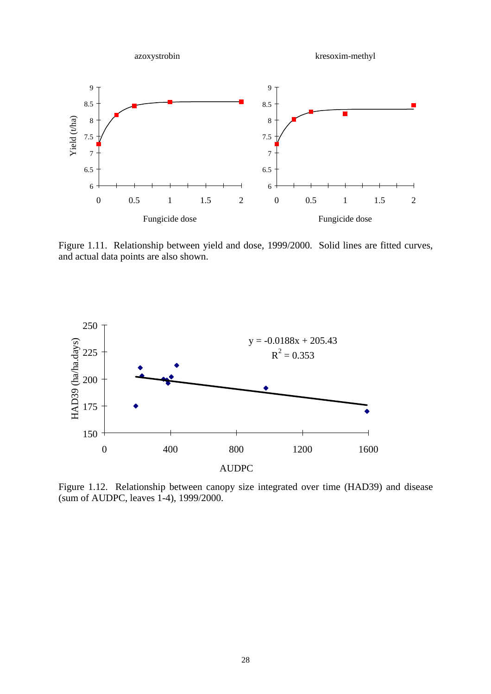

Figure 1.11. Relationship between yield and dose, 1999/2000. Solid lines are fitted curves, and actual data points are also shown.



Figure 1.12. Relationship between canopy size integrated over time (HAD39) and disease (sum of AUDPC, leaves 1-4), 1999/2000.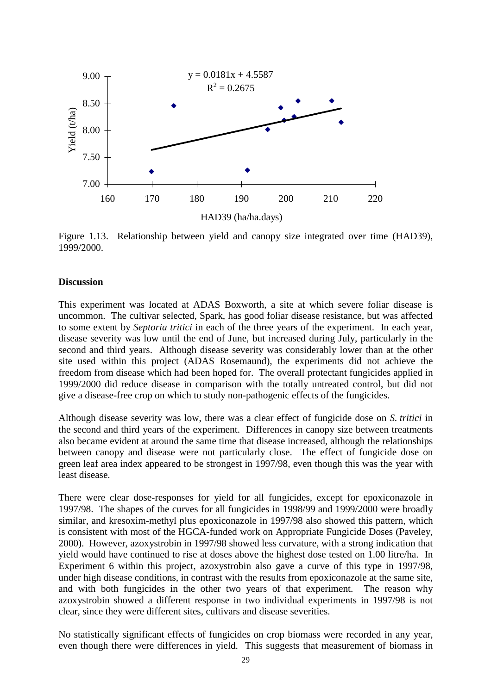

Figure 1.13. Relationship between yield and canopy size integrated over time (HAD39), 1999/2000.

#### **Discussion**

This experiment was located at ADAS Boxworth, a site at which severe foliar disease is uncommon. The cultivar selected, Spark, has good foliar disease resistance, but was affected to some extent by *Septoria tritici* in each of the three years of the experiment. In each year, disease severity was low until the end of June, but increased during July, particularly in the second and third years. Although disease severity was considerably lower than at the other site used within this project (ADAS Rosemaund), the experiments did not achieve the freedom from disease which had been hoped for. The overall protectant fungicides applied in 1999/2000 did reduce disease in comparison with the totally untreated control, but did not give a disease-free crop on which to study non-pathogenic effects of the fungicides.

Although disease severity was low, there was a clear effect of fungicide dose on *S. tritici* in the second and third years of the experiment. Differences in canopy size between treatments also became evident at around the same time that disease increased, although the relationships between canopy and disease were not particularly close. The effect of fungicide dose on green leaf area index appeared to be strongest in 1997/98, even though this was the year with least disease.

There were clear dose-responses for yield for all fungicides, except for epoxiconazole in 1997/98. The shapes of the curves for all fungicides in 1998/99 and 1999/2000 were broadly similar, and kresoxim-methyl plus epoxiconazole in 1997/98 also showed this pattern, which is consistent with most of the HGCA-funded work on Appropriate Fungicide Doses (Paveley, 2000). However, azoxystrobin in 1997/98 showed less curvature, with a strong indication that yield would have continued to rise at doses above the highest dose tested on 1.00 litre/ha. In Experiment 6 within this project, azoxystrobin also gave a curve of this type in 1997/98, under high disease conditions, in contrast with the results from epoxiconazole at the same site, and with both fungicides in the other two years of that experiment. The reason why azoxystrobin showed a different response in two individual experiments in 1997/98 is not clear, since they were different sites, cultivars and disease severities.

No statistically significant effects of fungicides on crop biomass were recorded in any year, even though there were differences in yield. This suggests that measurement of biomass in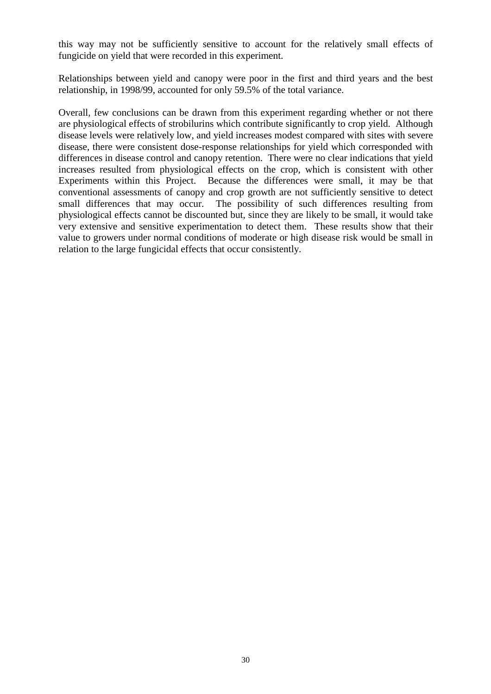this way may not be sufficiently sensitive to account for the relatively small effects of fungicide on yield that were recorded in this experiment.

Relationships between yield and canopy were poor in the first and third years and the best relationship, in 1998/99, accounted for only 59.5% of the total variance.

Overall, few conclusions can be drawn from this experiment regarding whether or not there are physiological effects of strobilurins which contribute significantly to crop yield. Although disease levels were relatively low, and yield increases modest compared with sites with severe disease, there were consistent dose-response relationships for yield which corresponded with differences in disease control and canopy retention. There were no clear indications that yield increases resulted from physiological effects on the crop, which is consistent with other Experiments within this Project. Because the differences were small, it may be that conventional assessments of canopy and crop growth are not sufficiently sensitive to detect small differences that may occur. The possibility of such differences resulting from physiological effects cannot be discounted but, since they are likely to be small, it would take very extensive and sensitive experimentation to detect them. These results show that their value to growers under normal conditions of moderate or high disease risk would be small in relation to the large fungicidal effects that occur consistently.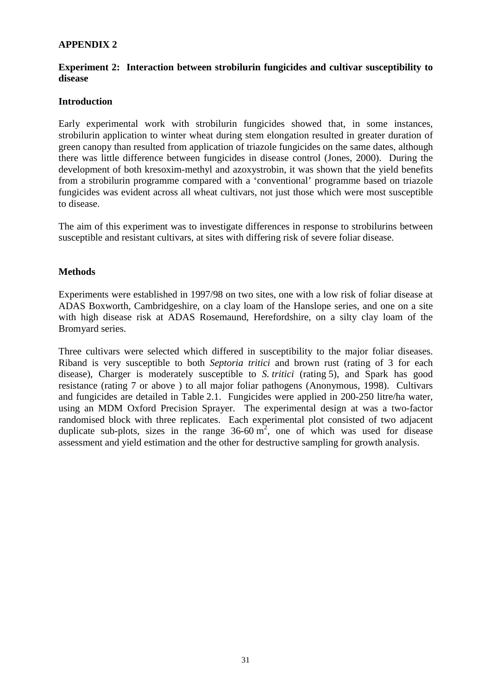## **APPENDIX 2**

### **Experiment 2: Interaction between strobilurin fungicides and cultivar susceptibility to disease**

### **Introduction**

Early experimental work with strobilurin fungicides showed that, in some instances, strobilurin application to winter wheat during stem elongation resulted in greater duration of green canopy than resulted from application of triazole fungicides on the same dates, although there was little difference between fungicides in disease control (Jones, 2000). During the development of both kresoxim-methyl and azoxystrobin, it was shown that the yield benefits from a strobilurin programme compared with a 'conventional' programme based on triazole fungicides was evident across all wheat cultivars, not just those which were most susceptible to disease.

The aim of this experiment was to investigate differences in response to strobilurins between susceptible and resistant cultivars, at sites with differing risk of severe foliar disease.

### **Methods**

Experiments were established in 1997/98 on two sites, one with a low risk of foliar disease at ADAS Boxworth, Cambridgeshire, on a clay loam of the Hanslope series, and one on a site with high disease risk at ADAS Rosemaund, Herefordshire, on a silty clay loam of the Bromyard series.

Three cultivars were selected which differed in susceptibility to the major foliar diseases. Riband is very susceptible to both *Septoria tritici* and brown rust (rating of 3 for each disease), Charger is moderately susceptible to *S. tritici* (rating 5), and Spark has good resistance (rating 7 or above ) to all major foliar pathogens (Anonymous, 1998). Cultivars and fungicides are detailed in Table 2.1. Fungicides were applied in 200-250 litre/ha water, using an MDM Oxford Precision Sprayer. The experimental design at was a two-factor randomised block with three replicates. Each experimental plot consisted of two adjacent duplicate sub-plots, sizes in the range  $36-60 \text{ m}^2$ , one of which was used for disease assessment and yield estimation and the other for destructive sampling for growth analysis.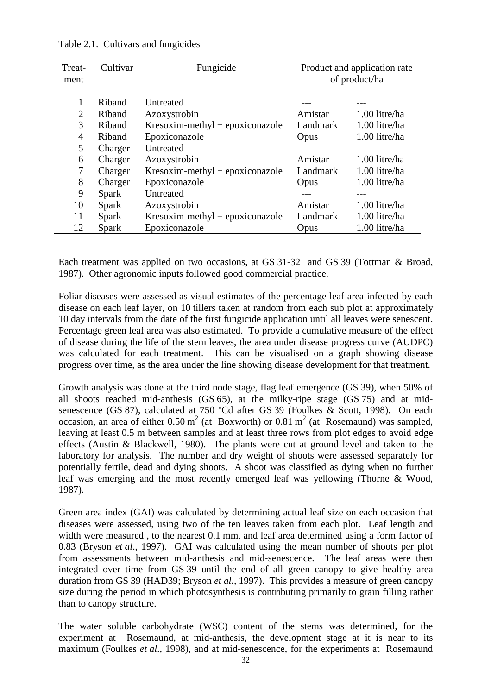| Treat-<br>ment | Cultivar | Fungicide                         | Product and application rate<br>of product/ha |               |  |
|----------------|----------|-----------------------------------|-----------------------------------------------|---------------|--|
|                |          |                                   |                                               |               |  |
|                | Riband   | <b>Untreated</b>                  |                                               |               |  |
| $\overline{2}$ | Riband   | Azoxystrobin                      | Amistar                                       | 1.00 litre/ha |  |
| 3              | Riband   | Kresoxim-methyl + epoxiconazole   | Landmark                                      | 1.00 litre/ha |  |
| $\overline{4}$ | Riband   | Epoxiconazole                     | Opus                                          | 1.00 litre/ha |  |
| 5              | Charger  | Untreated                         | ---                                           | ---           |  |
| 6              | Charger  | Azoxystrobin                      | Amistar                                       | 1.00 litre/ha |  |
| 7              | Charger  | $Kresoxim-methyl + epoxiconazole$ | Landmark                                      | 1.00 litre/ha |  |
| 8              | Charger  | Epoxiconazole                     | Opus                                          | 1.00 litre/ha |  |
| 9              | Spark    | Untreated                         |                                               | $---$         |  |
| 10             | Spark    | Azoxystrobin                      | Amistar                                       | 1.00 litre/ha |  |
| 11             | Spark    | $Kresoxim-methyl + epoxiconazole$ | Landmark                                      | 1.00 litre/ha |  |
| 12             | Spark    | Epoxiconazole                     | Opus                                          | 1.00 litre/ha |  |

Table 2.1. Cultivars and fungicides

Each treatment was applied on two occasions, at GS 31-32 and GS 39 (Tottman & Broad, 1987). Other agronomic inputs followed good commercial practice.

Foliar diseases were assessed as visual estimates of the percentage leaf area infected by each disease on each leaf layer, on 10 tillers taken at random from each sub plot at approximately 10 day intervals from the date of the first fungicide application until all leaves were senescent. Percentage green leaf area was also estimated. To provide a cumulative measure of the effect of disease during the life of the stem leaves, the area under disease progress curve (AUDPC) was calculated for each treatment. This can be visualised on a graph showing disease progress over time, as the area under the line showing disease development for that treatment.

Growth analysis was done at the third node stage, flag leaf emergence (GS 39), when 50% of all shoots reached mid-anthesis (GS 65), at the milky-ripe stage (GS 75) and at midsenescence (GS 87), calculated at 750 °Cd after GS 39 (Foulkes & Scott, 1998). On each occasion, an area of either  $0.50 \text{ m}^2$  (at Boxworth) or  $0.81 \text{ m}^2$  (at Rosemaund) was sampled, leaving at least 0.5 m between samples and at least three rows from plot edges to avoid edge effects (Austin & Blackwell, 1980). The plants were cut at ground level and taken to the laboratory for analysis. The number and dry weight of shoots were assessed separately for potentially fertile, dead and dying shoots. A shoot was classified as dying when no further leaf was emerging and the most recently emerged leaf was yellowing (Thorne & Wood, 1987).

Green area index (GAI) was calculated by determining actual leaf size on each occasion that diseases were assessed, using two of the ten leaves taken from each plot. Leaf length and width were measured , to the nearest 0.1 mm, and leaf area determined using a form factor of 0.83 (Bryson *et al*., 1997). GAI was calculated using the mean number of shoots per plot from assessments between mid-anthesis and mid-senescence. The leaf areas were then integrated over time from GS 39 until the end of all green canopy to give healthy area duration from GS 39 (HAD39; Bryson *et al.,* 1997). This provides a measure of green canopy size during the period in which photosynthesis is contributing primarily to grain filling rather than to canopy structure.

The water soluble carbohydrate (WSC) content of the stems was determined, for the experiment at Rosemaund, at mid-anthesis, the development stage at it is near to its maximum (Foulkes *et al*., 1998), and at mid-senescence, for the experiments at Rosemaund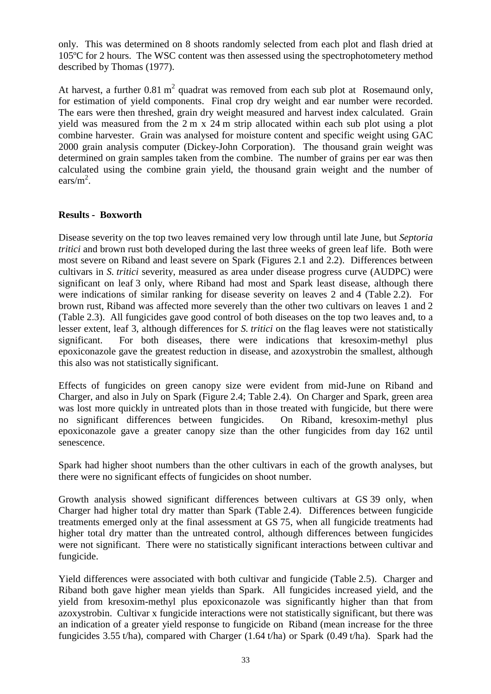only. This was determined on 8 shoots randomly selected from each plot and flash dried at 105ºC for 2 hours. The WSC content was then assessed using the spectrophotometery method described by Thomas (1977).

At harvest, a further 0.81  $m^2$  quadrat was removed from each sub plot at Rosemaund only, for estimation of yield components. Final crop dry weight and ear number were recorded. The ears were then threshed, grain dry weight measured and harvest index calculated. Grain yield was measured from the 2 m x 24 m strip allocated within each sub plot using a plot combine harvester. Grain was analysed for moisture content and specific weight using GAC 2000 grain analysis computer (Dickey-John Corporation). The thousand grain weight was determined on grain samples taken from the combine. The number of grains per ear was then calculated using the combine grain yield, the thousand grain weight and the number of ears/ $m^2$ .

### **Results - Boxworth**

Disease severity on the top two leaves remained very low through until late June, but *Septoria tritici* and brown rust both developed during the last three weeks of green leaf life. Both were most severe on Riband and least severe on Spark (Figures 2.1 and 2.2). Differences between cultivars in *S. tritici* severity, measured as area under disease progress curve (AUDPC) were significant on leaf 3 only, where Riband had most and Spark least disease, although there were indications of similar ranking for disease severity on leaves 2 and 4 (Table 2.2). For brown rust, Riband was affected more severely than the other two cultivars on leaves 1 and 2 (Table 2.3). All fungicides gave good control of both diseases on the top two leaves and, to a lesser extent, leaf 3, although differences for *S. tritici* on the flag leaves were not statistically significant. For both diseases, there were indications that kresoxim-methyl plus epoxiconazole gave the greatest reduction in disease, and azoxystrobin the smallest, although this also was not statistically significant.

Effects of fungicides on green canopy size were evident from mid-June on Riband and Charger, and also in July on Spark (Figure 2.4; Table 2.4). On Charger and Spark, green area was lost more quickly in untreated plots than in those treated with fungicide, but there were no significant differences between fungicides. On Riband, kresoxim-methyl plus epoxiconazole gave a greater canopy size than the other fungicides from day 162 until senescence.

Spark had higher shoot numbers than the other cultivars in each of the growth analyses, but there were no significant effects of fungicides on shoot number.

Growth analysis showed significant differences between cultivars at GS 39 only, when Charger had higher total dry matter than Spark (Table 2.4). Differences between fungicide treatments emerged only at the final assessment at GS 75, when all fungicide treatments had higher total dry matter than the untreated control, although differences between fungicides were not significant. There were no statistically significant interactions between cultivar and fungicide.

Yield differences were associated with both cultivar and fungicide (Table 2.5). Charger and Riband both gave higher mean yields than Spark. All fungicides increased yield, and the yield from kresoxim-methyl plus epoxiconazole was significantly higher than that from azoxystrobin. Cultivar x fungicide interactions were not statistically significant, but there was an indication of a greater yield response to fungicide on Riband (mean increase for the three fungicides 3.55 t/ha), compared with Charger (1.64 t/ha) or Spark (0.49 t/ha). Spark had the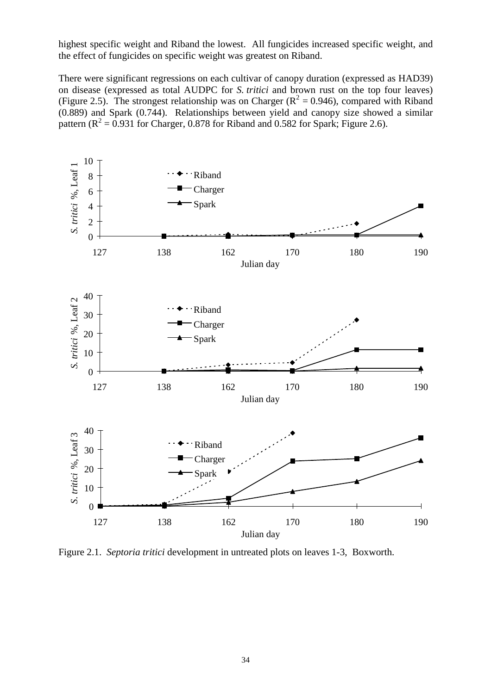highest specific weight and Riband the lowest. All fungicides increased specific weight, and the effect of fungicides on specific weight was greatest on Riband.

There were significant regressions on each cultivar of canopy duration (expressed as HAD39) on disease (expressed as total AUDPC for *S. tritici* and brown rust on the top four leaves) (Figure 2.5). The strongest relationship was on Charger ( $R^2 = 0.946$ ), compared with Riband (0.889) and Spark (0.744). Relationships between yield and canopy size showed a similar pattern  $(R^2 = 0.931$  for Charger, 0.878 for Riband and 0.582 for Spark; Figure 2.6).



Figure 2.1. *Septoria tritici* development in untreated plots on leaves 1-3, Boxworth.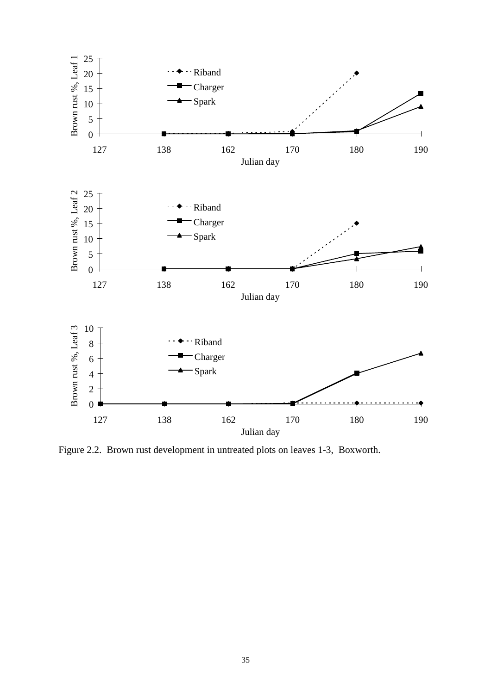

Figure 2.2. Brown rust development in untreated plots on leaves 1-3, Boxworth.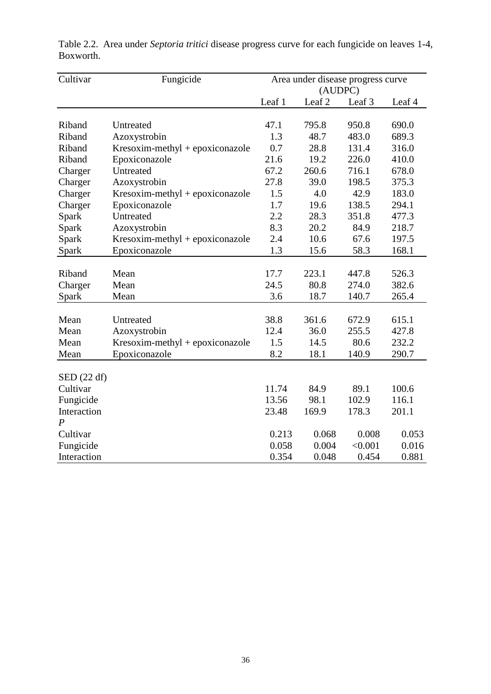| Cultivar             | Fungicide                         | Area under disease progress curve<br>(AUDPC) |                   |         |        |
|----------------------|-----------------------------------|----------------------------------------------|-------------------|---------|--------|
|                      |                                   | Leaf 1                                       | Leaf <sub>2</sub> | Leaf 3  | Leaf 4 |
|                      |                                   |                                              |                   |         |        |
| Riband               | Untreated                         | 47.1                                         | 795.8             | 950.8   | 690.0  |
| Riband               | Azoxystrobin                      | 1.3                                          | 48.7              | 483.0   | 689.3  |
| Riband               | $Kresoxim-methyl + epoxiconazole$ | 0.7                                          | 28.8              | 131.4   | 316.0  |
| Riband               | Epoxiconazole                     | 21.6                                         | 19.2              | 226.0   | 410.0  |
| Charger              | Untreated                         | 67.2                                         | 260.6             | 716.1   | 678.0  |
| Charger              | Azoxystrobin                      | 27.8                                         | 39.0              | 198.5   | 375.3  |
| Charger              | $Kresoxim-methyl + epoxiconazole$ | 1.5                                          | 4.0               | 42.9    | 183.0  |
| Charger              | Epoxiconazole                     | 1.7                                          | 19.6              | 138.5   | 294.1  |
| Spark                | Untreated                         | 2.2                                          | 28.3              | 351.8   | 477.3  |
| Spark                | Azoxystrobin                      | 8.3                                          | 20.2              | 84.9    | 218.7  |
| Spark                | Kresoxim-methyl + epoxiconazole   | 2.4                                          | 10.6              | 67.6    | 197.5  |
| Spark                | Epoxiconazole                     | 1.3                                          | 15.6              | 58.3    | 168.1  |
|                      |                                   |                                              |                   |         |        |
| Riband               | Mean                              | 17.7                                         | 223.1             | 447.8   | 526.3  |
| Charger              | Mean                              | 24.5                                         | 80.8              | 274.0   | 382.6  |
| Spark                | Mean                              | 3.6                                          | 18.7              | 140.7   | 265.4  |
|                      |                                   |                                              |                   |         |        |
| Mean                 | Untreated                         | 38.8                                         | 361.6             | 672.9   | 615.1  |
| Mean                 | Azoxystrobin                      | 12.4                                         | 36.0              | 255.5   | 427.8  |
| Mean                 | $Kresoxim-methyl + epoxiconazole$ | 1.5                                          | 14.5              | 80.6    | 232.2  |
| Mean                 | Epoxiconazole                     | 8.2                                          | 18.1              | 140.9   | 290.7  |
|                      |                                   |                                              |                   |         |        |
| $\text{SED}$ (22 df) |                                   |                                              |                   |         |        |
| Cultivar             |                                   | 11.74                                        | 84.9              | 89.1    | 100.6  |
| Fungicide            |                                   | 13.56                                        | 98.1              | 102.9   | 116.1  |
| Interaction          |                                   | 23.48                                        | 169.9             | 178.3   | 201.1  |
| P                    |                                   |                                              |                   |         |        |
| Cultivar             |                                   | 0.213                                        | 0.068             | 0.008   | 0.053  |
| Fungicide            |                                   | 0.058                                        | 0.004             | < 0.001 | 0.016  |
| Interaction          |                                   | 0.354                                        | 0.048             | 0.454   | 0.881  |

Table 2.2. Area under *Septoria tritici* disease progress curve for each fungicide on leaves 1-4, Boxworth.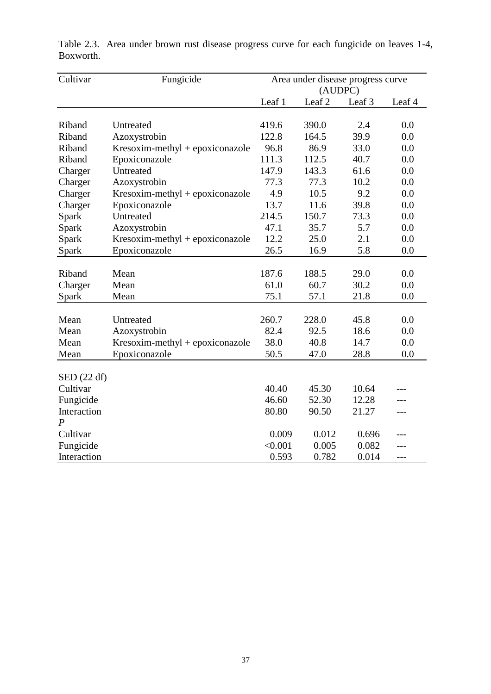| Cultivar             | Fungicide                         |         | Area under disease progress curve<br>(AUDPC) |        |        |
|----------------------|-----------------------------------|---------|----------------------------------------------|--------|--------|
|                      |                                   | Leaf 1  | Leaf <sub>2</sub>                            | Leaf 3 | Leaf 4 |
|                      |                                   |         |                                              |        |        |
| Riband               | Untreated                         | 419.6   | 390.0                                        | 2.4    | 0.0    |
| Riband               | Azoxystrobin                      | 122.8   | 164.5                                        | 39.9   | 0.0    |
| Riband               | Kresoxim-methyl + epoxiconazole   | 96.8    | 86.9                                         | 33.0   | 0.0    |
| Riband               | Epoxiconazole                     | 111.3   | 112.5                                        | 40.7   | 0.0    |
| Charger              | Untreated                         | 147.9   | 143.3                                        | 61.6   | 0.0    |
| Charger              | Azoxystrobin                      | 77.3    | 77.3                                         | 10.2   | 0.0    |
| Charger              | $Kresoxim-methyl + epoxiconazole$ | 4.9     | 10.5                                         | 9.2    | 0.0    |
| Charger              | Epoxiconazole                     | 13.7    | 11.6                                         | 39.8   | 0.0    |
| Spark                | Untreated                         | 214.5   | 150.7                                        | 73.3   | 0.0    |
| Spark                | Azoxystrobin                      | 47.1    | 35.7                                         | 5.7    | 0.0    |
| Spark                | $Kresoxim-methyl + epoxiconazole$ | 12.2    | 25.0                                         | 2.1    | 0.0    |
| Spark                | Epoxiconazole                     | 26.5    | 16.9                                         | 5.8    | 0.0    |
|                      |                                   |         |                                              |        |        |
| Riband               | Mean                              | 187.6   | 188.5                                        | 29.0   | 0.0    |
| Charger              | Mean                              | 61.0    | 60.7                                         | 30.2   | 0.0    |
| Spark                | Mean                              | 75.1    | 57.1                                         | 21.8   | 0.0    |
|                      |                                   |         |                                              |        |        |
| Mean                 | Untreated                         | 260.7   | 228.0                                        | 45.8   | 0.0    |
| Mean                 | Azoxystrobin                      | 82.4    | 92.5                                         | 18.6   | 0.0    |
| Mean                 | $Kresoxim-methyl + epoxiconazole$ | 38.0    | 40.8                                         | 14.7   | 0.0    |
| Mean                 | Epoxiconazole                     | 50.5    | 47.0                                         | 28.8   | 0.0    |
| $\text{SED}$ (22 df) |                                   |         |                                              |        |        |
| Cultivar             |                                   | 40.40   | 45.30                                        | 10.64  |        |
| Fungicide            |                                   | 46.60   | 52.30                                        | 12.28  |        |
| Interaction          |                                   | 80.80   | 90.50                                        |        |        |
| $\boldsymbol{P}$     |                                   |         |                                              | 21.27  | ---    |
|                      |                                   |         |                                              |        |        |
| Cultivar             |                                   | 0.009   | 0.012                                        | 0.696  |        |
| Fungicide            |                                   | < 0.001 | 0.005                                        | 0.082  | ---    |
| Interaction          |                                   | 0.593   | 0.782                                        | 0.014  |        |

Table 2.3. Area under brown rust disease progress curve for each fungicide on leaves 1-4, Boxworth.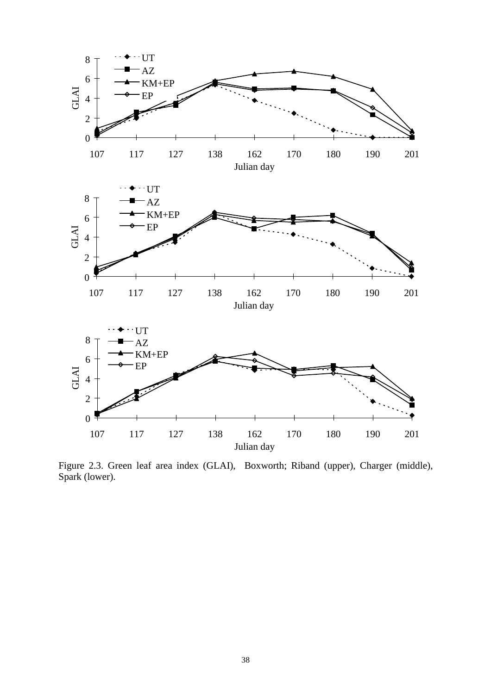

Figure 2.3. Green leaf area index (GLAI), Boxworth; Riband (upper), Charger (middle), Spark (lower).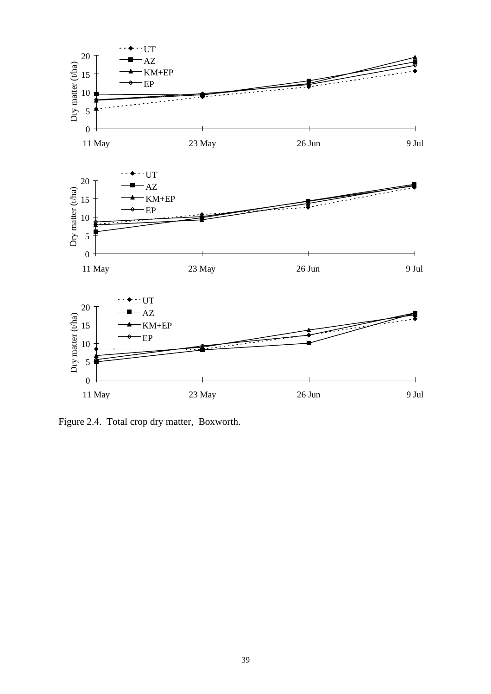

Figure 2.4. Total crop dry matter, Boxworth.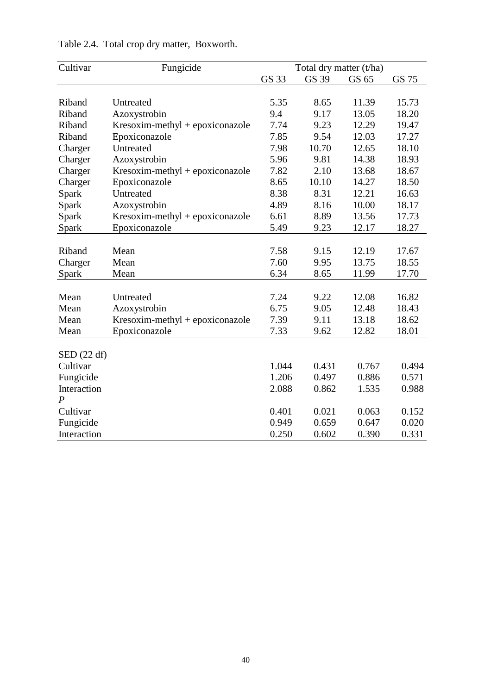| Cultivar          | Fungicide                         | Total dry matter (t/ha) |       |       |       |
|-------------------|-----------------------------------|-------------------------|-------|-------|-------|
|                   |                                   | GS 33                   | GS 39 | GS 65 | GS 75 |
|                   |                                   |                         |       |       |       |
| Riband            | Untreated                         | 5.35                    | 8.65  | 11.39 | 15.73 |
| Riband            | Azoxystrobin                      | 9.4                     | 9.17  | 13.05 | 18.20 |
| Riband            | $Kresoxim-methyl + epoxiconazole$ | 7.74                    | 9.23  | 12.29 | 19.47 |
| Riband            | Epoxiconazole                     | 7.85                    | 9.54  | 12.03 | 17.27 |
| Charger           | Untreated                         | 7.98                    | 10.70 | 12.65 | 18.10 |
| Charger           | Azoxystrobin                      | 5.96                    | 9.81  | 14.38 | 18.93 |
| Charger           | $Kresoxim-methyl + epoxiconazole$ | 7.82                    | 2.10  | 13.68 | 18.67 |
| Charger           | Epoxiconazole                     | 8.65                    | 10.10 | 14.27 | 18.50 |
| Spark             | Untreated                         | 8.38                    | 8.31  | 12.21 | 16.63 |
| Spark             | Azoxystrobin                      | 4.89                    | 8.16  | 10.00 | 18.17 |
| Spark             | Kresoxim-methyl + epoxiconazole   | 6.61                    | 8.89  | 13.56 | 17.73 |
| Spark             | Epoxiconazole                     | 5.49                    | 9.23  | 12.17 | 18.27 |
|                   |                                   |                         |       |       |       |
| Riband            | Mean                              | 7.58                    | 9.15  | 12.19 | 17.67 |
| Charger           | Mean                              | 7.60                    | 9.95  | 13.75 | 18.55 |
| Spark             | Mean                              | 6.34                    | 8.65  | 11.99 | 17.70 |
|                   |                                   |                         |       |       |       |
| Mean              | Untreated                         | 7.24                    | 9.22  | 12.08 | 16.82 |
| Mean              | Azoxystrobin                      | 6.75                    | 9.05  | 12.48 | 18.43 |
| Mean              | Kresoxim-methyl + epoxiconazole   | 7.39                    | 9.11  | 13.18 | 18.62 |
| Mean              | Epoxiconazole                     | 7.33                    | 9.62  | 12.82 | 18.01 |
|                   |                                   |                         |       |       |       |
| $\rm SED$ (22 df) |                                   |                         |       |       |       |
| Cultivar          |                                   | 1.044                   | 0.431 | 0.767 | 0.494 |
| Fungicide         |                                   | 1.206                   | 0.497 | 0.886 | 0.571 |
| Interaction       |                                   | 2.088                   | 0.862 | 1.535 | 0.988 |
| $\boldsymbol{P}$  |                                   |                         |       |       |       |
| Cultivar          |                                   | 0.401                   | 0.021 | 0.063 | 0.152 |
| Fungicide         |                                   | 0.949                   | 0.659 | 0.647 | 0.020 |
| Interaction       |                                   | 0.250                   | 0.602 | 0.390 | 0.331 |

# Table 2.4. Total crop dry matter, Boxworth.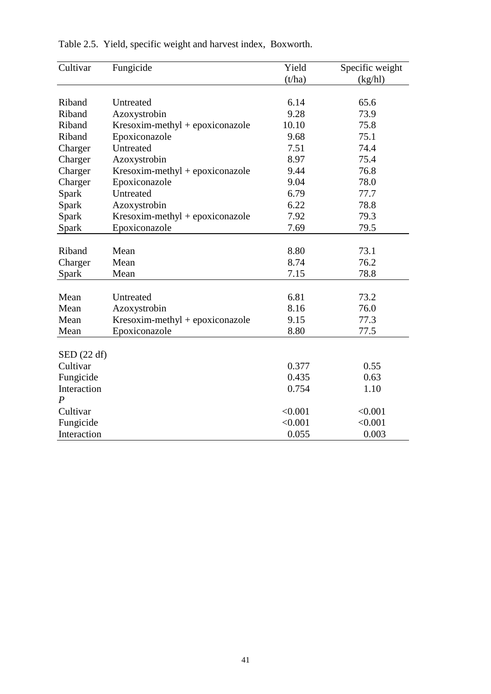| Cultivar             | Fungicide                         | Yield   | Specific weight |
|----------------------|-----------------------------------|---------|-----------------|
|                      |                                   | (t/ha)  | (kg/hl)         |
|                      |                                   |         |                 |
| Riband               | Untreated                         | 6.14    | 65.6            |
| Riband               | Azoxystrobin                      | 9.28    | 73.9            |
| Riband               | Kresoxim-methyl + epoxiconazole   | 10.10   | 75.8            |
| Riband               | Epoxiconazole                     | 9.68    | 75.1            |
| Charger              | Untreated                         | 7.51    | 74.4            |
| Charger              | Azoxystrobin                      | 8.97    | 75.4            |
| Charger              | $Kresoxim-methyl + epoxiconazole$ | 9.44    | 76.8            |
| Charger              | Epoxiconazole                     | 9.04    | 78.0            |
| Spark                | Untreated                         | 6.79    | 77.7            |
| Spark                | Azoxystrobin                      | 6.22    | 78.8            |
| Spark                | Kresoxim-methyl + epoxiconazole   | 7.92    | 79.3            |
| Spark                | Epoxiconazole                     | 7.69    | 79.5            |
|                      |                                   |         |                 |
| Riband               | Mean                              | 8.80    | 73.1            |
| Charger              | Mean                              | 8.74    | 76.2            |
| Spark                | Mean                              | 7.15    | 78.8            |
|                      |                                   |         |                 |
| Mean                 | Untreated                         | 6.81    | 73.2            |
| Mean                 | Azoxystrobin                      | 8.16    | 76.0            |
| Mean                 | $Kresoxim-methyl + epoxiconazole$ | 9.15    | 77.3            |
| Mean                 | Epoxiconazole                     | 8.80    | 77.5            |
| $\text{SED}$ (22 df) |                                   |         |                 |
| Cultivar             |                                   | 0.377   | 0.55            |
| Fungicide            |                                   | 0.435   | 0.63            |
| Interaction          |                                   | 0.754   | 1.10            |
| $\boldsymbol{P}$     |                                   |         |                 |
| Cultivar             |                                   | < 0.001 | < 0.001         |
| Fungicide            |                                   | < 0.001 | < 0.001         |
| Interaction          |                                   | 0.055   | 0.003           |

| Table 2.5. Yield, specific weight and harvest index, Boxworth. |  |  |  |  |  |
|----------------------------------------------------------------|--|--|--|--|--|
|----------------------------------------------------------------|--|--|--|--|--|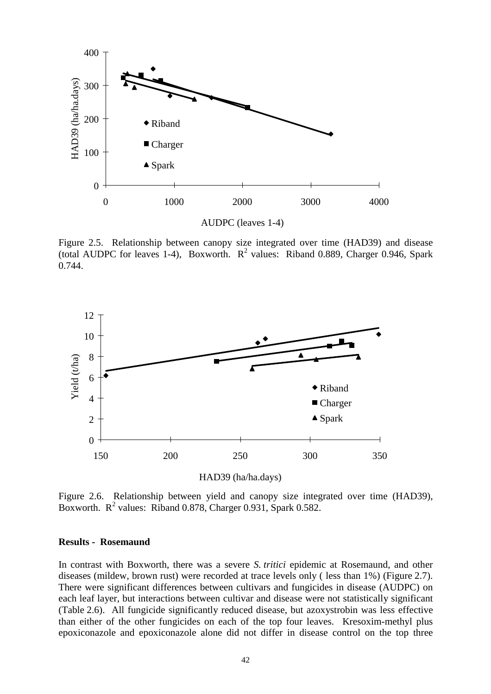

Figure 2.5. Relationship between canopy size integrated over time (HAD39) and disease (total AUDPC for leaves 1-4), Boxworth.  $R^2$  values: Riband 0.889, Charger 0.946, Spark 0.744.



Figure 2.6. Relationship between yield and canopy size integrated over time (HAD39), Boxworth.  $R^2$  values: Riband 0.878, Charger 0.931, Spark 0.582.

#### **Results - Rosemaund**

In contrast with Boxworth, there was a severe *S. tritici* epidemic at Rosemaund, and other diseases (mildew, brown rust) were recorded at trace levels only ( less than 1%) (Figure 2.7). There were significant differences between cultivars and fungicides in disease (AUDPC) on each leaf layer, but interactions between cultivar and disease were not statistically significant (Table 2.6). All fungicide significantly reduced disease, but azoxystrobin was less effective than either of the other fungicides on each of the top four leaves. Kresoxim-methyl plus epoxiconazole and epoxiconazole alone did not differ in disease control on the top three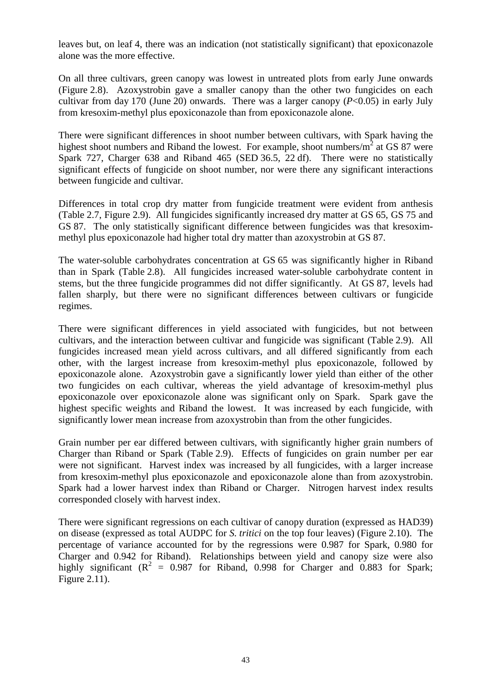leaves but, on leaf 4, there was an indication (not statistically significant) that epoxiconazole alone was the more effective.

On all three cultivars, green canopy was lowest in untreated plots from early June onwards (Figure 2.8). Azoxystrobin gave a smaller canopy than the other two fungicides on each cultivar from day 170 (June 20) onwards. There was a larger canopy (*P*<0.05) in early July from kresoxim-methyl plus epoxiconazole than from epoxiconazole alone.

There were significant differences in shoot number between cultivars, with Spark having the highest shoot numbers and Riband the lowest. For example, shoot numbers/ $m^2$  at GS 87 were Spark 727, Charger 638 and Riband 465 (SED 36.5, 22 df). There were no statistically significant effects of fungicide on shoot number, nor were there any significant interactions between fungicide and cultivar.

Differences in total crop dry matter from fungicide treatment were evident from anthesis (Table 2.7, Figure 2.9). All fungicides significantly increased dry matter at GS 65, GS 75 and GS 87. The only statistically significant difference between fungicides was that kresoximmethyl plus epoxiconazole had higher total dry matter than azoxystrobin at GS 87.

The water-soluble carbohydrates concentration at GS 65 was significantly higher in Riband than in Spark (Table 2.8). All fungicides increased water-soluble carbohydrate content in stems, but the three fungicide programmes did not differ significantly. At GS 87, levels had fallen sharply, but there were no significant differences between cultivars or fungicide regimes.

There were significant differences in yield associated with fungicides, but not between cultivars, and the interaction between cultivar and fungicide was significant (Table 2.9). All fungicides increased mean yield across cultivars, and all differed significantly from each other, with the largest increase from kresoxim-methyl plus epoxiconazole, followed by epoxiconazole alone. Azoxystrobin gave a significantly lower yield than either of the other two fungicides on each cultivar, whereas the yield advantage of kresoxim-methyl plus epoxiconazole over epoxiconazole alone was significant only on Spark. Spark gave the highest specific weights and Riband the lowest. It was increased by each fungicide, with significantly lower mean increase from azoxystrobin than from the other fungicides.

Grain number per ear differed between cultivars, with significantly higher grain numbers of Charger than Riband or Spark (Table 2.9). Effects of fungicides on grain number per ear were not significant. Harvest index was increased by all fungicides, with a larger increase from kresoxim-methyl plus epoxiconazole and epoxiconazole alone than from azoxystrobin. Spark had a lower harvest index than Riband or Charger. Nitrogen harvest index results corresponded closely with harvest index.

There were significant regressions on each cultivar of canopy duration (expressed as HAD39) on disease (expressed as total AUDPC for *S. tritici* on the top four leaves) (Figure 2.10). The percentage of variance accounted for by the regressions were 0.987 for Spark, 0.980 for Charger and 0.942 for Riband). Relationships between yield and canopy size were also highly significant  $(R^2 = 0.987$  for Riband, 0.998 for Charger and 0.883 for Spark; Figure 2.11).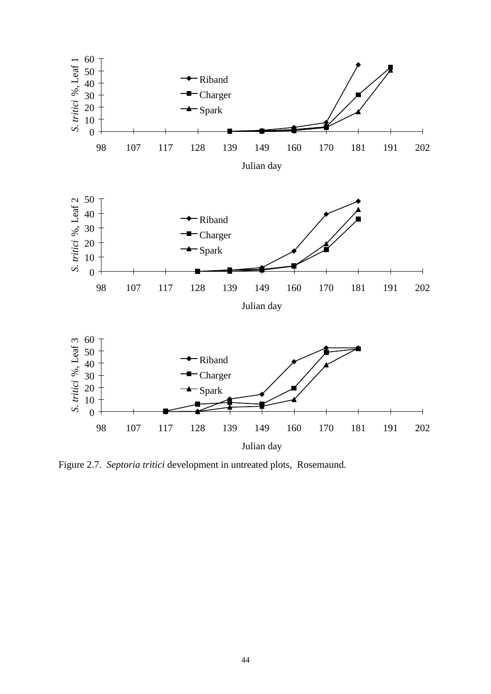

Figure 2.7. *Septoria tritici* development in untreated plots, Rosemaund.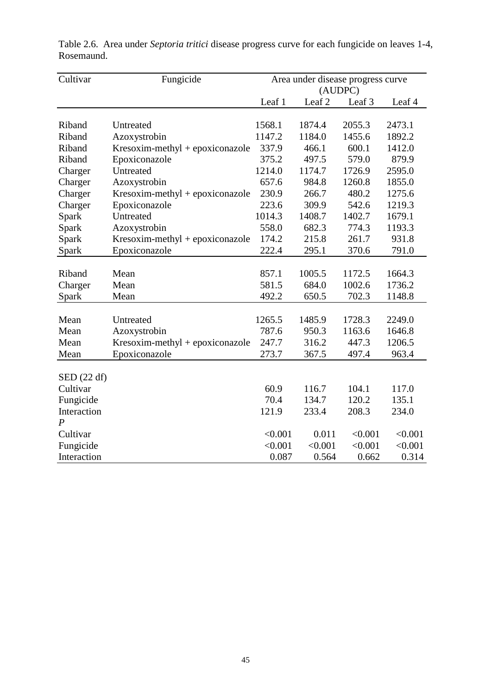| Cultivar               | Fungicide                         | Area under disease progress curve<br>(AUDPC) |                   |         |         |
|------------------------|-----------------------------------|----------------------------------------------|-------------------|---------|---------|
|                        |                                   | Leaf 1                                       | Leaf <sub>2</sub> | Leaf 3  | Leaf 4  |
|                        |                                   |                                              |                   |         |         |
| Riband                 | Untreated                         | 1568.1                                       | 1874.4            | 2055.3  | 2473.1  |
| Riband                 | Azoxystrobin                      | 1147.2                                       | 1184.0            | 1455.6  | 1892.2  |
| Riband                 | $Kresoxim-methyl + epoxiconazole$ | 337.9                                        | 466.1             | 600.1   | 1412.0  |
| Riband                 | Epoxiconazole                     | 375.2                                        | 497.5             | 579.0   | 879.9   |
| Charger                | Untreated                         | 1214.0                                       | 1174.7            | 1726.9  | 2595.0  |
| Charger                | Azoxystrobin                      | 657.6                                        | 984.8             | 1260.8  | 1855.0  |
| Charger                | $Kresoxim-methyl + epoxiconazole$ | 230.9                                        | 266.7             | 480.2   | 1275.6  |
| Charger                | Epoxiconazole                     | 223.6                                        | 309.9             | 542.6   | 1219.3  |
| Spark                  | Untreated                         | 1014.3                                       | 1408.7            | 1402.7  | 1679.1  |
| Spark                  | Azoxystrobin                      | 558.0                                        | 682.3             | 774.3   | 1193.3  |
| Spark                  | $Kresoxim-methyl + epoxiconazole$ | 174.2                                        | 215.8             | 261.7   | 931.8   |
| Spark                  | Epoxiconazole                     | 222.4                                        | 295.1             | 370.6   | 791.0   |
|                        |                                   |                                              |                   |         |         |
| Riband                 | Mean                              | 857.1                                        | 1005.5            | 1172.5  | 1664.3  |
| Charger                | Mean                              | 581.5                                        | 684.0             | 1002.6  | 1736.2  |
| Spark                  | Mean                              | 492.2                                        | 650.5             | 702.3   | 1148.8  |
|                        |                                   |                                              |                   |         |         |
| Mean                   | Untreated                         | 1265.5                                       | 1485.9            | 1728.3  | 2249.0  |
| Mean                   | Azoxystrobin                      | 787.6                                        | 950.3             | 1163.6  | 1646.8  |
| Mean                   | $Kresoxim-methyl + epoxiconazole$ | 247.7                                        | 316.2             | 447.3   | 1206.5  |
| Mean                   | Epoxiconazole                     | 273.7                                        | 367.5             | 497.4   | 963.4   |
|                        |                                   |                                              |                   |         |         |
| $\mathrm{SED}$ (22 df) |                                   |                                              |                   |         |         |
| Cultivar               |                                   | 60.9                                         | 116.7             | 104.1   | 117.0   |
| Fungicide              |                                   | 70.4                                         | 134.7             | 120.2   | 135.1   |
| Interaction            |                                   | 121.9                                        | 233.4             | 208.3   | 234.0   |
| P                      |                                   |                                              |                   |         |         |
| Cultivar               |                                   | < 0.001                                      | 0.011             | < 0.001 | < 0.001 |
| Fungicide              |                                   | < 0.001                                      | < 0.001           | < 0.001 | < 0.001 |
| Interaction            |                                   | 0.087                                        | 0.564             | 0.662   | 0.314   |

Table 2.6. Area under *Septoria tritici* disease progress curve for each fungicide on leaves 1-4, Rosemaund.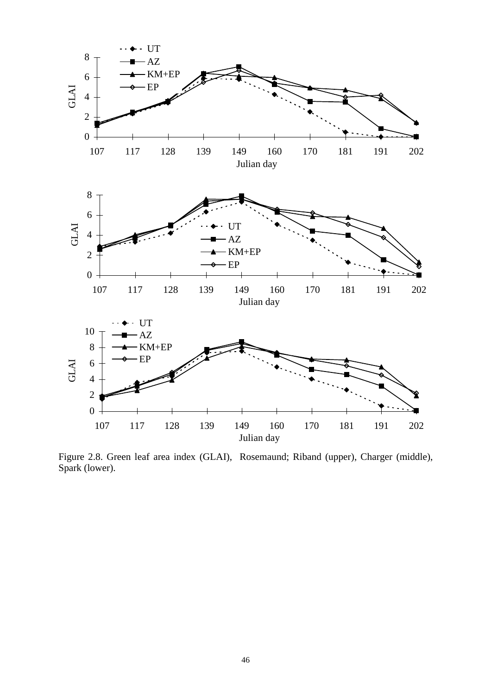

Figure 2.8. Green leaf area index (GLAI), Rosemaund; Riband (upper), Charger (middle), Spark (lower).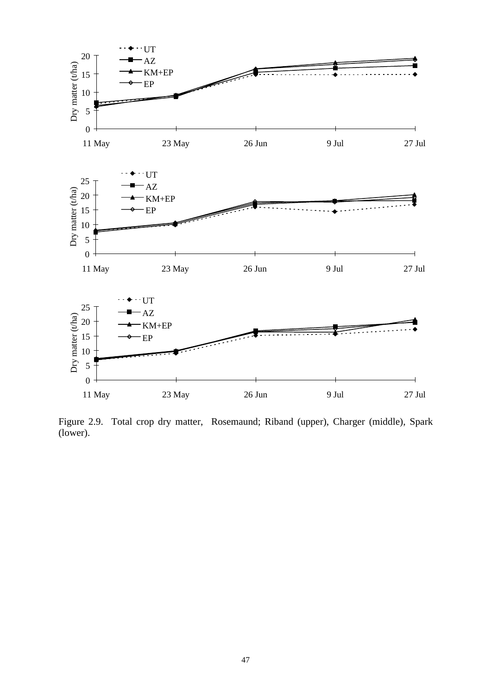

Figure 2.9. Total crop dry matter, Rosemaund; Riband (upper), Charger (middle), Spark (lower).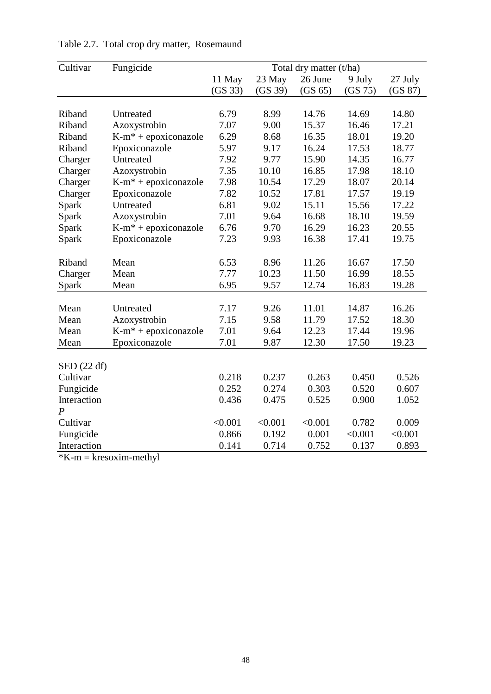| Cultivar             | Fungicide                        | Total dry matter (t/ha) |         |         |         |         |
|----------------------|----------------------------------|-------------------------|---------|---------|---------|---------|
|                      |                                  | 11 May                  | 23 May  | 26 June | 9 July  | 27 July |
|                      |                                  | (GS 33)                 | (GS 39) | (GS 65) | (GS 75) | (GS 87) |
|                      |                                  |                         |         |         |         |         |
| Riband               | Untreated                        | 6.79                    | 8.99    | 14.76   | 14.69   | 14.80   |
| Riband               | Azoxystrobin                     | 7.07                    | 9.00    | 15.37   | 16.46   | 17.21   |
| Riband               | $K-m^*$ + epoxiconazole          | 6.29                    | 8.68    | 16.35   | 18.01   | 19.20   |
| Riband               | Epoxiconazole                    | 5.97                    | 9.17    | 16.24   | 17.53   | 18.77   |
| Charger              | Untreated                        | 7.92                    | 9.77    | 15.90   | 14.35   | 16.77   |
| Charger              | Azoxystrobin                     | 7.35                    | 10.10   | 16.85   | 17.98   | 18.10   |
| Charger              | $K-m^*$ + epoxiconazole          | 7.98                    | 10.54   | 17.29   | 18.07   | 20.14   |
| Charger              | Epoxiconazole                    | 7.82                    | 10.52   | 17.81   | 17.57   | 19.19   |
| Spark                | Untreated                        | 6.81                    | 9.02    | 15.11   | 15.56   | 17.22   |
| Spark                | Azoxystrobin                     | 7.01                    | 9.64    | 16.68   | 18.10   | 19.59   |
| Spark                | $K-m^*$ + epoxiconazole          | 6.76                    | 9.70    | 16.29   | 16.23   | 20.55   |
| Spark                | Epoxiconazole                    | 7.23                    | 9.93    | 16.38   | 17.41   | 19.75   |
|                      |                                  |                         |         |         |         |         |
| Riband               | Mean                             | 6.53                    | 8.96    | 11.26   | 16.67   | 17.50   |
| Charger              | Mean                             | 7.77                    | 10.23   | 11.50   | 16.99   | 18.55   |
| Spark                | Mean                             | 6.95                    | 9.57    | 12.74   | 16.83   | 19.28   |
|                      |                                  |                         |         |         |         |         |
| Mean                 | Untreated                        | 7.17                    | 9.26    | 11.01   | 14.87   | 16.26   |
| Mean                 | Azoxystrobin                     | 7.15                    | 9.58    | 11.79   | 17.52   | 18.30   |
| Mean                 | K-m <sup>*</sup> + epoxiconazole | 7.01                    | 9.64    | 12.23   | 17.44   | 19.96   |
| Mean                 | Epoxiconazole                    | 7.01                    | 9.87    | 12.30   | 17.50   | 19.23   |
|                      |                                  |                         |         |         |         |         |
| $\text{SED}$ (22 df) |                                  |                         |         |         |         |         |
| Cultivar             |                                  | 0.218                   | 0.237   | 0.263   | 0.450   | 0.526   |
| Fungicide            |                                  | 0.252                   | 0.274   | 0.303   | 0.520   | 0.607   |
| Interaction          |                                  | 0.436                   | 0.475   | 0.525   | 0.900   | 1.052   |
| $\boldsymbol{P}$     |                                  |                         |         |         |         |         |
| Cultivar             |                                  | < 0.001                 | < 0.001 | < 0.001 | 0.782   | 0.009   |
| Fungicide            |                                  | 0.866                   | 0.192   | 0.001   | < 0.001 | < 0.001 |
| Interaction          |                                  | 0.141                   | 0.714   | 0.752   | 0.137   | 0.893   |

Table 2.7. Total crop dry matter, Rosemaund

 $*K-m = kresoxim-methyl$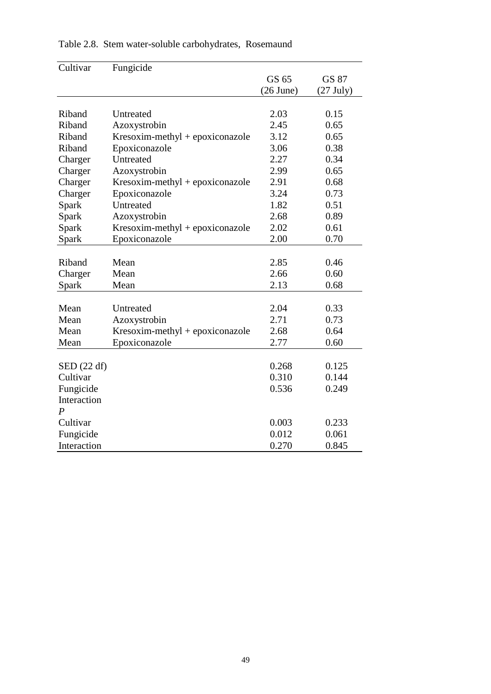| Cultivar             | Fungicide                         |             |             |
|----------------------|-----------------------------------|-------------|-------------|
|                      |                                   | GS 65       | GS 87       |
|                      |                                   | $(26$ June) | $(27$ July) |
|                      |                                   |             |             |
| Riband               | Untreated                         | 2.03        | 0.15        |
| Riband               | Azoxystrobin                      | 2.45        | 0.65        |
| Riband               | $Kresoxim-methyl + epoxiconazole$ | 3.12        | 0.65        |
| Riband               | Epoxiconazole                     | 3.06        | 0.38        |
| Charger              | Untreated                         | 2.27        | 0.34        |
| Charger              | Azoxystrobin                      | 2.99        | 0.65        |
| Charger              | $Kresoxim-methyl + epoxiconazole$ | 2.91        | 0.68        |
| Charger              | Epoxiconazole                     | 3.24        | 0.73        |
| Spark                | Untreated                         | 1.82        | 0.51        |
| Spark                | Azoxystrobin                      | 2.68        | 0.89        |
| Spark                | $Kresoxim-methyl + epoxiconazole$ | 2.02        | 0.61        |
| Spark                | Epoxiconazole                     | 2.00        | 0.70        |
|                      |                                   |             |             |
| Riband               | Mean                              | 2.85        | 0.46        |
| Charger              | Mean                              | 2.66        | 0.60        |
| Spark                | Mean                              | 2.13        | 0.68        |
|                      |                                   |             |             |
| Mean                 | Untreated                         | 2.04        | 0.33        |
| Mean                 | Azoxystrobin                      | 2.71        | 0.73        |
| Mean                 | Kresoxim-methyl + epoxiconazole   | 2.68        | 0.64        |
| Mean                 | Epoxiconazole                     | 2.77        | 0.60        |
|                      |                                   |             |             |
| $\text{SED}$ (22 df) |                                   | 0.268       | 0.125       |
| Cultivar             |                                   | 0.310       | 0.144       |
| Fungicide            |                                   | 0.536       | 0.249       |
| Interaction          |                                   |             |             |
| $\boldsymbol{P}$     |                                   |             |             |
| Cultivar             |                                   | 0.003       | 0.233       |
| Fungicide            |                                   | 0.012       | 0.061       |
| Interaction          |                                   | 0.270       | 0.845       |

# Table 2.8. Stem water-soluble carbohydrates, Rosemaund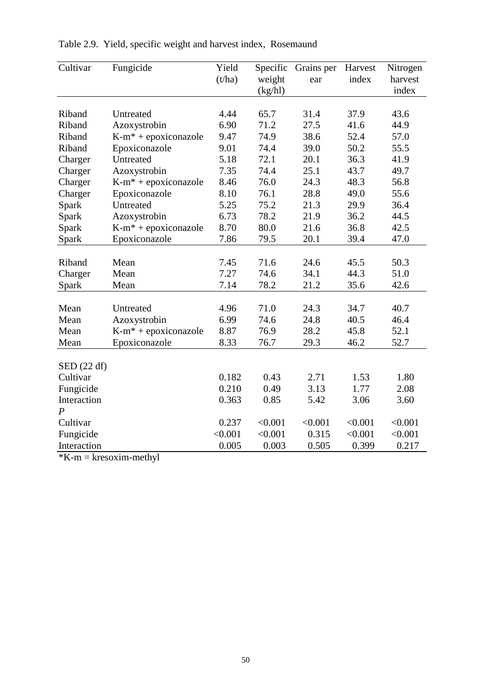| Cultivar         | Fungicide                        | Yield   | Specific | Grains per | Harvest | Nitrogen |
|------------------|----------------------------------|---------|----------|------------|---------|----------|
|                  |                                  | (t/ha)  | weight   | ear        | index   | harvest  |
|                  |                                  |         | (kg/hl)  |            |         | index    |
|                  |                                  |         |          |            |         |          |
| Riband           | Untreated                        | 4.44    | 65.7     | 31.4       | 37.9    | 43.6     |
| Riband           | Azoxystrobin                     | 6.90    | 71.2     | 27.5       | 41.6    | 44.9     |
| Riband           | $K-m^*$ + epoxiconazole          | 9.47    | 74.9     | 38.6       | 52.4    | 57.0     |
| Riband           | Epoxiconazole                    | 9.01    | 74.4     | 39.0       | 50.2    | 55.5     |
| Charger          | Untreated                        | 5.18    | 72.1     | 20.1       | 36.3    | 41.9     |
| Charger          | Azoxystrobin                     | 7.35    | 74.4     | 25.1       | 43.7    | 49.7     |
| Charger          | $K-m^*$ + epoxiconazole          | 8.46    | 76.0     | 24.3       | 48.3    | 56.8     |
| Charger          | Epoxiconazole                    | 8.10    | 76.1     | 28.8       | 49.0    | 55.6     |
| Spark            | Untreated                        | 5.25    | 75.2     | 21.3       | 29.9    | 36.4     |
| Spark            | Azoxystrobin                     | 6.73    | 78.2     | 21.9       | 36.2    | 44.5     |
| Spark            | $K-m^*$ + epoxiconazole          | 8.70    | 80.0     | 21.6       | 36.8    | 42.5     |
| Spark            | Epoxiconazole                    | 7.86    | 79.5     | 20.1       | 39.4    | 47.0     |
|                  |                                  |         |          |            |         |          |
| Riband           | Mean                             | 7.45    | 71.6     | 24.6       | 45.5    | 50.3     |
| Charger          | Mean                             | 7.27    | 74.6     | 34.1       | 44.3    | 51.0     |
| Spark            | Mean                             | 7.14    | 78.2     | 21.2       | 35.6    | 42.6     |
|                  |                                  |         |          |            |         |          |
| Mean             | Untreated                        | 4.96    | 71.0     | 24.3       | 34.7    | 40.7     |
| Mean             | Azoxystrobin                     | 6.99    | 74.6     | 24.8       | 40.5    | 46.4     |
| Mean             | K-m <sup>*</sup> + epoxiconazole | 8.87    | 76.9     | 28.2       | 45.8    | 52.1     |
| Mean             | Epoxiconazole                    | 8.33    | 76.7     | 29.3       | 46.2    | 52.7     |
|                  |                                  |         |          |            |         |          |
| SED (22 df)      |                                  |         |          |            |         |          |
| Cultivar         |                                  | 0.182   | 0.43     | 2.71       | 1.53    | 1.80     |
| Fungicide        |                                  | 0.210   | 0.49     | 3.13       | 1.77    | 2.08     |
| Interaction      |                                  | 0.363   | 0.85     | 5.42       | 3.06    | 3.60     |
| $\boldsymbol{P}$ |                                  |         |          |            |         |          |
| Cultivar         |                                  | 0.237   | < 0.001  | < 0.001    | < 0.001 | < 0.001  |
| Fungicide        |                                  | < 0.001 | < 0.001  | 0.315      | < 0.001 | < 0.001  |
| Interaction      |                                  | 0.005   | 0.003    | 0.505      | 0.399   | 0.217    |

| Table 2.9. Yield, specific weight and harvest index, Rosemaund |  |  |  |
|----------------------------------------------------------------|--|--|--|
|----------------------------------------------------------------|--|--|--|

 $*K-m = kresoxim-methyl$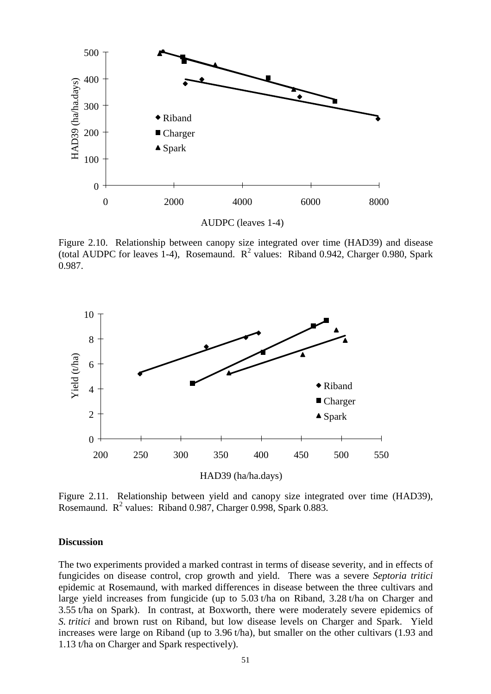

Figure 2.10. Relationship between canopy size integrated over time (HAD39) and disease (total AUDPC for leaves 1-4), Rosemaund.  $R^2$  values: Riband 0.942, Charger 0.980, Spark 0.987.



Figure 2.11. Relationship between yield and canopy size integrated over time (HAD39), Rosemaund.  $R^2$  values: Riband 0.987, Charger 0.998, Spark 0.883.

#### **Discussion**

The two experiments provided a marked contrast in terms of disease severity, and in effects of fungicides on disease control, crop growth and yield. There was a severe *Septoria tritici* epidemic at Rosemaund, with marked differences in disease between the three cultivars and large yield increases from fungicide (up to 5.03 t/ha on Riband, 3.28 t/ha on Charger and 3.55 t/ha on Spark). In contrast, at Boxworth, there were moderately severe epidemics of *S. tritici* and brown rust on Riband, but low disease levels on Charger and Spark. Yield increases were large on Riband (up to 3.96 t/ha), but smaller on the other cultivars (1.93 and 1.13 t/ha on Charger and Spark respectively).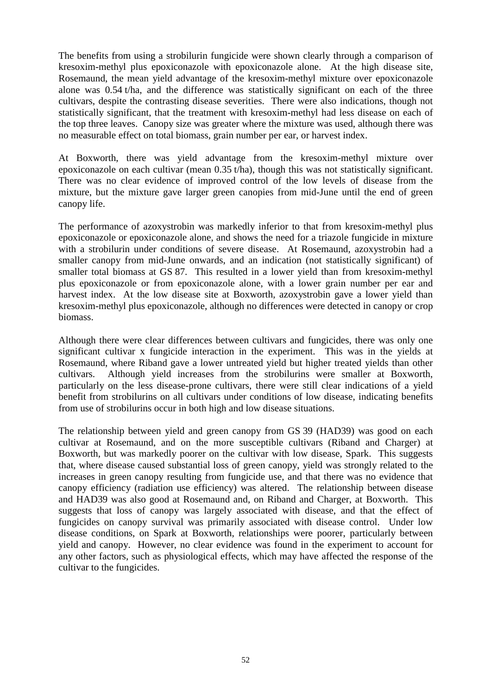The benefits from using a strobilurin fungicide were shown clearly through a comparison of kresoxim-methyl plus epoxiconazole with epoxiconazole alone. At the high disease site, Rosemaund, the mean yield advantage of the kresoxim-methyl mixture over epoxiconazole alone was 0.54 t/ha, and the difference was statistically significant on each of the three cultivars, despite the contrasting disease severities. There were also indications, though not statistically significant, that the treatment with kresoxim-methyl had less disease on each of the top three leaves. Canopy size was greater where the mixture was used, although there was no measurable effect on total biomass, grain number per ear, or harvest index.

At Boxworth, there was yield advantage from the kresoxim-methyl mixture over epoxiconazole on each cultivar (mean 0.35 t/ha), though this was not statistically significant. There was no clear evidence of improved control of the low levels of disease from the mixture, but the mixture gave larger green canopies from mid-June until the end of green canopy life.

The performance of azoxystrobin was markedly inferior to that from kresoxim-methyl plus epoxiconazole or epoxiconazole alone, and shows the need for a triazole fungicide in mixture with a strobilurin under conditions of severe disease. At Rosemaund, azoxystrobin had a smaller canopy from mid-June onwards, and an indication (not statistically significant) of smaller total biomass at GS 87. This resulted in a lower yield than from kresoxim-methyl plus epoxiconazole or from epoxiconazole alone, with a lower grain number per ear and harvest index. At the low disease site at Boxworth, azoxystrobin gave a lower yield than kresoxim-methyl plus epoxiconazole, although no differences were detected in canopy or crop biomass.

Although there were clear differences between cultivars and fungicides, there was only one significant cultivar x fungicide interaction in the experiment. This was in the yields at Rosemaund, where Riband gave a lower untreated yield but higher treated yields than other cultivars. Although yield increases from the strobilurins were smaller at Boxworth, particularly on the less disease-prone cultivars, there were still clear indications of a yield benefit from strobilurins on all cultivars under conditions of low disease, indicating benefits from use of strobilurins occur in both high and low disease situations.

The relationship between yield and green canopy from GS 39 (HAD39) was good on each cultivar at Rosemaund, and on the more susceptible cultivars (Riband and Charger) at Boxworth, but was markedly poorer on the cultivar with low disease, Spark. This suggests that, where disease caused substantial loss of green canopy, yield was strongly related to the increases in green canopy resulting from fungicide use, and that there was no evidence that canopy efficiency (radiation use efficiency) was altered. The relationship between disease and HAD39 was also good at Rosemaund and, on Riband and Charger, at Boxworth. This suggests that loss of canopy was largely associated with disease, and that the effect of fungicides on canopy survival was primarily associated with disease control. Under low disease conditions, on Spark at Boxworth, relationships were poorer, particularly between yield and canopy. However, no clear evidence was found in the experiment to account for any other factors, such as physiological effects, which may have affected the response of the cultivar to the fungicides.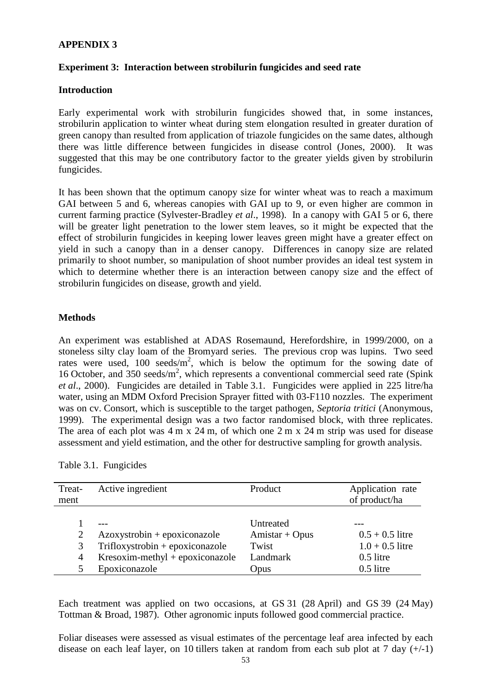## **APPENDIX 3**

## **Experiment 3: Interaction between strobilurin fungicides and seed rate**

### **Introduction**

Early experimental work with strobilurin fungicides showed that, in some instances, strobilurin application to winter wheat during stem elongation resulted in greater duration of green canopy than resulted from application of triazole fungicides on the same dates, although there was little difference between fungicides in disease control (Jones, 2000). It was suggested that this may be one contributory factor to the greater yields given by strobilurin fungicides.

It has been shown that the optimum canopy size for winter wheat was to reach a maximum GAI between 5 and 6, whereas canopies with GAI up to 9, or even higher are common in current farming practice (Sylvester-Bradley *et al*., 1998). In a canopy with GAI 5 or 6, there will be greater light penetration to the lower stem leaves, so it might be expected that the effect of strobilurin fungicides in keeping lower leaves green might have a greater effect on yield in such a canopy than in a denser canopy. Differences in canopy size are related primarily to shoot number, so manipulation of shoot number provides an ideal test system in which to determine whether there is an interaction between canopy size and the effect of strobilurin fungicides on disease, growth and yield.

### **Methods**

An experiment was established at ADAS Rosemaund, Herefordshire, in 1999/2000, on a stoneless silty clay loam of the Bromyard series. The previous crop was lupins. Two seed rates were used,  $100 \text{ seeds/m}^2$ , which is below the optimum for the sowing date of 16 October, and 350 seeds/m<sup>2</sup>, which represents a conventional commercial seed rate (Spink *et al*., 2000). Fungicides are detailed in Table 3.1. Fungicides were applied in 225 litre/ha water, using an MDM Oxford Precision Sprayer fitted with 03-F110 nozzles. The experiment was on cv. Consort, which is susceptible to the target pathogen, *Septoria tritici* (Anonymous, 1999). The experimental design was a two factor randomised block, with three replicates. The area of each plot was 4 m x 24 m, of which one 2 m x 24 m strip was used for disease assessment and yield estimation, and the other for destructive sampling for growth analysis.

|  | Table 3.1. Fungicides |
|--|-----------------------|
|--|-----------------------|

| Treat-<br>ment           | Active ingredient                                                                                                       | Product                                                    | Application rate<br>of product/ha                                    |
|--------------------------|-------------------------------------------------------------------------------------------------------------------------|------------------------------------------------------------|----------------------------------------------------------------------|
| 2<br>3<br>$\overline{4}$ | $Azoxystrobin + epoxiconazole$<br>Trifloxystrobin + epoxiconazole<br>$Kresoxim-methyl + epoxiconazole$<br>Epoxiconazole | Untreated<br>$Amistar + Opus$<br>Twist<br>Landmark<br>Opus | $0.5 + 0.5$ litre<br>$1.0 + 0.5$ litre<br>$0.5$ litre<br>$0.5$ litre |

Each treatment was applied on two occasions, at GS 31 (28 April) and GS 39 (24 May) Tottman & Broad, 1987). Other agronomic inputs followed good commercial practice.

Foliar diseases were assessed as visual estimates of the percentage leaf area infected by each disease on each leaf layer, on 10 tillers taken at random from each sub plot at 7 day  $(+/-1)$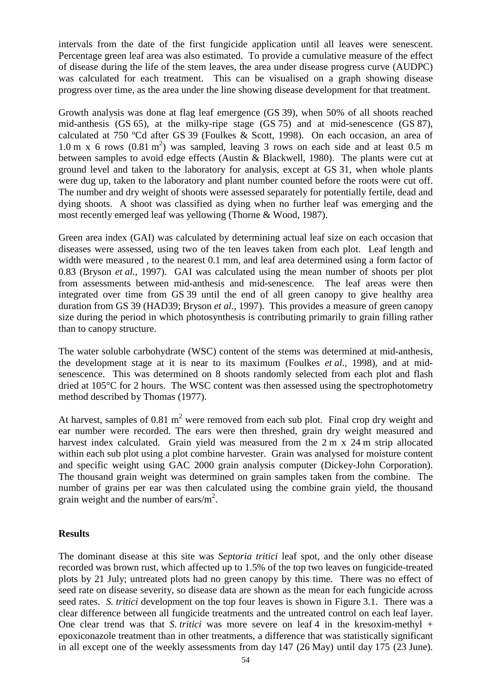intervals from the date of the first fungicide application until all leaves were senescent. Percentage green leaf area was also estimated. To provide a cumulative measure of the effect of disease during the life of the stem leaves, the area under disease progress curve (AUDPC) was calculated for each treatment. This can be visualised on a graph showing disease progress over time, as the area under the line showing disease development for that treatment.

Growth analysis was done at flag leaf emergence (GS 39), when 50% of all shoots reached mid-anthesis (GS 65), at the milky-ripe stage (GS 75) and at mid-senescence (GS 87), calculated at 750 ºCd after GS 39 (Foulkes & Scott, 1998). On each occasion, an area of  $1.0 \text{ m}$  x 6 rows  $(0.81 \text{ m}^2)$  was sampled, leaving 3 rows on each side and at least 0.5 m between samples to avoid edge effects (Austin & Blackwell, 1980). The plants were cut at ground level and taken to the laboratory for analysis, except at GS 31, when whole plants were dug up, taken to the laboratory and plant number counted before the roots were cut off. The number and dry weight of shoots were assessed separately for potentially fertile, dead and dying shoots. A shoot was classified as dying when no further leaf was emerging and the most recently emerged leaf was yellowing (Thorne & Wood, 1987).

Green area index (GAI) was calculated by determining actual leaf size on each occasion that diseases were assessed, using two of the ten leaves taken from each plot. Leaf length and width were measured , to the nearest 0.1 mm, and leaf area determined using a form factor of 0.83 (Bryson *et al*., 1997). GAI was calculated using the mean number of shoots per plot from assessments between mid-anthesis and mid-senescence. The leaf areas were then integrated over time from GS 39 until the end of all green canopy to give healthy area duration from GS 39 (HAD39; Bryson *et al.,* 1997). This provides a measure of green canopy size during the period in which photosynthesis is contributing primarily to grain filling rather than to canopy structure.

The water soluble carbohydrate (WSC) content of the stems was determined at mid-anthesis, the development stage at it is near to its maximum (Foulkes *et al*., 1998), and at midsenescence. This was determined on 8 shoots randomly selected from each plot and flash dried at 105°C for 2 hours. The WSC content was then assessed using the spectrophotometry method described by Thomas (1977).

At harvest, samples of 0.81 m<sup>2</sup> were removed from each sub plot. Final crop dry weight and ear number were recorded. The ears were then threshed, grain dry weight measured and harvest index calculated. Grain yield was measured from the 2 m x 24 m strip allocated within each sub plot using a plot combine harvester. Grain was analysed for moisture content and specific weight using GAC 2000 grain analysis computer (Dickey-John Corporation). The thousand grain weight was determined on grain samples taken from the combine. The number of grains per ear was then calculated using the combine grain yield, the thousand grain weight and the number of ears/m<sup>2</sup>.

### **Results**

The dominant disease at this site was *Septoria tritici* leaf spot, and the only other disease recorded was brown rust, which affected up to 1.5% of the top two leaves on fungicide-treated plots by 21 July; untreated plots had no green canopy by this time. There was no effect of seed rate on disease severity, so disease data are shown as the mean for each fungicide across seed rates. *S. tritici* development on the top four leaves is shown in Figure 3.1. There was a clear difference between all fungicide treatments and the untreated control on each leaf layer. One clear trend was that *S. tritici* was more severe on leaf 4 in the kresoxim-methyl + epoxiconazole treatment than in other treatments, a difference that was statistically significant in all except one of the weekly assessments from day 147 (26 May) until day 175 (23 June).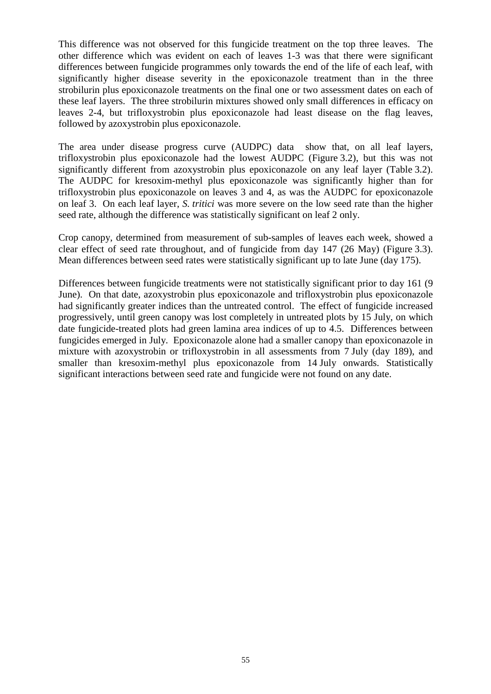This difference was not observed for this fungicide treatment on the top three leaves. The other difference which was evident on each of leaves 1-3 was that there were significant differences between fungicide programmes only towards the end of the life of each leaf, with significantly higher disease severity in the epoxiconazole treatment than in the three strobilurin plus epoxiconazole treatments on the final one or two assessment dates on each of these leaf layers. The three strobilurin mixtures showed only small differences in efficacy on leaves 2-4, but trifloxystrobin plus epoxiconazole had least disease on the flag leaves, followed by azoxystrobin plus epoxiconazole.

The area under disease progress curve (AUDPC) data show that, on all leaf layers, trifloxystrobin plus epoxiconazole had the lowest AUDPC (Figure 3.2), but this was not significantly different from azoxystrobin plus epoxiconazole on any leaf layer (Table 3.2). The AUDPC for kresoxim-methyl plus epoxiconazole was significantly higher than for trifloxystrobin plus epoxiconazole on leaves 3 and 4, as was the AUDPC for epoxiconazole on leaf 3. On each leaf layer, *S. tritici* was more severe on the low seed rate than the higher seed rate, although the difference was statistically significant on leaf 2 only.

Crop canopy, determined from measurement of sub-samples of leaves each week, showed a clear effect of seed rate throughout, and of fungicide from day 147 (26 May) (Figure 3.3). Mean differences between seed rates were statistically significant up to late June (day 175).

Differences between fungicide treatments were not statistically significant prior to day 161 (9 June). On that date, azoxystrobin plus epoxiconazole and trifloxystrobin plus epoxiconazole had significantly greater indices than the untreated control. The effect of fungicide increased progressively, until green canopy was lost completely in untreated plots by 15 July, on which date fungicide-treated plots had green lamina area indices of up to 4.5. Differences between fungicides emerged in July. Epoxiconazole alone had a smaller canopy than epoxiconazole in mixture with azoxystrobin or trifloxystrobin in all assessments from 7 July (day 189), and smaller than kresoxim-methyl plus epoxiconazole from 14 July onwards. Statistically significant interactions between seed rate and fungicide were not found on any date.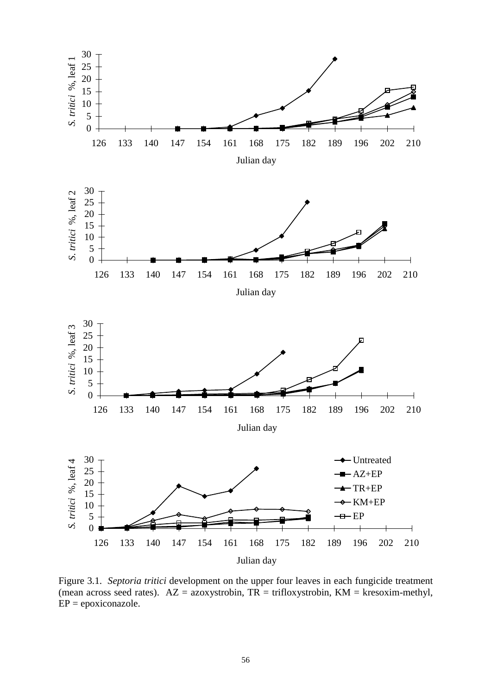

Figure 3.1. *Septoria tritici* development on the upper four leaves in each fungicide treatment (mean across seed rates).  $AZ = azoxystrobin, TR = trifloxystrobin, KM = kresoxim-methyl,$  $EP = epoxiconazole.$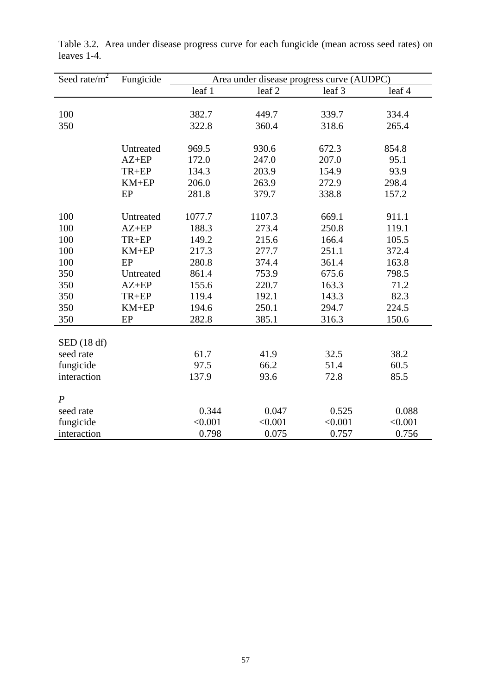| Seed rate/ $\overline{m^2}$ | Fungicide | Area under disease progress curve (AUDPC) |                   |         |         |
|-----------------------------|-----------|-------------------------------------------|-------------------|---------|---------|
|                             |           | leaf 1                                    | leaf <sub>2</sub> | leaf 3  | leaf 4  |
|                             |           |                                           |                   |         |         |
| 100                         |           | 382.7                                     | 449.7             | 339.7   | 334.4   |
| 350                         |           | 322.8                                     | 360.4             | 318.6   | 265.4   |
|                             |           |                                           |                   |         |         |
|                             | Untreated | 969.5                                     | 930.6             | 672.3   | 854.8   |
|                             | $AZ+EP$   | 172.0                                     | 247.0             | 207.0   | 95.1    |
|                             | TR+EP     | 134.3                                     | 203.9             | 154.9   | 93.9    |
|                             | $KM+EP$   | 206.0                                     | 263.9             | 272.9   | 298.4   |
|                             | EP        | 281.8                                     | 379.7             | 338.8   | 157.2   |
|                             |           |                                           |                   |         |         |
| 100                         | Untreated | 1077.7                                    | 1107.3            | 669.1   | 911.1   |
| 100                         | $AZ+EP$   | 188.3                                     | 273.4             | 250.8   | 119.1   |
| 100                         | TR+EP     | 149.2                                     | 215.6             | 166.4   | 105.5   |
| 100                         | $KM+EP$   | 217.3                                     | 277.7             | 251.1   | 372.4   |
| 100                         | EP        | 280.8                                     | 374.4             | 361.4   | 163.8   |
| 350                         | Untreated | 861.4                                     | 753.9             | 675.6   | 798.5   |
| 350                         | $AZ+EP$   | 155.6                                     | 220.7             | 163.3   | 71.2    |
| 350                         | TR+EP     | 119.4                                     | 192.1             | 143.3   | 82.3    |
| 350                         | $KM+EP$   | 194.6                                     | 250.1             | 294.7   | 224.5   |
| 350                         | EP        | 282.8                                     | 385.1             | 316.3   | 150.6   |
|                             |           |                                           |                   |         |         |
| SED(18 df)                  |           |                                           |                   |         |         |
| seed rate                   |           | 61.7                                      | 41.9              | 32.5    | 38.2    |
| fungicide                   |           | 97.5                                      | 66.2              | 51.4    | 60.5    |
| interaction                 |           | 137.9                                     | 93.6              | 72.8    | 85.5    |
|                             |           |                                           |                   |         |         |
| $\boldsymbol{P}$            |           |                                           |                   |         |         |
| seed rate                   |           | 0.344                                     | 0.047             | 0.525   | 0.088   |
| fungicide                   |           | < 0.001                                   | < 0.001           | < 0.001 | < 0.001 |
| interaction                 |           | 0.798                                     | 0.075             | 0.757   | 0.756   |

Table 3.2. Area under disease progress curve for each fungicide (mean across seed rates) on leaves 1-4.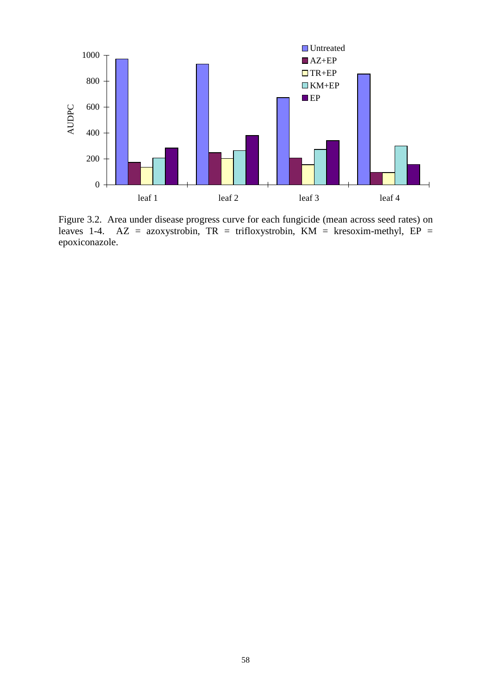

Figure 3.2. Area under disease progress curve for each fungicide (mean across seed rates) on leaves 1-4. AZ = azoxystrobin, TR = trifloxystrobin, KM = kresoxim-methyl, EP = epoxiconazole.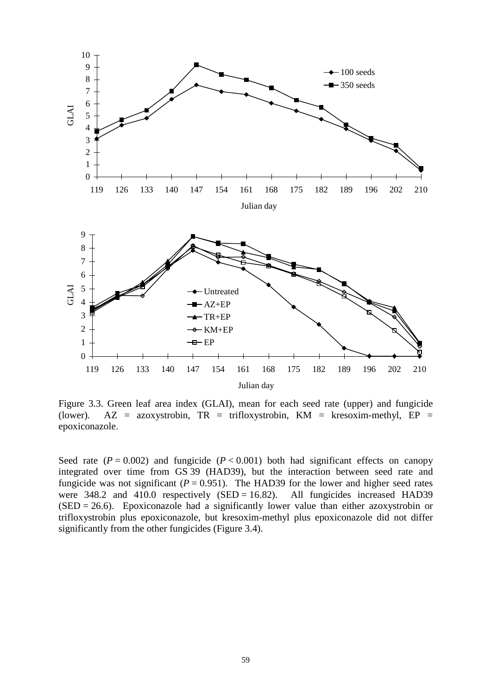

Figure 3.3. Green leaf area index (GLAI), mean for each seed rate (upper) and fungicide (lower). AZ = azoxystrobin,  $TR = \text{trifloxyst}$ robin,  $KM = \text{kresoxim-methyl}$ ,  $EP =$ epoxiconazole.

Seed rate  $(P = 0.002)$  and fungicide  $(P < 0.001)$  both had significant effects on canopy integrated over time from GS 39 (HAD39), but the interaction between seed rate and fungicide was not significant  $(P = 0.951)$ . The HAD39 for the lower and higher seed rates were  $348.2$  and  $410.0$  respectively (SED = 16.82). All fungicides increased HAD39  $(SED = 26.6)$ . Epoxiconazole had a significantly lower value than either azoxystrobin or trifloxystrobin plus epoxiconazole, but kresoxim-methyl plus epoxiconazole did not differ significantly from the other fungicides (Figure 3.4).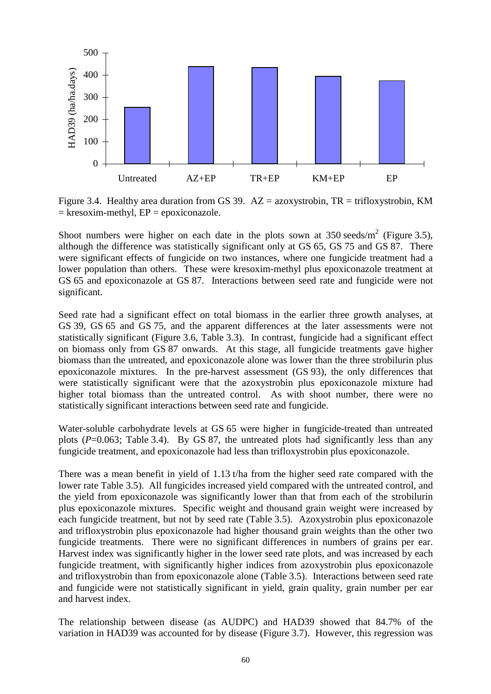

Figure 3.4. Healthy area duration from GS 39.  $AZ = azoxystrobin, TR = trifloxystrobin, KM$  $=$  kresoxim-methyl,  $EP = epoxiconazole$ .

Shoot numbers were higher on each date in the plots sown at  $350 \text{ seeds/m}^2$  (Figure 3.5), although the difference was statistically significant only at GS 65, GS 75 and GS 87. There were significant effects of fungicide on two instances, where one fungicide treatment had a lower population than others. These were kresoxim-methyl plus epoxiconazole treatment at GS 65 and epoxiconazole at GS 87. Interactions between seed rate and fungicide were not significant.

Seed rate had a significant effect on total biomass in the earlier three growth analyses, at GS 39, GS 65 and GS 75, and the apparent differences at the later assessments were not statistically significant (Figure 3.6, Table 3.3). In contrast, fungicide had a significant effect on biomass only from GS 87 onwards. At this stage, all fungicide treatments gave higher biomass than the untreated, and epoxiconazole alone was lower than the three strobilurin plus epoxiconazole mixtures. In the pre-harvest assessment (GS 93), the only differences that were statistically significant were that the azoxystrobin plus epoxiconazole mixture had higher total biomass than the untreated control. As with shoot number, there were no statistically significant interactions between seed rate and fungicide.

Water-soluble carbohydrate levels at GS 65 were higher in fungicide-treated than untreated plots  $(P=0.063$ ; Table 3.4). By GS 87, the untreated plots had significantly less than any fungicide treatment, and epoxiconazole had less than trifloxystrobin plus epoxiconazole.

There was a mean benefit in yield of 1.13 t/ha from the higher seed rate compared with the lower rate Table 3.5). All fungicides increased yield compared with the untreated control, and the yield from epoxiconazole was significantly lower than that from each of the strobilurin plus epoxiconazole mixtures. Specific weight and thousand grain weight were increased by each fungicide treatment, but not by seed rate (Table 3.5). Azoxystrobin plus epoxiconazole and trifloxystrobin plus epoxiconazole had higher thousand grain weights than the other two fungicide treatments. There were no significant differences in numbers of grains per ear. Harvest index was significantly higher in the lower seed rate plots, and was increased by each fungicide treatment, with significantly higher indices from azoxystrobin plus epoxiconazole and trifloxystrobin than from epoxiconazole alone (Table 3.5). Interactions between seed rate and fungicide were not statistically significant in yield, grain quality, grain number per ear and harvest index.

The relationship between disease (as AUDPC) and HAD39 showed that 84.7% of the variation in HAD39 was accounted for by disease (Figure 3.7). However, this regression was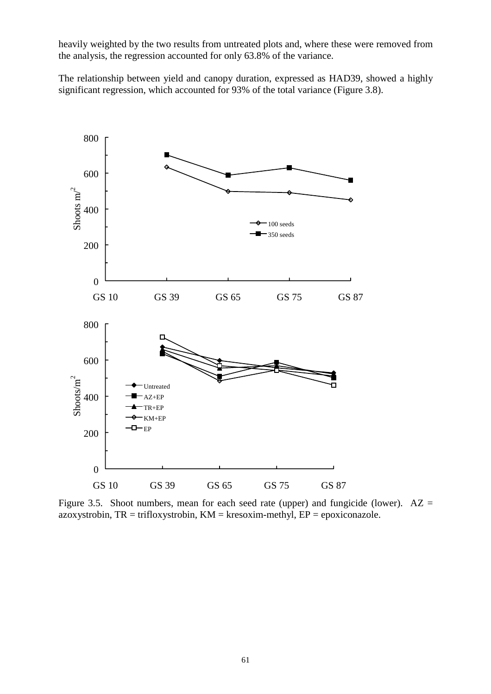heavily weighted by the two results from untreated plots and, where these were removed from the analysis, the regression accounted for only 63.8% of the variance.

The relationship between yield and canopy duration, expressed as HAD39, showed a highly significant regression, which accounted for 93% of the total variance (Figure 3.8).



Figure 3.5. Shoot numbers, mean for each seed rate (upper) and fungicide (lower).  $AZ =$ azoxystrobin,  $TR = \text{trifloxystrobin}$ ,  $KM = \text{kresoxim-methyl}$ ,  $EP = \text{epoxiconazole}$ .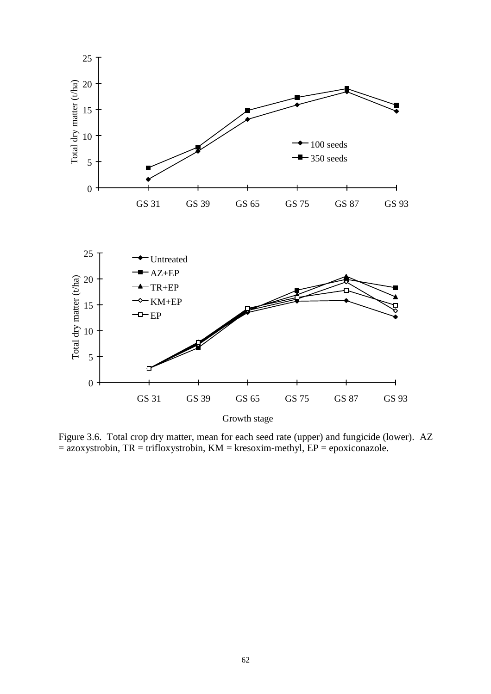

Figure 3.6. Total crop dry matter, mean for each seed rate (upper) and fungicide (lower). AZ  $=$  azoxystrobin, TR = trifloxystrobin, KM = kresoxim-methyl, EP = epoxiconazole.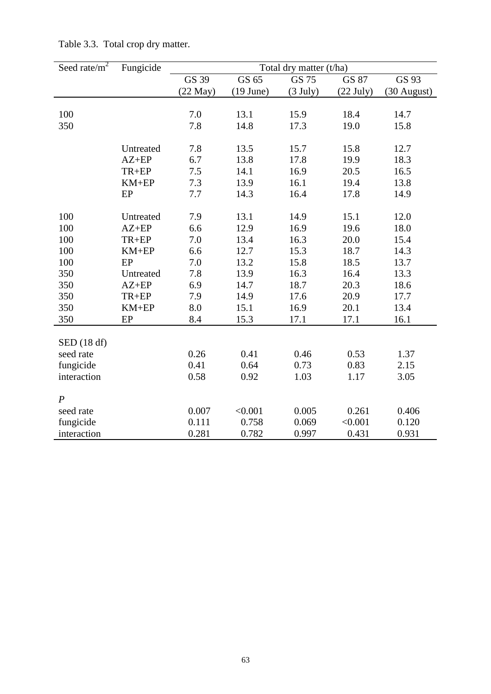| Seed rate/ $m^2$ | Fungicide | Total dry matter (t/ha) |             |                    |             |               |
|------------------|-----------|-------------------------|-------------|--------------------|-------------|---------------|
|                  |           | GS 39                   | GS 65       | GS 75              | GS 87       | GS 93         |
|                  |           | $(22$ May $)$           | $(19$ June) | $(3 \text{ July})$ | $(22$ July) | $(30$ August) |
|                  |           |                         |             |                    |             |               |
| 100              |           | 7.0                     | 13.1        | 15.9               | 18.4        | 14.7          |
| 350              |           | 7.8                     | 14.8        | 17.3               | 19.0        | 15.8          |
|                  |           |                         |             |                    |             |               |
|                  | Untreated | 7.8                     | 13.5        | 15.7               | 15.8        | 12.7          |
|                  | $AZ+EP$   | 6.7                     | 13.8        | 17.8               | 19.9        | 18.3          |
|                  | TR+EP     | 7.5                     | 14.1        | 16.9               | 20.5        | 16.5          |
|                  | $KM+EP$   | 7.3                     | 13.9        | 16.1               | 19.4        | 13.8          |
|                  | EP        | 7.7                     | 14.3        | 16.4               | 17.8        | 14.9          |
|                  |           |                         |             |                    |             |               |
| 100              | Untreated | 7.9                     | 13.1        | 14.9               | 15.1        | 12.0          |
| 100              | $AZ+EP$   | 6.6                     | 12.9        | 16.9               | 19.6        | 18.0          |
| 100              | TR+EP     | 7.0                     | 13.4        | 16.3               | 20.0        | 15.4          |
| 100              | $KM+EP$   | 6.6                     | 12.7        | 15.3               | 18.7        | 14.3          |
| 100              | EP        | 7.0                     | 13.2        | 15.8               | 18.5        | 13.7          |
| 350              | Untreated | $7.8\,$                 | 13.9        | 16.3               | 16.4        | 13.3          |
| 350              | $AZ+EP$   | 6.9                     | 14.7        | 18.7               | 20.3        | 18.6          |
| 350              | TR+EP     | 7.9                     | 14.9        | 17.6               | 20.9        | 17.7          |
| 350              | $KM+EP$   | 8.0                     | 15.1        | 16.9               | 20.1        | 13.4          |
| 350              | EP        | 8.4                     | 15.3        | 17.1               | 17.1        | 16.1          |
|                  |           |                         |             |                    |             |               |
| SED(18 df)       |           |                         |             |                    |             |               |
| seed rate        |           | 0.26                    | 0.41        | 0.46               | 0.53        | 1.37          |
| fungicide        |           | 0.41                    | 0.64        | 0.73               | 0.83        | 2.15          |
| interaction      |           | 0.58                    | 0.92        | 1.03               | 1.17        | 3.05          |
|                  |           |                         |             |                    |             |               |
| $\boldsymbol{P}$ |           |                         |             |                    |             |               |
| seed rate        |           | 0.007                   | < 0.001     | 0.005              | 0.261       | 0.406         |
| fungicide        |           | 0.111                   | 0.758       | 0.069              | < 0.001     | 0.120         |
| interaction      |           | 0.281                   | 0.782       | 0.997              | 0.431       | 0.931         |

Table 3.3. Total crop dry matter.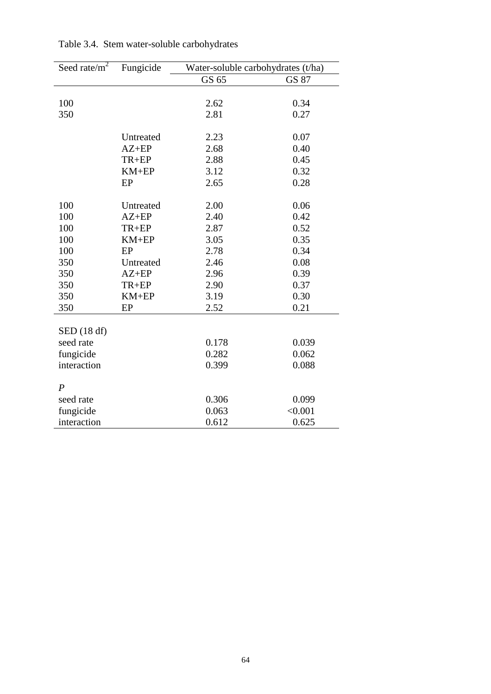| Seed rate/ $m^2$ | Fungicide | Water-soluble carbohydrates (t/ha) |         |  |
|------------------|-----------|------------------------------------|---------|--|
|                  |           | GS 65                              | GS 87   |  |
|                  |           |                                    |         |  |
| 100              |           | 2.62                               | 0.34    |  |
| 350              |           | 2.81                               | 0.27    |  |
|                  |           |                                    |         |  |
|                  | Untreated | 2.23                               | 0.07    |  |
|                  | $AZ+EP$   | 2.68                               | 0.40    |  |
|                  | TR+EP     | 2.88                               | 0.45    |  |
|                  | $KM+EP$   | 3.12                               | 0.32    |  |
|                  | EP        | 2.65                               | 0.28    |  |
|                  |           |                                    |         |  |
| 100              | Untreated | 2.00                               | 0.06    |  |
| 100              | $AZ+EP$   | 2.40                               | 0.42    |  |
| 100              | TR+EP     | 2.87                               | 0.52    |  |
| 100              | $KM+EP$   | 3.05                               | 0.35    |  |
| 100              | EP        | 2.78                               | 0.34    |  |
| 350              | Untreated | 2.46                               | 0.08    |  |
| 350              | $AZ+EP$   | 2.96                               | 0.39    |  |
| 350              | TR+EP     | 2.90                               | 0.37    |  |
| 350              | $KM+EP$   | 3.19                               | 0.30    |  |
| 350              | EP        | 2.52                               | 0.21    |  |
|                  |           |                                    |         |  |
| SED(18 df)       |           |                                    |         |  |
| seed rate        |           | 0.178                              | 0.039   |  |
| fungicide        |           | 0.282                              | 0.062   |  |
| interaction      |           | 0.399                              | 0.088   |  |
|                  |           |                                    |         |  |
| $\boldsymbol{P}$ |           |                                    |         |  |
| seed rate        |           | 0.306                              | 0.099   |  |
| fungicide        |           | 0.063                              | < 0.001 |  |
| interaction      |           | 0.612                              | 0.625   |  |

Table 3.4. Stem water-soluble carbohydrates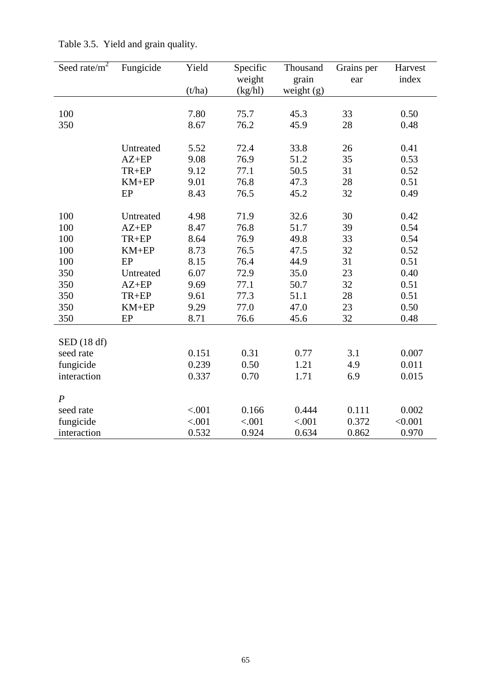| Seed rate/ $m^2$ | Fungicide            | Yield  | Specific<br>weight | Thousand<br>grain | Grains per<br>ear | Harvest<br>index |
|------------------|----------------------|--------|--------------------|-------------------|-------------------|------------------|
|                  |                      | (t/ha) | (kg/hl)            | weight $(g)$      |                   |                  |
|                  |                      |        |                    |                   |                   |                  |
| 100              |                      | 7.80   | 75.7               | 45.3              | 33                | 0.50             |
| 350              |                      | 8.67   | 76.2               | 45.9              | 28                | 0.48             |
|                  |                      |        |                    |                   |                   |                  |
|                  | Untreated            | 5.52   | 72.4               | 33.8              | 26                | 0.41             |
|                  | $AZ+EP$              | 9.08   | 76.9               | 51.2              | 35                | 0.53             |
|                  | TR+EP                | 9.12   | 77.1               | 50.5              | 31                | 0.52             |
|                  | $KM+EP$              | 9.01   | 76.8               | 47.3              | 28                | 0.51             |
|                  | EP                   | 8.43   | 76.5               | 45.2              | 32                | 0.49             |
| 100              |                      | 4.98   | 71.9               | 32.6              | 30                | 0.42             |
| 100              | Untreated<br>$AZ+EP$ | 8.47   | 76.8               | 51.7              | 39                | 0.54             |
| 100              | $TR+EP$              | 8.64   | 76.9               | 49.8              | 33                | 0.54             |
| 100              | $KM+EP$              | 8.73   | 76.5               | 47.5              | 32                | 0.52             |
| 100              | EP                   | 8.15   | 76.4               | 44.9              | 31                | 0.51             |
| 350              | Untreated            | 6.07   | 72.9               | 35.0              | 23                | 0.40             |
| 350              | $AZ+EP$              | 9.69   | 77.1               | 50.7              | 32                | 0.51             |
| 350              | TR+EP                | 9.61   | 77.3               | 51.1              | 28                | 0.51             |
| 350              | $KM+EP$              | 9.29   | 77.0               | 47.0              | 23                | 0.50             |
| 350              | EP                   | 8.71   | 76.6               | 45.6              | 32                | 0.48             |
|                  |                      |        |                    |                   |                   |                  |
| SED(18 df)       |                      |        |                    |                   |                   |                  |
| seed rate        |                      | 0.151  | 0.31               | 0.77              | 3.1               | 0.007            |
| fungicide        |                      | 0.239  | 0.50               | 1.21              | 4.9               | 0.011            |
| interaction      |                      | 0.337  | 0.70               | 1.71              | 6.9               | 0.015            |
| $\boldsymbol{P}$ |                      |        |                    |                   |                   |                  |
| seed rate        |                      | < .001 | 0.166              | 0.444             | 0.111             | 0.002            |
| fungicide        |                      | < .001 | < .001             | < .001            | 0.372             | < 0.001          |
| interaction      |                      | 0.532  | 0.924              | 0.634             | 0.862             | 0.970            |
|                  |                      |        |                    |                   |                   |                  |

Table 3.5. Yield and grain quality.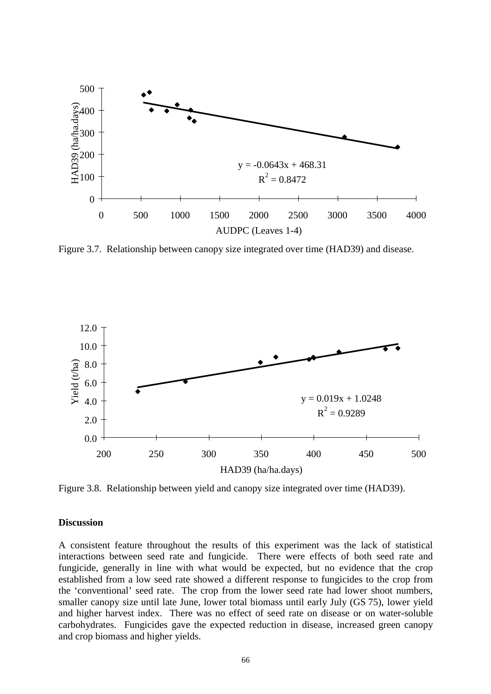

Figure 3.7. Relationship between canopy size integrated over time (HAD39) and disease.



Figure 3.8. Relationship between yield and canopy size integrated over time (HAD39).

#### **Discussion**

A consistent feature throughout the results of this experiment was the lack of statistical interactions between seed rate and fungicide. There were effects of both seed rate and fungicide, generally in line with what would be expected, but no evidence that the crop established from a low seed rate showed a different response to fungicides to the crop from the 'conventional' seed rate. The crop from the lower seed rate had lower shoot numbers, smaller canopy size until late June, lower total biomass until early July (GS 75), lower yield and higher harvest index. There was no effect of seed rate on disease or on water-soluble carbohydrates. Fungicides gave the expected reduction in disease, increased green canopy and crop biomass and higher yields.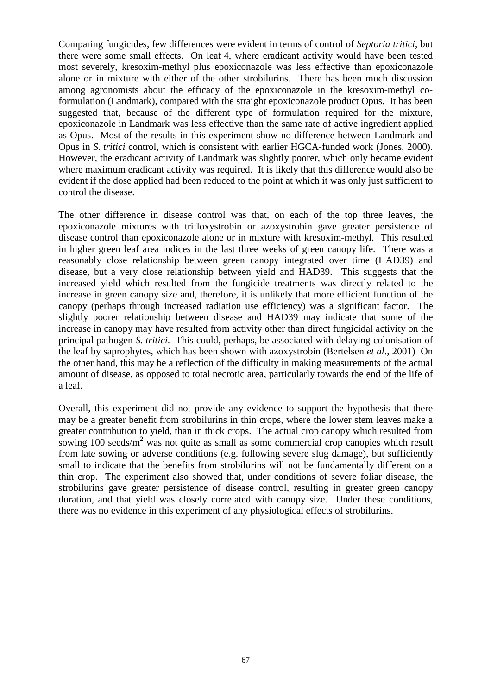Comparing fungicides, few differences were evident in terms of control of *Septoria tritici*, but there were some small effects. On leaf 4, where eradicant activity would have been tested most severely, kresoxim-methyl plus epoxiconazole was less effective than epoxiconazole alone or in mixture with either of the other strobilurins. There has been much discussion among agronomists about the efficacy of the epoxiconazole in the kresoxim-methyl coformulation (Landmark), compared with the straight epoxiconazole product Opus. It has been suggested that, because of the different type of formulation required for the mixture, epoxiconazole in Landmark was less effective than the same rate of active ingredient applied as Opus. Most of the results in this experiment show no difference between Landmark and Opus in *S. tritici* control, which is consistent with earlier HGCA-funded work (Jones, 2000). However, the eradicant activity of Landmark was slightly poorer, which only became evident where maximum eradicant activity was required. It is likely that this difference would also be evident if the dose applied had been reduced to the point at which it was only just sufficient to control the disease.

The other difference in disease control was that, on each of the top three leaves, the epoxiconazole mixtures with trifloxystrobin or azoxystrobin gave greater persistence of disease control than epoxiconazole alone or in mixture with kresoxim-methyl. This resulted in higher green leaf area indices in the last three weeks of green canopy life. There was a reasonably close relationship between green canopy integrated over time (HAD39) and disease, but a very close relationship between yield and HAD39. This suggests that the increased yield which resulted from the fungicide treatments was directly related to the increase in green canopy size and, therefore, it is unlikely that more efficient function of the canopy (perhaps through increased radiation use efficiency) was a significant factor. The slightly poorer relationship between disease and HAD39 may indicate that some of the increase in canopy may have resulted from activity other than direct fungicidal activity on the principal pathogen *S. tritici*. This could, perhaps, be associated with delaying colonisation of the leaf by saprophytes, which has been shown with azoxystrobin (Bertelsen *et al*., 2001) On the other hand, this may be a reflection of the difficulty in making measurements of the actual amount of disease, as opposed to total necrotic area, particularly towards the end of the life of a leaf.

Overall, this experiment did not provide any evidence to support the hypothesis that there may be a greater benefit from strobilurins in thin crops, where the lower stem leaves make a greater contribution to yield, than in thick crops. The actual crop canopy which resulted from sowing 100 seeds/ $m^2$  was not quite as small as some commercial crop canopies which result from late sowing or adverse conditions (e.g. following severe slug damage), but sufficiently small to indicate that the benefits from strobilurins will not be fundamentally different on a thin crop. The experiment also showed that, under conditions of severe foliar disease, the strobilurins gave greater persistence of disease control, resulting in greater green canopy duration, and that yield was closely correlated with canopy size. Under these conditions, there was no evidence in this experiment of any physiological effects of strobilurins.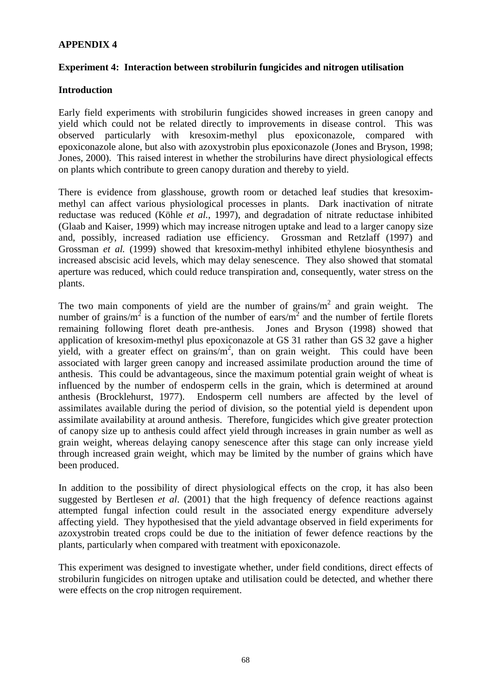## **APPENDIX 4**

## **Experiment 4: Interaction between strobilurin fungicides and nitrogen utilisation**

## **Introduction**

Early field experiments with strobilurin fungicides showed increases in green canopy and yield which could not be related directly to improvements in disease control. This was observed particularly with kresoxim-methyl plus epoxiconazole, compared with epoxiconazole alone, but also with azoxystrobin plus epoxiconazole (Jones and Bryson, 1998; Jones, 2000). This raised interest in whether the strobilurins have direct physiological effects on plants which contribute to green canopy duration and thereby to yield.

There is evidence from glasshouse, growth room or detached leaf studies that kresoximmethyl can affect various physiological processes in plants. Dark inactivation of nitrate reductase was reduced (Köhle *et al.*, 1997), and degradation of nitrate reductase inhibited (Glaab and Kaiser, 1999) which may increase nitrogen uptake and lead to a larger canopy size and, possibly, increased radiation use efficiency. Grossman and Retzlaff (1997) and Grossman *et al.* (1999) showed that kresoxim-methyl inhibited ethylene biosynthesis and increased abscisic acid levels, which may delay senescence. They also showed that stomatal aperture was reduced, which could reduce transpiration and, consequently, water stress on the plants.

The two main components of yield are the number of grains/ $m<sup>2</sup>$  and grain weight. The number of grains/m<sup>2</sup> is a function of the number of ears/m<sup>2</sup> and the number of fertile florets remaining following floret death pre-anthesis. Jones and Bryson (1998) showed that application of kresoxim-methyl plus epoxiconazole at GS 31 rather than GS 32 gave a higher yield, with a greater effect on grains/ $m<sup>2</sup>$ , than on grain weight. This could have been associated with larger green canopy and increased assimilate production around the time of anthesis. This could be advantageous, since the maximum potential grain weight of wheat is influenced by the number of endosperm cells in the grain, which is determined at around anthesis (Brocklehurst, 1977). Endosperm cell numbers are affected by the level of assimilates available during the period of division, so the potential yield is dependent upon assimilate availability at around anthesis. Therefore, fungicides which give greater protection of canopy size up to anthesis could affect yield through increases in grain number as well as grain weight, whereas delaying canopy senescence after this stage can only increase yield through increased grain weight, which may be limited by the number of grains which have been produced.

In addition to the possibility of direct physiological effects on the crop, it has also been suggested by Bertlesen *et al*. (2001) that the high frequency of defence reactions against attempted fungal infection could result in the associated energy expenditure adversely affecting yield. They hypothesised that the yield advantage observed in field experiments for azoxystrobin treated crops could be due to the initiation of fewer defence reactions by the plants, particularly when compared with treatment with epoxiconazole.

This experiment was designed to investigate whether, under field conditions, direct effects of strobilurin fungicides on nitrogen uptake and utilisation could be detected, and whether there were effects on the crop nitrogen requirement.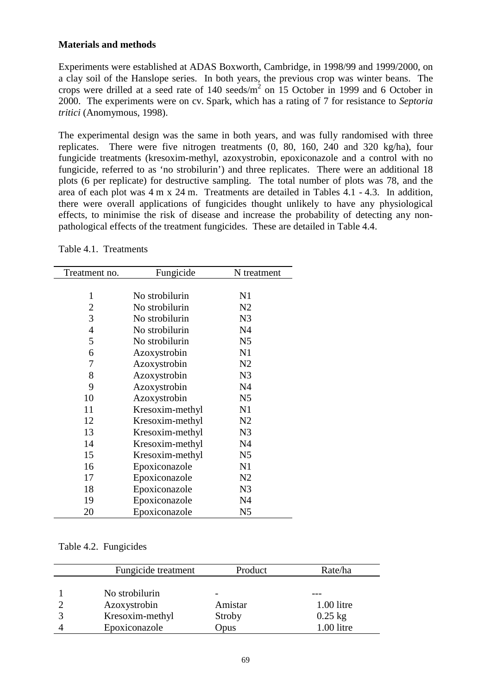## **Materials and methods**

Experiments were established at ADAS Boxworth, Cambridge, in 1998/99 and 1999/2000, on a clay soil of the Hanslope series. In both years, the previous crop was winter beans. The crops were drilled at a seed rate of  $140 \text{ seeds/m}^2$  on 15 October in 1999 and 6 October in 2000. The experiments were on cv. Spark, which has a rating of 7 for resistance to *Septoria tritici* (Anomymous, 1998).

The experimental design was the same in both years, and was fully randomised with three replicates. There were five nitrogen treatments (0, 80, 160, 240 and 320 kg/ha), four fungicide treatments (kresoxim-methyl, azoxystrobin, epoxiconazole and a control with no fungicide, referred to as 'no strobilurin') and three replicates. There were an additional 18 plots (6 per replicate) for destructive sampling. The total number of plots was 78, and the area of each plot was 4 m x 24 m. Treatments are detailed in Tables 4.1 - 4.3. In addition, there were overall applications of fungicides thought unlikely to have any physiological effects, to minimise the risk of disease and increase the probability of detecting any nonpathological effects of the treatment fungicides. These are detailed in Table 4.4.

Table 4.1. Treatments

| Treatment no.  | Fungicide       | N treatment    |
|----------------|-----------------|----------------|
|                |                 |                |
| 1              | No strobilurin  | N1             |
| $\overline{2}$ | No strobilurin  | N <sub>2</sub> |
| 3              | No strobilurin  | N <sub>3</sub> |
| $\overline{4}$ | No strobilurin  | N <sub>4</sub> |
| 5              | No strobilurin  | N <sub>5</sub> |
| 6              | Azoxystrobin    | N1             |
| 7              | Azoxystrobin    | N <sub>2</sub> |
| 8              | Azoxystrobin    | N <sub>3</sub> |
| 9              | Azoxystrobin    | N <sub>4</sub> |
| 10             | Azoxystrobin    | N <sub>5</sub> |
| 11             | Kresoxim-methyl | N1             |
| 12             | Kresoxim-methyl | N <sub>2</sub> |
| 13             | Kresoxim-methyl | N <sub>3</sub> |
| 14             | Kresoxim-methyl | N <sub>4</sub> |
| 15             | Kresoxim-methyl | N <sub>5</sub> |
| 16             | Epoxiconazole   | N1             |
| 17             | Epoxiconazole   | N <sub>2</sub> |
| 18             | Epoxiconazole   | N <sub>3</sub> |
| 19             | Epoxiconazole   | N <sub>4</sub> |
| 20             | Epoxiconazole   | N <sub>5</sub> |

# Table 4.2. Fungicides

| Fungicide treatment | Product | Rate/ha      |  |
|---------------------|---------|--------------|--|
| No strobilurin      |         |              |  |
|                     |         |              |  |
| Azoxystrobin        | Amistar | $1.00$ litre |  |
| Kresoxim-methyl     | Stroby  | $0.25$ kg    |  |
| Epoxiconazole       | Opus    | 1.00 litre   |  |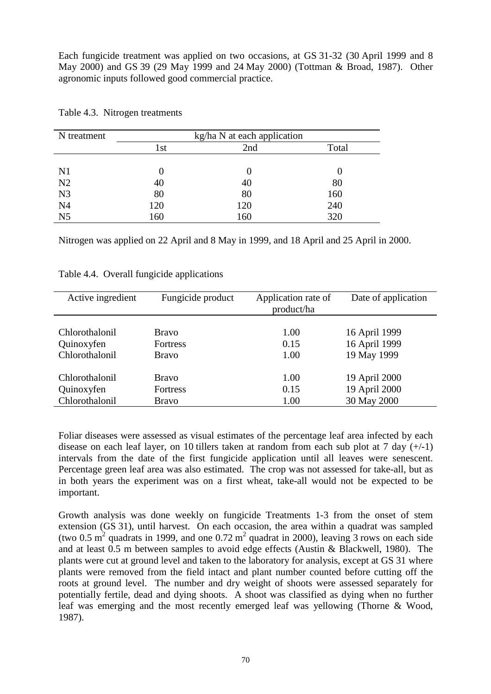Each fungicide treatment was applied on two occasions, at GS 31-32 (30 April 1999 and 8 May 2000) and GS 39 (29 May 1999 and 24 May 2000) (Tottman & Broad, 1987). Other agronomic inputs followed good commercial practice.

| N treatment    | kg/ha N at each application |     |       |  |  |
|----------------|-----------------------------|-----|-------|--|--|
|                | 1st                         | 2nd | Total |  |  |
|                |                             |     |       |  |  |
| N <sub>1</sub> |                             |     |       |  |  |
| N2             | 40                          | 40  | 80    |  |  |
| N <sub>3</sub> | 80                          | 80  | 160   |  |  |
| N <sub>4</sub> | 120                         | 120 | 240   |  |  |
| N <sub>5</sub> | 160                         | 160 | 320   |  |  |

Table 4.3. Nitrogen treatments

Nitrogen was applied on 22 April and 8 May in 1999, and 18 April and 25 April in 2000.

| Active ingredient | Fungicide product | Application rate of<br>product/ha | Date of application |
|-------------------|-------------------|-----------------------------------|---------------------|
| Chlorothalonil    | <b>Bravo</b>      | 1.00                              | 16 April 1999       |
| Quinoxyfen        | <b>Fortress</b>   | 0.15                              | 16 April 1999       |
| Chlorothalonil    | <b>Bravo</b>      | 1.00                              | 19 May 1999         |
| Chlorothalonil    | <b>Bravo</b>      | 1.00                              | 19 April 2000       |
| Quinoxyfen        | <b>Fortress</b>   | 0.15                              | 19 April 2000       |
| Chlorothalonil    | <b>Bravo</b>      | 1.00                              | 30 May 2000         |

Table 4.4. Overall fungicide applications

Foliar diseases were assessed as visual estimates of the percentage leaf area infected by each disease on each leaf layer, on 10 tillers taken at random from each sub plot at 7 day  $(+/-1)$ intervals from the date of the first fungicide application until all leaves were senescent. Percentage green leaf area was also estimated. The crop was not assessed for take-all, but as in both years the experiment was on a first wheat, take-all would not be expected to be important.

Growth analysis was done weekly on fungicide Treatments 1-3 from the onset of stem extension (GS 31), until harvest. On each occasion, the area within a quadrat was sampled (two 0.5 m<sup>2</sup> quadrats in 1999, and one 0.72 m<sup>2</sup> quadrat in 2000), leaving 3 rows on each side and at least 0.5 m between samples to avoid edge effects (Austin & Blackwell, 1980). The plants were cut at ground level and taken to the laboratory for analysis, except at GS 31 where plants were removed from the field intact and plant number counted before cutting off the roots at ground level. The number and dry weight of shoots were assessed separately for potentially fertile, dead and dying shoots. A shoot was classified as dying when no further leaf was emerging and the most recently emerged leaf was yellowing (Thorne & Wood, 1987).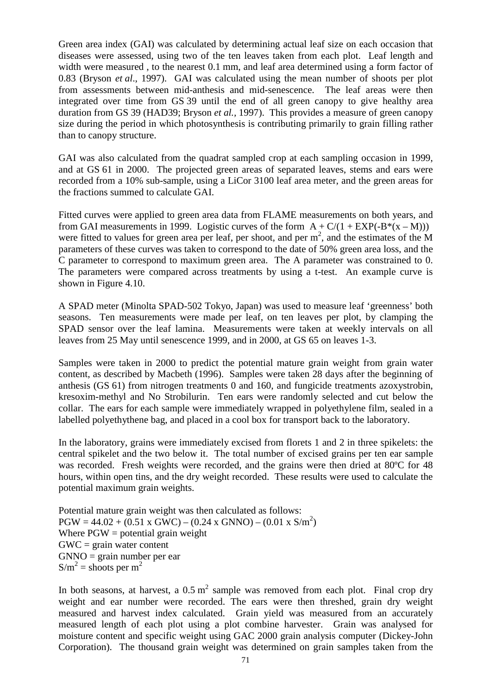Green area index (GAI) was calculated by determining actual leaf size on each occasion that diseases were assessed, using two of the ten leaves taken from each plot. Leaf length and width were measured , to the nearest 0.1 mm, and leaf area determined using a form factor of 0.83 (Bryson *et al*., 1997). GAI was calculated using the mean number of shoots per plot from assessments between mid-anthesis and mid-senescence. The leaf areas were then integrated over time from GS 39 until the end of all green canopy to give healthy area duration from GS 39 (HAD39; Bryson *et al.,* 1997). This provides a measure of green canopy size during the period in which photosynthesis is contributing primarily to grain filling rather than to canopy structure.

GAI was also calculated from the quadrat sampled crop at each sampling occasion in 1999, and at GS 61 in 2000. The projected green areas of separated leaves, stems and ears were recorded from a 10% sub-sample, using a LiCor 3100 leaf area meter, and the green areas for the fractions summed to calculate GAI.

Fitted curves were applied to green area data from FLAME measurements on both years, and from GAI measurements in 1999. Logistic curves of the form  $A + C/(1 + EXP(-B<sup>*</sup>(x - M)))$ were fitted to values for green area per leaf, per shoot, and per  $m<sup>2</sup>$ , and the estimates of the M parameters of these curves was taken to correspond to the date of 50% green area loss, and the C parameter to correspond to maximum green area. The A parameter was constrained to 0. The parameters were compared across treatments by using a t-test. An example curve is shown in Figure 4.10.

A SPAD meter (Minolta SPAD-502 Tokyo, Japan) was used to measure leaf 'greenness' both seasons. Ten measurements were made per leaf, on ten leaves per plot, by clamping the SPAD sensor over the leaf lamina. Measurements were taken at weekly intervals on all leaves from 25 May until senescence 1999, and in 2000, at GS 65 on leaves 1-3.

Samples were taken in 2000 to predict the potential mature grain weight from grain water content, as described by Macbeth (1996). Samples were taken 28 days after the beginning of anthesis (GS 61) from nitrogen treatments 0 and 160, and fungicide treatments azoxystrobin, kresoxim-methyl and No Strobilurin. Ten ears were randomly selected and cut below the collar. The ears for each sample were immediately wrapped in polyethylene film, sealed in a labelled polyethythene bag, and placed in a cool box for transport back to the laboratory.

In the laboratory, grains were immediately excised from florets 1 and 2 in three spikelets: the central spikelet and the two below it. The total number of excised grains per ten ear sample was recorded. Fresh weights were recorded, and the grains were then dried at 80ºC for 48 hours, within open tins, and the dry weight recorded. These results were used to calculate the potential maximum grain weights.

Potential mature grain weight was then calculated as follows:  $PGW = 44.02 + (0.51 \times GWC) - (0.24 \times GNNO) - (0.01 \times S/m^2)$ Where  $PGW =$  potential grain weight  $GWC = \text{grain water content}$  $GNNO = \text{grain number per ear}$  $S/m^2$  = shoots per m<sup>2</sup>

In both seasons, at harvest, a  $0.5 \text{ m}^2$  sample was removed from each plot. Final crop dry weight and ear number were recorded. The ears were then threshed, grain dry weight measured and harvest index calculated. Grain yield was measured from an accurately measured length of each plot using a plot combine harvester. Grain was analysed for moisture content and specific weight using GAC 2000 grain analysis computer (Dickey-John Corporation). The thousand grain weight was determined on grain samples taken from the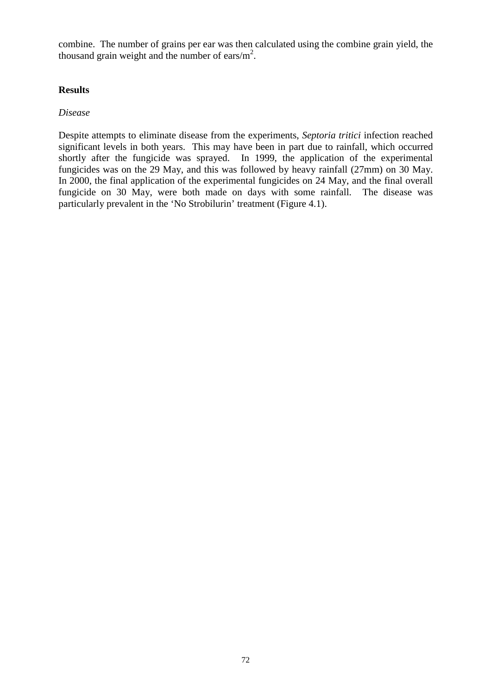combine. The number of grains per ear was then calculated using the combine grain yield, the thousand grain weight and the number of ears/ $m^2$ .

### **Results**

### *Disease*

Despite attempts to eliminate disease from the experiments, *Septoria tritici* infection reached significant levels in both years. This may have been in part due to rainfall, which occurred shortly after the fungicide was sprayed. In 1999, the application of the experimental fungicides was on the 29 May, and this was followed by heavy rainfall (27mm) on 30 May. In 2000, the final application of the experimental fungicides on 24 May, and the final overall fungicide on 30 May, were both made on days with some rainfall. The disease was particularly prevalent in the 'No Strobilurin' treatment (Figure 4.1).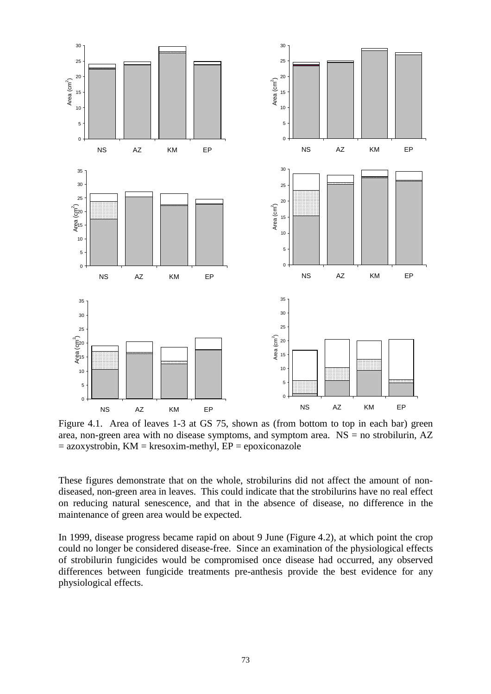

Figure 4.1. Area of leaves 1-3 at GS 75, shown as (from bottom to top in each bar) green area, non-green area with no disease symptoms, and symptom area.  $NS =$  no strobilurin,  $AZ$  $=$  azoxystrobin, KM = kresoxim-methyl, EP = epoxiconazole

These figures demonstrate that on the whole, strobilurins did not affect the amount of nondiseased, non-green area in leaves. This could indicate that the strobilurins have no real effect on reducing natural senescence, and that in the absence of disease, no difference in the maintenance of green area would be expected.

In 1999, disease progress became rapid on about 9 June (Figure 4.2), at which point the crop could no longer be considered disease-free. Since an examination of the physiological effects of strobilurin fungicides would be compromised once disease had occurred, any observed differences between fungicide treatments pre-anthesis provide the best evidence for any physiological effects.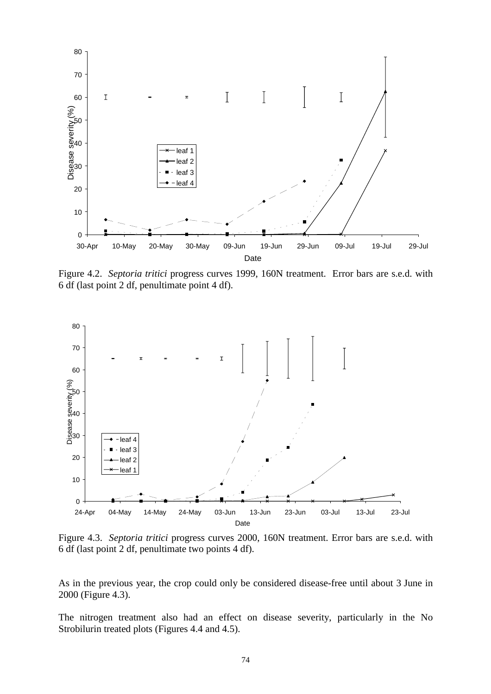

Figure 4.2. *Septoria tritici* progress curves 1999, 160N treatment. Error bars are s.e.d. with 6 df (last point 2 df, penultimate point 4 df).



Figure 4.3. *Septoria tritici* progress curves 2000, 160N treatment. Error bars are s.e.d. with 6 df (last point 2 df, penultimate two points 4 df).

As in the previous year, the crop could only be considered disease-free until about 3 June in 2000 (Figure 4.3).

The nitrogen treatment also had an effect on disease severity, particularly in the No Strobilurin treated plots (Figures 4.4 and 4.5).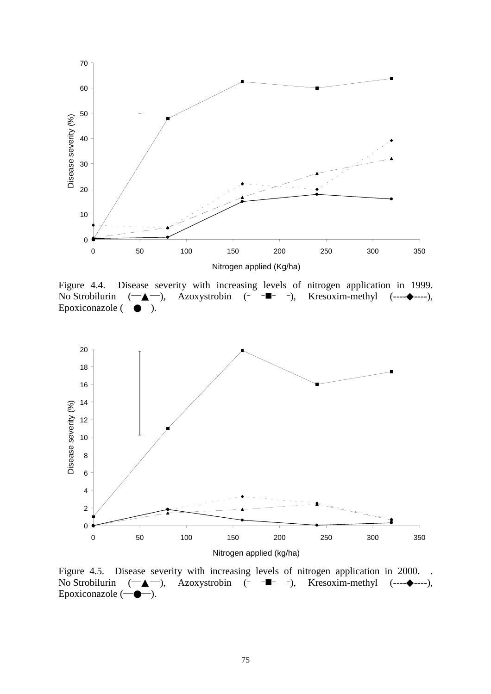

Figure 4.4. Disease severity with increasing levels of nitrogen application in 1999. No Strobilurin  $(\overline{-} \blacktriangle -)$ , Azoxystrobin (- - $\blacksquare$ -), Kresoxim-methyl (---- $\blacklozenge$ ----), Epoxiconazole  $(\overrightarrow{\bullet})$ .



Figure 4.5. Disease severity with increasing levels of nitrogen application in 2000. No Strobilurin  $(\overline{-} \blacktriangle -)$ , Azoxystrobin (- - $\blacksquare$ - -), Kresoxim-methyl (--- $\blacktriangleright$ ----), Epoxiconazole  $(\neg \bullet \neg)$ .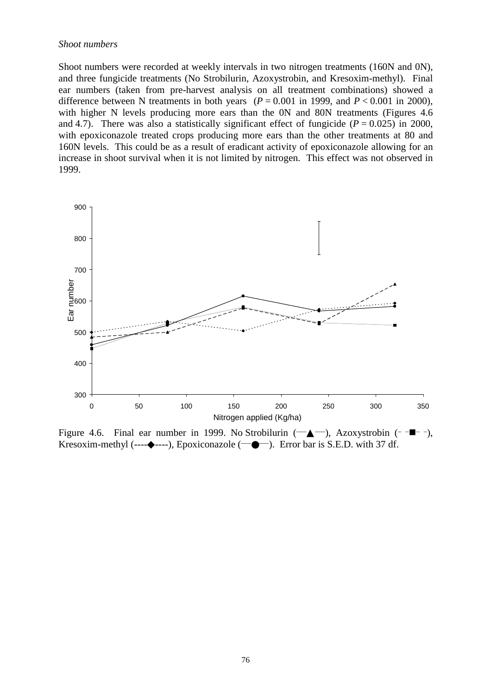#### *Shoot numbers*

Shoot numbers were recorded at weekly intervals in two nitrogen treatments (160N and 0N), and three fungicide treatments (No Strobilurin, Azoxystrobin, and Kresoxim-methyl). Final ear numbers (taken from pre-harvest analysis on all treatment combinations) showed a difference between N treatments in both years  $(P = 0.001$  in 1999, and  $P < 0.001$  in 2000), with higher N levels producing more ears than the 0N and 80N treatments (Figures 4.6) and 4.7). There was also a statistically significant effect of fungicide  $(P = 0.025)$  in 2000, with epoxiconazole treated crops producing more ears than the other treatments at 80 and 160N levels. This could be as a result of eradicant activity of epoxiconazole allowing for an increase in shoot survival when it is not limited by nitrogen. This effect was not observed in 1999.



Figure 4.6. Final ear number in 1999. No Strobilurin  $(-\triangle -)$ , Azoxystrobin ( $-\blacksquare$ -), Kresoxim-methyl (---- $\blacklozenge$ ----), Epoxiconazole ( $\blacksquare$ ). Error bar is S.E.D. with 37 df.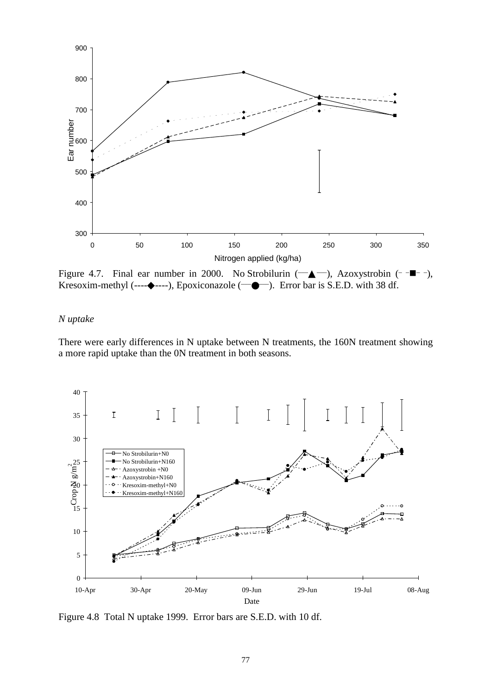

Figure 4.7. Final ear number in 2000. No Strobilurin  $(-\triangle -)$ , Azoxystrobin ( $-\blacksquare -$ ), Kresoxim-methyl (---- $\bullet$ ----), Epoxiconazole ( $\leftarrow \bullet$ ). Error bar is S.E.D. with 38 df.

#### *N uptake*

There were early differences in N uptake between N treatments, the 160N treatment showing a more rapid uptake than the 0N treatment in both seasons.



Figure 4.8 Total N uptake 1999. Error bars are S.E.D. with 10 df.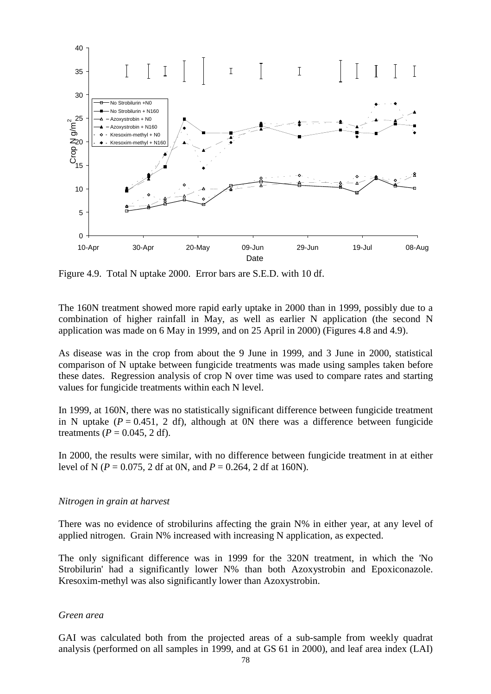

Figure 4.9. Total N uptake 2000. Error bars are S.E.D. with 10 df.

The 160N treatment showed more rapid early uptake in 2000 than in 1999, possibly due to a combination of higher rainfall in May, as well as earlier N application (the second N application was made on 6 May in 1999, and on 25 April in 2000) (Figures 4.8 and 4.9).

As disease was in the crop from about the 9 June in 1999, and 3 June in 2000, statistical comparison of N uptake between fungicide treatments was made using samples taken before these dates. Regression analysis of crop N over time was used to compare rates and starting values for fungicide treatments within each N level.

In 1999, at 160N, there was no statistically significant difference between fungicide treatment in N uptake  $(P = 0.451, 2 \text{ df})$ , although at 0N there was a difference between fungicide treatments  $(P = 0.045, 2 df)$ .

In 2000, the results were similar, with no difference between fungicide treatment in at either level of N (*P* = 0.075, 2 df at 0N, and *P* = 0.264, 2 df at 160N).

#### *Nitrogen in grain at harvest*

There was no evidence of strobilurins affecting the grain N% in either year, at any level of applied nitrogen. Grain N% increased with increasing N application, as expected.

The only significant difference was in 1999 for the 320N treatment, in which the 'No Strobilurin' had a significantly lower N% than both Azoxystrobin and Epoxiconazole. Kresoxim-methyl was also significantly lower than Azoxystrobin.

#### *Green area*

GAI was calculated both from the projected areas of a sub-sample from weekly quadrat analysis (performed on all samples in 1999, and at GS 61 in 2000), and leaf area index (LAI)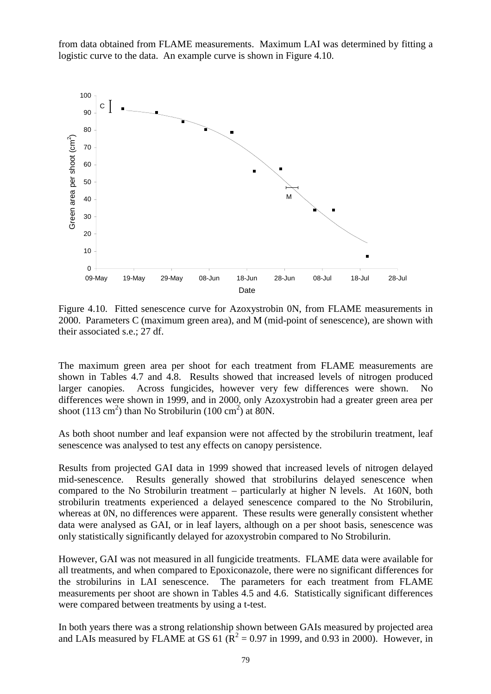from data obtained from FLAME measurements. Maximum LAI was determined by fitting a logistic curve to the data. An example curve is shown in Figure 4.10.



Figure 4.10. Fitted senescence curve for Azoxystrobin 0N, from FLAME measurements in 2000. Parameters C (maximum green area), and M (mid-point of senescence), are shown with their associated s.e.; 27 df.

The maximum green area per shoot for each treatment from FLAME measurements are shown in Tables 4.7 and 4.8. Results showed that increased levels of nitrogen produced larger canopies. Across fungicides, however very few differences were shown. No differences were shown in 1999, and in 2000, only Azoxystrobin had a greater green area per shoot  $(113 \text{ cm}^2)$  than No Strobilurin  $(100 \text{ cm}^2)$  at 80N.

As both shoot number and leaf expansion were not affected by the strobilurin treatment, leaf senescence was analysed to test any effects on canopy persistence.

Results from projected GAI data in 1999 showed that increased levels of nitrogen delayed mid-senescence. Results generally showed that strobilurins delayed senescence when compared to the No Strobilurin treatment – particularly at higher N levels. At 160N, both strobilurin treatments experienced a delayed senescence compared to the No Strobilurin, whereas at 0N, no differences were apparent. These results were generally consistent whether data were analysed as GAI, or in leaf layers, although on a per shoot basis, senescence was only statistically significantly delayed for azoxystrobin compared to No Strobilurin.

However, GAI was not measured in all fungicide treatments. FLAME data were available for all treatments, and when compared to Epoxiconazole, there were no significant differences for the strobilurins in LAI senescence. The parameters for each treatment from FLAME measurements per shoot are shown in Tables 4.5 and 4.6. Statistically significant differences were compared between treatments by using a t-test.

In both years there was a strong relationship shown between GAIs measured by projected area and LAIs measured by FLAME at GS 61 ( $\mathbb{R}^2 = 0.97$  in 1999, and 0.93 in 2000). However, in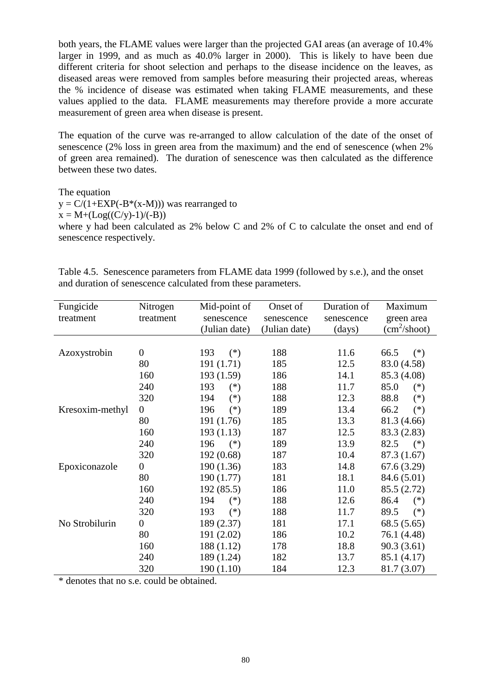both years, the FLAME values were larger than the projected GAI areas (an average of 10.4% larger in 1999, and as much as 40.0% larger in 2000). This is likely to have been due different criteria for shoot selection and perhaps to the disease incidence on the leaves, as diseased areas were removed from samples before measuring their projected areas, whereas the % incidence of disease was estimated when taking FLAME measurements, and these values applied to the data. FLAME measurements may therefore provide a more accurate measurement of green area when disease is present.

The equation of the curve was re-arranged to allow calculation of the date of the onset of senescence (2% loss in green area from the maximum) and the end of senescence (when 2% of green area remained). The duration of senescence was then calculated as the difference between these two dates.

The equation

 $y = C/(1+EXP(-B<sup>*</sup>(x-M)))$  was rearranged to  $x = M + (Log((C/v)-1)/(-B))$ where y had been calculated as 2% below C and 2% of C to calculate the onset and end of senescence respectively.

Table 4.5. Senescence parameters from FLAME data 1999 (followed by s.e.), and the onset and duration of senescence calculated from these parameters.

| Fungicide       | Nitrogen         | Mid-point of  | Onset of      | Duration of      | Maximum                  |
|-----------------|------------------|---------------|---------------|------------------|--------------------------|
| treatment       | treatment        | senescence    | senescence    | senescence       | green area               |
|                 |                  | (Julian date) | (Julian date) | $\frac{days}{9}$ | (cm <sup>2</sup> /shoot) |
|                 |                  |               |               |                  |                          |
| Azoxystrobin    | $\theta$         | 193<br>$(*)$  | 188           | 11.6             | 66.5<br>$(*)$            |
|                 | 80               | 191 (1.71)    | 185           | 12.5             | 83.0 (4.58)              |
|                 | 160              | 193 (1.59)    | 186           | 14.1             | 85.3 (4.08)              |
|                 | 240              | 193<br>$(*)$  | 188           | 11.7             | 85.0<br>$(*)$            |
|                 | 320              | 194<br>$(*)$  | 188           | 12.3             | 88.8<br>$(*)$            |
| Kresoxim-methyl | $\overline{0}$   | 196<br>$(*)$  | 189           | 13.4             | 66.2<br>$(*)$            |
|                 | 80               | 191 (1.76)    | 185           | 13.3             | 81.3 (4.66)              |
|                 | 160              | 193(1.13)     | 187           | 12.5             | 83.3 (2.83)              |
|                 | 240              | 196<br>$(*)$  | 189           | 13.9             | 82.5<br>$(*)$            |
|                 | 320              | 192 (0.68)    | 187           | 10.4             | 87.3 (1.67)              |
| Epoxiconazole   | $\boldsymbol{0}$ | 190(1.36)     | 183           | 14.8             | 67.6(3.29)               |
|                 | 80               | 190 (1.77)    | 181           | 18.1             | 84.6 (5.01)              |
|                 | 160              | 192 (85.5)    | 186           | 11.0             | 85.5 (2.72)              |
|                 | 240              | 194<br>$(*)$  | 188           | 12.6             | 86.4<br>$(*)$            |
|                 | 320              | 193<br>$(*)$  | 188           | 11.7             | 89.5<br>$(*)$            |
| No Strobilurin  | $\boldsymbol{0}$ | 189 (2.37)    | 181           | 17.1             | 68.5(5.65)               |
|                 | 80               | 191 (2.02)    | 186           | 10.2             | 76.1 (4.48)              |
|                 | 160              | 188 (1.12)    | 178           | 18.8             | 90.3(3.61)               |
|                 | 240              | 189 (1.24)    | 182           | 13.7             | 85.1 (4.17)              |
|                 | 320              | 190(1.10)     | 184           | 12.3             | 81.7 (3.07)              |

\* denotes that no s.e. could be obtained.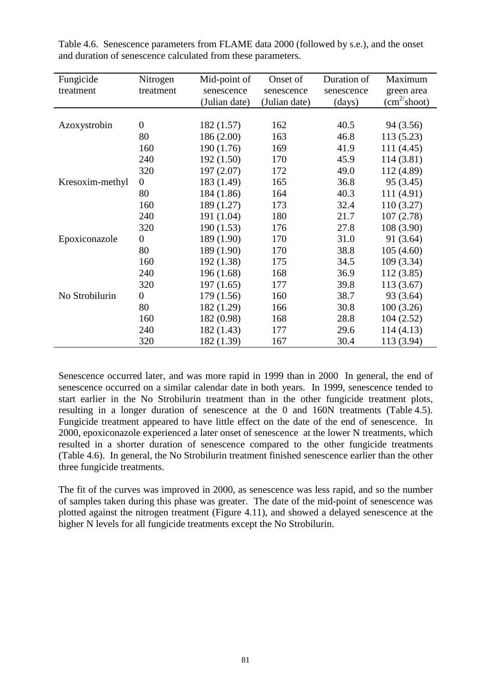| Fungicide       | Nitrogen         | Mid-point of  | Onset of      | Duration of | Maximum               |
|-----------------|------------------|---------------|---------------|-------------|-----------------------|
| treatment       | treatment        | senescence    | senescence    | senescence  | green area            |
|                 |                  | (Julian date) | (Julian date) | (days)      | $(cm^2/\text{shoot})$ |
|                 |                  |               |               |             |                       |
| Azoxystrobin    | $\overline{0}$   | 182 (1.57)    | 162           | 40.5        | 94 (3.56)             |
|                 | 80               | 186 (2.00)    | 163           | 46.8        | 113(5.23)             |
|                 | 160              | 190 (1.76)    | 169           | 41.9        | 111 (4.45)            |
|                 | 240              | 192 (1.50)    | 170           | 45.9        | 114 (3.81)            |
|                 | 320              | 197(2.07)     | 172           | 49.0        | 112 (4.89)            |
| Kresoxim-methyl | $\boldsymbol{0}$ | 183 (1.49)    | 165           | 36.8        | 95 (3.45)             |
|                 | 80               | 184 (1.86)    | 164           | 40.3        | 111 (4.91)            |
|                 | 160              | 189 (1.27)    | 173           | 32.4        | 110(3.27)             |
|                 | 240              | 191 (1.04)    | 180           | 21.7        | 107(2.78)             |
|                 | 320              | 190(1.53)     | 176           | 27.8        | 108 (3.90)            |
| Epoxiconazole   | $\overline{0}$   | 189 (1.90)    | 170           | 31.0        | 91 (3.64)             |
|                 | 80               | 189 (1.90)    | 170           | 38.8        | 105(4.60)             |
|                 | 160              | 192 (1.38)    | 175           | 34.5        | 109(3.34)             |
|                 | 240              | 196 (1.68)    | 168           | 36.9        | 112 (3.85)            |
|                 | 320              | 197(1.65)     | 177           | 39.8        | 113 (3.67)            |
| No Strobilurin  | $\overline{0}$   | 179 (1.56)    | 160           | 38.7        | 93 (3.64)             |
|                 | 80               | 182 (1.29)    | 166           | 30.8        | 100(3.26)             |
|                 | 160              | 182 (0.98)    | 168           | 28.8        | 104(2.52)             |
|                 | 240              | 182 (1.43)    | 177           | 29.6        | 114(4.13)             |
|                 | 320              | 182 (1.39)    | 167           | 30.4        | 113 (3.94)            |

Table 4.6. Senescence parameters from FLAME data 2000 (followed by s.e.), and the onset and duration of senescence calculated from these parameters.

Senescence occurred later, and was more rapid in 1999 than in 2000 In general, the end of senescence occurred on a similar calendar date in both years. In 1999, senescence tended to start earlier in the No Strobilurin treatment than in the other fungicide treatment plots, resulting in a longer duration of senescence at the 0 and 160N treatments (Table 4.5). Fungicide treatment appeared to have little effect on the date of the end of senescence. In 2000, epoxiconazole experienced a later onset of senescence at the lower N treatments, which resulted in a shorter duration of senescence compared to the other fungicide treatments (Table 4.6). In general, the No Strobilurin treatment finished senescence earlier than the other three fungicide treatments.

The fit of the curves was improved in 2000, as senescence was less rapid, and so the number of samples taken during this phase was greater. The date of the mid-point of senescence was plotted against the nitrogen treatment (Figure 4.11), and showed a delayed senescence at the higher N levels for all fungicide treatments except the No Strobilurin.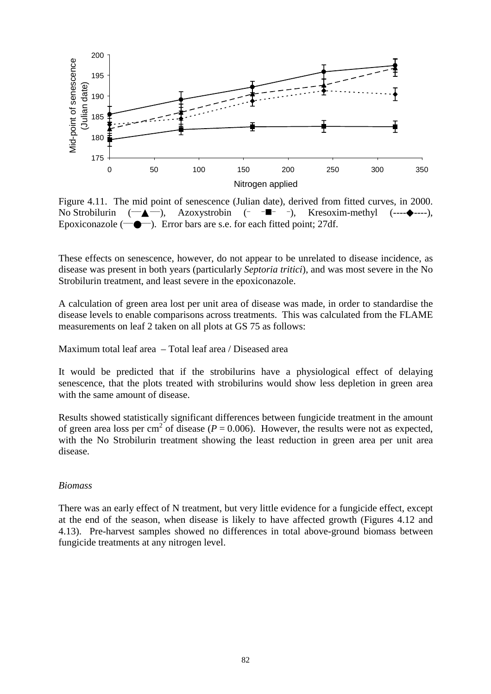

Figure 4.11. The mid point of senescence (Julian date), derived from fitted curves, in 2000. No Strobilurin  $(\rightarrow \blacktriangle -)$ , Azoxystrobin (- - $\blacktriangleright$  -), Kresoxim-methyl (--- $\blacktriangleright$ ----), Epoxiconazole  $(\rightarrow \rightarrow \rightarrow)$ . Error bars are s.e. for each fitted point; 27df.

These effects on senescence, however, do not appear to be unrelated to disease incidence, as disease was present in both years (particularly *Septoria tritici*), and was most severe in the No Strobilurin treatment, and least severe in the epoxiconazole.

A calculation of green area lost per unit area of disease was made, in order to standardise the disease levels to enable comparisons across treatments. This was calculated from the FLAME measurements on leaf 2 taken on all plots at GS 75 as follows:

Maximum total leaf area – Total leaf area / Diseased area

It would be predicted that if the strobilurins have a physiological effect of delaying senescence, that the plots treated with strobilurins would show less depletion in green area with the same amount of disease.

Results showed statistically significant differences between fungicide treatment in the amount of green area loss per cm<sup>2</sup> of disease ( $P = 0.006$ ). However, the results were not as expected, with the No Strobilurin treatment showing the least reduction in green area per unit area disease.

#### *Biomass*

There was an early effect of N treatment, but very little evidence for a fungicide effect, except at the end of the season, when disease is likely to have affected growth (Figures 4.12 and 4.13). Pre-harvest samples showed no differences in total above-ground biomass between fungicide treatments at any nitrogen level.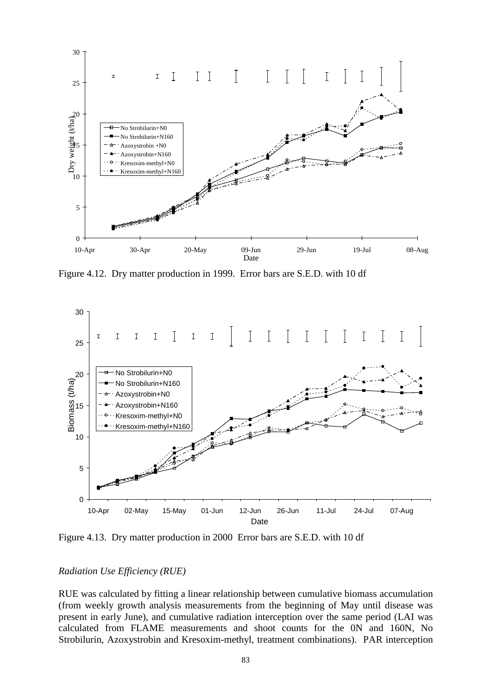

Figure 4.12. Dry matter production in 1999. Error bars are S.E.D. with 10 df



Figure 4.13. Dry matter production in 2000 Error bars are S.E.D. with 10 df

#### *Radiation Use Efficiency (RUE)*

RUE was calculated by fitting a linear relationship between cumulative biomass accumulation (from weekly growth analysis measurements from the beginning of May until disease was present in early June), and cumulative radiation interception over the same period (LAI was calculated from FLAME measurements and shoot counts for the 0N and 160N, No Strobilurin, Azoxystrobin and Kresoxim-methyl, treatment combinations). PAR interception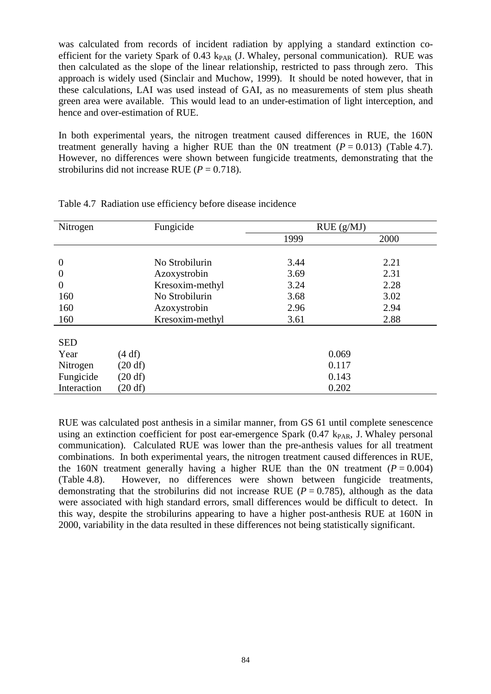was calculated from records of incident radiation by applying a standard extinction coefficient for the variety Spark of 0.43 k<sub>PAR</sub> (J. Whaley, personal communication). RUE was then calculated as the slope of the linear relationship, restricted to pass through zero. This approach is widely used (Sinclair and Muchow, 1999). It should be noted however, that in these calculations, LAI was used instead of GAI, as no measurements of stem plus sheath green area were available. This would lead to an under-estimation of light interception, and hence and over-estimation of RUE.

In both experimental years, the nitrogen treatment caused differences in RUE, the 160N treatment generally having a higher RUE than the 0N treatment  $(P = 0.013)$  (Table 4.7). However, no differences were shown between fungicide treatments, demonstrating that the strobilurins did not increase RUE  $(P = 0.718)$ .

| Nitrogen       | Fungicide       | RUE(g/MJ) |      |
|----------------|-----------------|-----------|------|
|                |                 | 1999      | 2000 |
|                |                 |           |      |
| $\overline{0}$ | No Strobilurin  | 3.44      | 2.21 |
| $\overline{0}$ | Azoxystrobin    | 3.69      | 2.31 |
| $\overline{0}$ | Kresoxim-methyl | 3.24      | 2.28 |
| 160            | No Strobilurin  | 3.68      | 3.02 |
| 160            | Azoxystrobin    | 2.96      | 2.94 |
| 160            | Kresoxim-methyl | 3.61      | 2.88 |
|                |                 |           |      |
| <b>SED</b>     |                 |           |      |
| Year           | (4 df)          | 0.069     |      |
| Nitrogen       | (20 df)         | 0.117     |      |
| Fungicide      | (20 df)         | 0.143     |      |
| Interaction    | (20 df)         | 0.202     |      |

Table 4.7 Radiation use efficiency before disease incidence

RUE was calculated post anthesis in a similar manner, from GS 61 until complete senescence using an extinction coefficient for post ear-emergence Spark  $(0.47 \text{ k}_{PAR}, \text{ J. Whaley personal})$ communication). Calculated RUE was lower than the pre-anthesis values for all treatment combinations. In both experimental years, the nitrogen treatment caused differences in RUE, the 160N treatment generally having a higher RUE than the 0N treatment  $(P = 0.004)$ (Table 4.8). However, no differences were shown between fungicide treatments, demonstrating that the strobilurins did not increase RUE ( $P = 0.785$ ), although as the data were associated with high standard errors, small differences would be difficult to detect. In this way, despite the strobilurins appearing to have a higher post-anthesis RUE at 160N in 2000, variability in the data resulted in these differences not being statistically significant.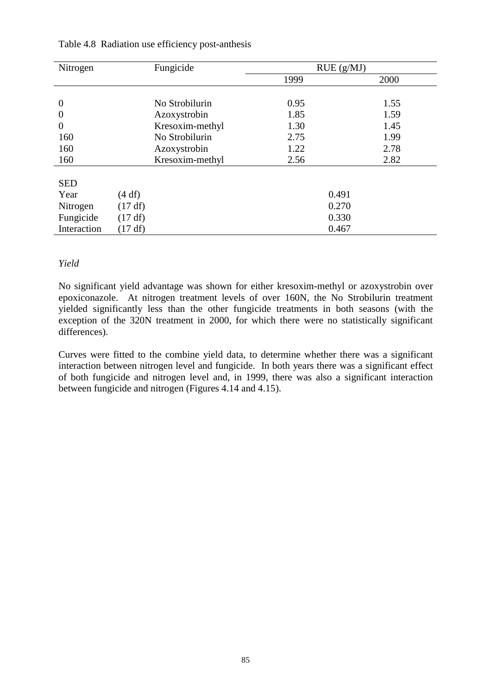| Nitrogen         | Fungicide       |      | RUE(g/MJ) |
|------------------|-----------------|------|-----------|
|                  |                 | 1999 | 2000      |
|                  |                 |      |           |
| $\overline{0}$   | No Strobilurin  | 0.95 | 1.55      |
| $\boldsymbol{0}$ | Azoxystrobin    | 1.85 | 1.59      |
| $\overline{0}$   | Kresoxim-methyl | 1.30 | 1.45      |
| 160              | No Strobilurin  | 2.75 | 1.99      |
| 160              | Azoxystrobin    | 1.22 | 2.78      |
| 160              | Kresoxim-methyl | 2.56 | 2.82      |
|                  |                 |      |           |
| <b>SED</b>       |                 |      |           |
| Year             | (4 df)          |      | 0.491     |
| Nitrogen         | (17 df)         |      | 0.270     |
| Fungicide        | (17 df)         |      | 0.330     |
| Interaction      | (17 df)         |      | 0.467     |

### Table 4.8 Radiation use efficiency post-anthesis

### *Yield*

No significant yield advantage was shown for either kresoxim-methyl or azoxystrobin over epoxiconazole. At nitrogen treatment levels of over 160N, the No Strobilurin treatment yielded significantly less than the other fungicide treatments in both seasons (with the exception of the 320N treatment in 2000, for which there were no statistically significant differences).

Curves were fitted to the combine yield data, to determine whether there was a significant interaction between nitrogen level and fungicide. In both years there was a significant effect of both fungicide and nitrogen level and, in 1999, there was also a significant interaction between fungicide and nitrogen (Figures 4.14 and 4.15).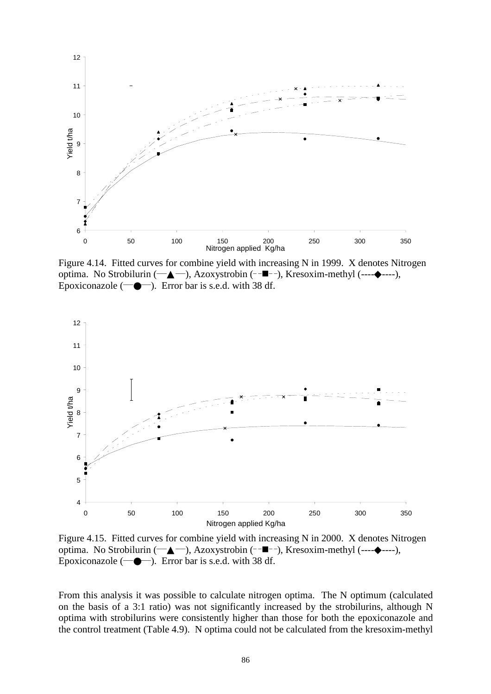

Figure 4.14. Fitted curves for combine yield with increasing N in 1999. X denotes Nitrogen optima. No Strobilurin ( $\longrightarrow$ ), Azoxystrobin (- $\blacksquare$ --), Kresoxim-methyl (--- $\blacklozenge$ ----), Epoxiconazole  $(\neg \blacklozenge \neg)$ . Error bar is s.e.d. with 38 df.



Figure 4.15. Fitted curves for combine yield with increasing N in 2000. X denotes Nitrogen optima. No Strobilurin ( $\longrightarrow$ ), Azoxystrobin (- $\blacksquare$ --), Kresoxim-methyl (--- $\blacklozenge$ ----), Epoxiconazole  $(\rightarrow \rightarrow \rightarrow)$ . Error bar is s.e.d. with 38 df.

From this analysis it was possible to calculate nitrogen optima. The N optimum (calculated on the basis of a 3:1 ratio) was not significantly increased by the strobilurins, although N optima with strobilurins were consistently higher than those for both the epoxiconazole and the control treatment (Table 4.9). N optima could not be calculated from the kresoxim-methyl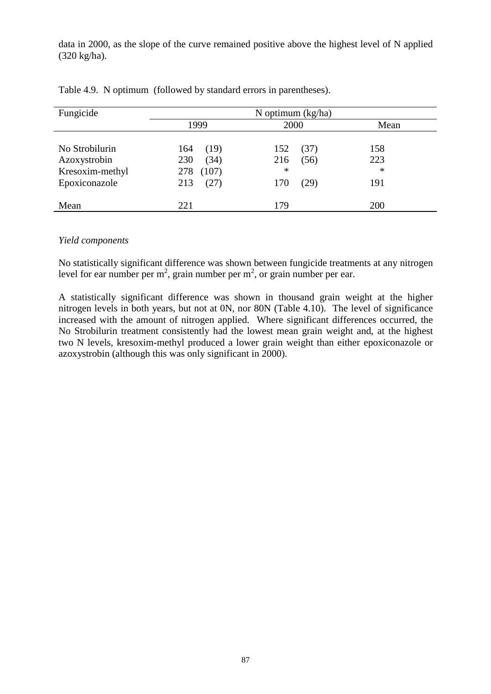data in 2000, as the slope of the curve remained positive above the highest level of N applied (320 kg/ha).

| Fungicide       | N optimum $(kg/ha)$ |             |        |  |  |  |
|-----------------|---------------------|-------------|--------|--|--|--|
|                 | 1999                | 2000        | Mean   |  |  |  |
| No Strobilurin  | (19)<br>164         | 152<br>(37) | 158    |  |  |  |
| Azoxystrobin    | (34)<br>230         | (56)<br>216 | 223    |  |  |  |
| Kresoxim-methyl | 278<br>(107)        | $\ast$      | $\ast$ |  |  |  |
| Epoxiconazole   | (27)<br>213         | 170<br>(29) | 191    |  |  |  |
| Mean            | 221                 | 179         | 200    |  |  |  |

|  |  |  |  |  |  |  |  | Table 4.9. N optimum (followed by standard errors in parentheses). |  |
|--|--|--|--|--|--|--|--|--------------------------------------------------------------------|--|
|--|--|--|--|--|--|--|--|--------------------------------------------------------------------|--|

#### *Yield components*

No statistically significant difference was shown between fungicide treatments at any nitrogen level for ear number per m<sup>2</sup>, grain number per m<sup>2</sup>, or grain number per ear.

A statistically significant difference was shown in thousand grain weight at the higher nitrogen levels in both years, but not at 0N, nor 80N (Table 4.10). The level of significance increased with the amount of nitrogen applied. Where significant differences occurred, the No Strobilurin treatment consistently had the lowest mean grain weight and, at the highest two N levels, kresoxim-methyl produced a lower grain weight than either epoxiconazole or azoxystrobin (although this was only significant in 2000).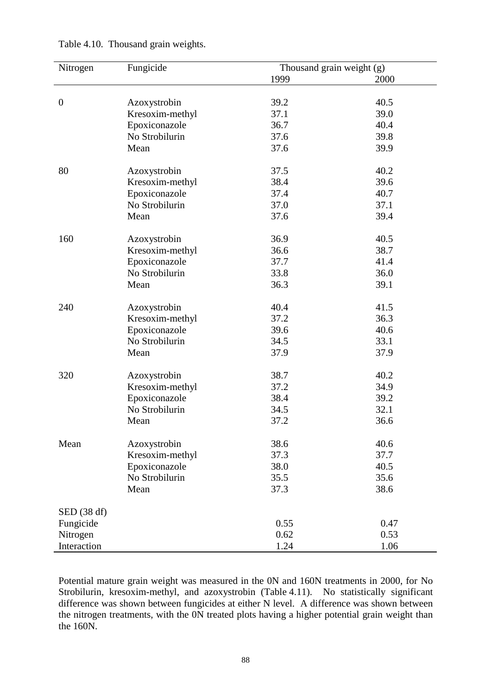| Nitrogen         | Fungicide       | Thousand grain weight (g) |      |
|------------------|-----------------|---------------------------|------|
|                  |                 | 1999                      | 2000 |
|                  |                 |                           |      |
| $\boldsymbol{0}$ | Azoxystrobin    | 39.2                      | 40.5 |
|                  | Kresoxim-methyl | 37.1                      | 39.0 |
|                  | Epoxiconazole   | 36.7                      | 40.4 |
|                  | No Strobilurin  | 37.6                      | 39.8 |
|                  | Mean            | 37.6                      | 39.9 |
|                  |                 |                           |      |
| 80               | Azoxystrobin    | 37.5                      | 40.2 |
|                  | Kresoxim-methyl | 38.4                      | 39.6 |
|                  | Epoxiconazole   | 37.4                      | 40.7 |
|                  | No Strobilurin  | 37.0                      | 37.1 |
|                  | Mean            | 37.6                      | 39.4 |
|                  |                 |                           |      |
| 160              | Azoxystrobin    | 36.9                      | 40.5 |
|                  | Kresoxim-methyl | 36.6                      | 38.7 |
|                  | Epoxiconazole   | 37.7                      | 41.4 |
|                  | No Strobilurin  | 33.8                      | 36.0 |
|                  | Mean            | 36.3                      | 39.1 |
|                  |                 |                           |      |
| 240              | Azoxystrobin    | 40.4                      | 41.5 |
|                  | Kresoxim-methyl | 37.2                      | 36.3 |
|                  | Epoxiconazole   | 39.6                      | 40.6 |
|                  | No Strobilurin  | 34.5                      | 33.1 |
|                  | Mean            | 37.9                      | 37.9 |
|                  |                 |                           |      |
| 320              | Azoxystrobin    | 38.7                      | 40.2 |
|                  | Kresoxim-methyl | 37.2                      | 34.9 |
|                  | Epoxiconazole   | 38.4                      | 39.2 |
|                  | No Strobilurin  | 34.5                      | 32.1 |
|                  | Mean            | 37.2                      | 36.6 |
|                  |                 |                           |      |
| Mean             | Azoxystrobin    | 38.6                      | 40.6 |
|                  | Kresoxim-methyl | 37.3                      | 37.7 |
|                  | Epoxiconazole   | 38.0                      | 40.5 |
|                  | No Strobilurin  | 35.5                      | 35.6 |
|                  | Mean            | 37.3                      | 38.6 |
|                  |                 |                           |      |
| SED (38 df)      |                 |                           |      |
| Fungicide        |                 | 0.55                      | 0.47 |
| Nitrogen         |                 | 0.62                      | 0.53 |
| Interaction      |                 | 1.24                      | 1.06 |

Table 4.10. Thousand grain weights.

Potential mature grain weight was measured in the 0N and 160N treatments in 2000, for No Strobilurin, kresoxim-methyl, and azoxystrobin (Table 4.11). No statistically significant difference was shown between fungicides at either N level. A difference was shown between the nitrogen treatments, with the 0N treated plots having a higher potential grain weight than the 160N.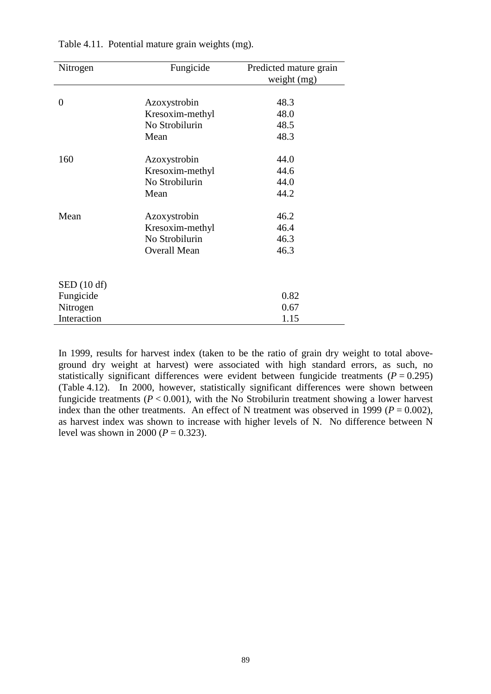| Nitrogen             | Fungicide           | Predicted mature grain |
|----------------------|---------------------|------------------------|
|                      |                     | weight (mg)            |
|                      |                     |                        |
| $\theta$             | Azoxystrobin        | 48.3                   |
|                      | Kresoxim-methyl     | 48.0                   |
|                      | No Strobilurin      | 48.5                   |
|                      | Mean                | 48.3                   |
| 160                  | Azoxystrobin        | 44.0                   |
|                      | Kresoxim-methyl     | 44.6                   |
|                      | No Strobilurin      | 44.0                   |
|                      | Mean                | 44.2                   |
| Mean                 | Azoxystrobin        | 46.2                   |
|                      | Kresoxim-methyl     | 46.4                   |
|                      | No Strobilurin      | 46.3                   |
|                      | <b>Overall Mean</b> | 46.3                   |
|                      |                     |                        |
| $\text{SED}$ (10 df) |                     |                        |
| Fungicide            |                     | 0.82                   |
| Nitrogen             |                     | 0.67                   |
| Interaction          |                     | 1.15                   |

Table 4.11. Potential mature grain weights (mg).

In 1999, results for harvest index (taken to be the ratio of grain dry weight to total aboveground dry weight at harvest) were associated with high standard errors, as such, no statistically significant differences were evident between fungicide treatments  $(P = 0.295)$ (Table 4.12). In 2000, however, statistically significant differences were shown between fungicide treatments ( $P < 0.001$ ), with the No Strobilurin treatment showing a lower harvest index than the other treatments. An effect of N treatment was observed in 1999 ( $P = 0.002$ ), as harvest index was shown to increase with higher levels of N. No difference between N level was shown in 2000 ( $P = 0.323$ ).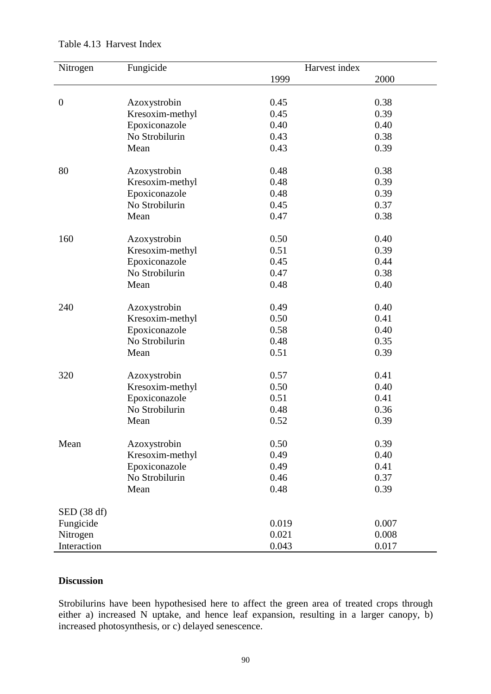| Nitrogen       | Fungicide       | Harvest index |       |
|----------------|-----------------|---------------|-------|
|                |                 | 1999          | 2000  |
|                |                 |               |       |
| $\overline{0}$ | Azoxystrobin    | 0.45          | 0.38  |
|                | Kresoxim-methyl | 0.45          | 0.39  |
|                | Epoxiconazole   | 0.40          | 0.40  |
|                | No Strobilurin  | 0.43          | 0.38  |
|                | Mean            | 0.43          | 0.39  |
|                |                 |               |       |
| 80             | Azoxystrobin    | 0.48          | 0.38  |
|                | Kresoxim-methyl | 0.48          | 0.39  |
|                | Epoxiconazole   | 0.48          | 0.39  |
|                | No Strobilurin  | 0.45          | 0.37  |
|                | Mean            | 0.47          | 0.38  |
| 160            | Azoxystrobin    | 0.50          | 0.40  |
|                | Kresoxim-methyl | 0.51          | 0.39  |
|                | Epoxiconazole   | 0.45          | 0.44  |
|                | No Strobilurin  | 0.47          | 0.38  |
|                | Mean            | 0.48          | 0.40  |
|                |                 |               |       |
| 240            | Azoxystrobin    | 0.49          | 0.40  |
|                | Kresoxim-methyl | 0.50          | 0.41  |
|                | Epoxiconazole   | 0.58          | 0.40  |
|                | No Strobilurin  | 0.48          | 0.35  |
|                | Mean            | 0.51          | 0.39  |
|                |                 |               |       |
| 320            | Azoxystrobin    | 0.57          | 0.41  |
|                | Kresoxim-methyl | 0.50          | 0.40  |
|                | Epoxiconazole   | 0.51          | 0.41  |
|                | No Strobilurin  | 0.48          | 0.36  |
|                | Mean            | 0.52          | 0.39  |
| Mean           | Azoxystrobin    | 0.50          | 0.39  |
|                | Kresoxim-methyl | 0.49          | 0.40  |
|                | Epoxiconazole   | 0.49          | 0.41  |
|                | No Strobilurin  | 0.46          | 0.37  |
|                | Mean            | 0.48          | 0.39  |
|                |                 |               |       |
| SED (38 df)    |                 |               |       |
| Fungicide      |                 | 0.019         | 0.007 |
| Nitrogen       |                 | 0.021         | 0.008 |
| Interaction    |                 | 0.043         | 0.017 |

### Table 4.13 Harvest Index

# **Discussion**

Strobilurins have been hypothesised here to affect the green area of treated crops through either a) increased N uptake, and hence leaf expansion, resulting in a larger canopy, b) increased photosynthesis, or c) delayed senescence.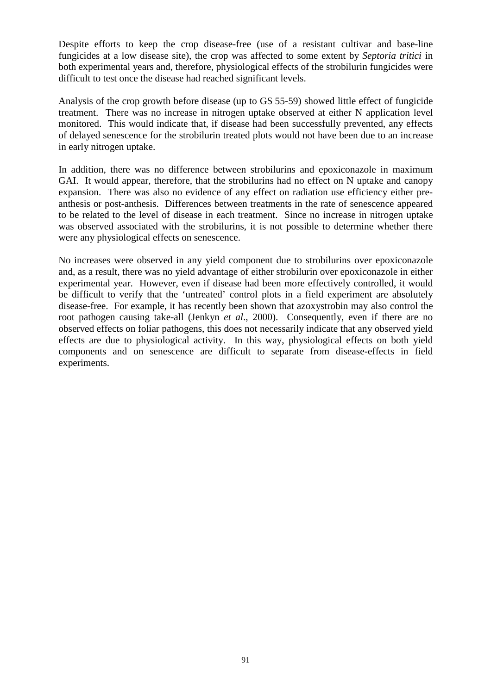Despite efforts to keep the crop disease-free (use of a resistant cultivar and base-line fungicides at a low disease site), the crop was affected to some extent by *Septoria tritici* in both experimental years and, therefore, physiological effects of the strobilurin fungicides were difficult to test once the disease had reached significant levels.

Analysis of the crop growth before disease (up to GS 55-59) showed little effect of fungicide treatment. There was no increase in nitrogen uptake observed at either N application level monitored. This would indicate that, if disease had been successfully prevented, any effects of delayed senescence for the strobilurin treated plots would not have been due to an increase in early nitrogen uptake.

In addition, there was no difference between strobilurins and epoxiconazole in maximum GAI. It would appear, therefore, that the strobilurins had no effect on N uptake and canopy expansion. There was also no evidence of any effect on radiation use efficiency either preanthesis or post-anthesis. Differences between treatments in the rate of senescence appeared to be related to the level of disease in each treatment. Since no increase in nitrogen uptake was observed associated with the strobilurins, it is not possible to determine whether there were any physiological effects on senescence.

No increases were observed in any yield component due to strobilurins over epoxiconazole and, as a result, there was no yield advantage of either strobilurin over epoxiconazole in either experimental year. However, even if disease had been more effectively controlled, it would be difficult to verify that the 'untreated' control plots in a field experiment are absolutely disease-free. For example, it has recently been shown that azoxystrobin may also control the root pathogen causing take-all (Jenkyn *et al*., 2000). Consequently, even if there are no observed effects on foliar pathogens, this does not necessarily indicate that any observed yield effects are due to physiological activity. In this way, physiological effects on both yield components and on senescence are difficult to separate from disease-effects in field experiments.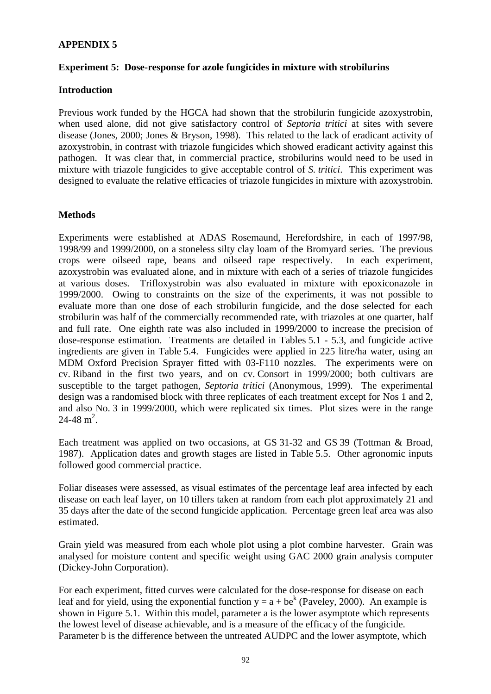# **APPENDIX 5**

### **Experiment 5: Dose-response for azole fungicides in mixture with strobilurins**

#### **Introduction**

Previous work funded by the HGCA had shown that the strobilurin fungicide azoxystrobin, when used alone, did not give satisfactory control of *Septoria tritici* at sites with severe disease (Jones, 2000; Jones & Bryson, 1998). This related to the lack of eradicant activity of azoxystrobin, in contrast with triazole fungicides which showed eradicant activity against this pathogen. It was clear that, in commercial practice, strobilurins would need to be used in mixture with triazole fungicides to give acceptable control of *S. tritici*. This experiment was designed to evaluate the relative efficacies of triazole fungicides in mixture with azoxystrobin.

### **Methods**

Experiments were established at ADAS Rosemaund, Herefordshire, in each of 1997/98, 1998/99 and 1999/2000, on a stoneless silty clay loam of the Bromyard series. The previous crops were oilseed rape, beans and oilseed rape respectively. In each experiment, azoxystrobin was evaluated alone, and in mixture with each of a series of triazole fungicides at various doses. Trifloxystrobin was also evaluated in mixture with epoxiconazole in 1999/2000. Owing to constraints on the size of the experiments, it was not possible to evaluate more than one dose of each strobilurin fungicide, and the dose selected for each strobilurin was half of the commercially recommended rate, with triazoles at one quarter, half and full rate. One eighth rate was also included in 1999/2000 to increase the precision of dose-response estimation. Treatments are detailed in Tables 5.1 - 5.3, and fungicide active ingredients are given in Table 5.4. Fungicides were applied in 225 litre/ha water, using an MDM Oxford Precision Sprayer fitted with 03-F110 nozzles. The experiments were on cv. Riband in the first two years, and on cv. Consort in 1999/2000; both cultivars are susceptible to the target pathogen, *Septoria tritici* (Anonymous, 1999). The experimental design was a randomised block with three replicates of each treatment except for Nos 1 and 2, and also No. 3 in 1999/2000, which were replicated six times. Plot sizes were in the range  $24 - 48$  m<sup>2</sup>.

Each treatment was applied on two occasions, at GS 31-32 and GS 39 (Tottman & Broad, 1987). Application dates and growth stages are listed in Table 5.5. Other agronomic inputs followed good commercial practice.

Foliar diseases were assessed, as visual estimates of the percentage leaf area infected by each disease on each leaf layer, on 10 tillers taken at random from each plot approximately 21 and 35 days after the date of the second fungicide application. Percentage green leaf area was also estimated.

Grain yield was measured from each whole plot using a plot combine harvester. Grain was analysed for moisture content and specific weight using GAC 2000 grain analysis computer (Dickey-John Corporation).

For each experiment, fitted curves were calculated for the dose-response for disease on each leaf and for yield, using the exponential function  $y = a + be^{k}$  (Paveley, 2000). An example is shown in Figure 5.1. Within this model, parameter a is the lower asymptote which represents the lowest level of disease achievable, and is a measure of the efficacy of the fungicide. Parameter b is the difference between the untreated AUDPC and the lower asymptote, which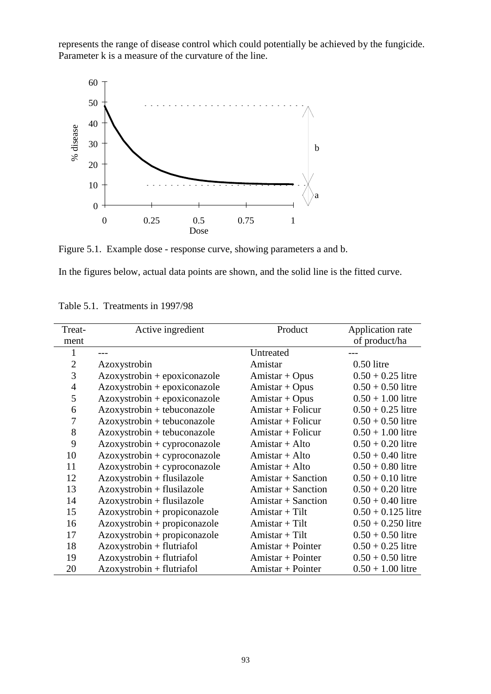represents the range of disease control which could potentially be achieved by the fungicide. Parameter k is a measure of the curvature of the line.



Figure 5.1. Example dose - response curve, showing parameters a and b.

In the figures below, actual data points are shown, and the solid line is the fitted curve.

| Treat-         | Active ingredient              | Product              | Application rate     |
|----------------|--------------------------------|----------------------|----------------------|
| ment           |                                |                      | of product/ha        |
|                |                                | Untreated            |                      |
| $\overline{2}$ | Azoxystrobin                   | Amistar              | $0.50$ litre         |
| 3              | $Azoxystrobin + epoxiconazole$ | $Amistar + Opus$     | $0.50 + 0.25$ litre  |
| $\overline{4}$ | Azoxystrobin + epoxiconazole   | Amistar + Opus       | $0.50 + 0.50$ litre  |
| 5              | $Azoxystrobin + epoxiconazole$ | $Amistar + Opus$     | $0.50 + 1.00$ litre  |
| 6              | Azoxystrobin + tebuconazole    | $Amistar + Folicur$  | $0.50 + 0.25$ litre  |
| 7              | Azoxystrobin + tebuconazole    | Amistar + Folicur    | $0.50 + 0.50$ litre  |
| 8              | Azoxystrobin + tebuconazole    | Amistar + Folicur    | $0.50 + 1.00$ litre  |
| 9              | $Azoxystrobin + cyproconazole$ | Amistar + Alto       | $0.50 + 0.20$ litre  |
| 10             | $Azoxystrobin + cyproconazole$ | $Amistar + Alto$     | $0.50 + 0.40$ litre  |
| 11             | $Azoxystrobin + cyproconazole$ | $Amistar + Alto$     | $0.50 + 0.80$ litre  |
| 12             | Azoxystrobin + flusilazole     | $Amistar + Sanction$ | $0.50 + 0.10$ litre  |
| 13             | $Azoxystrobin + fluxilazole$   | $Amistar + Sanction$ | $0.50 + 0.20$ litre  |
| 14             | Azoxystrobin + flusilazole     | $Amistar + Sanction$ | $0.50 + 0.40$ litre  |
| 15             | $Azoxystrobin + propiconazole$ | Amistar + Tilt       | $0.50 + 0.125$ litre |
| 16             | $Azoxystrobin + propiconazole$ | $Amistar + Tilt$     | $0.50 + 0.250$ litre |
| 17             | Azoxystrobin + propiconazole   | $Amistar + Tilt$     | $0.50 + 0.50$ litre  |
| 18             | Azoxystrobin + flutriafol      | $Amistar + Pointer$  | $0.50 + 0.25$ litre  |
| 19             | Azoxystrobin + flutriafol      | Amistar + Pointer    | $0.50 + 0.50$ litre  |
| 20             | $Azoxystrobin + flutriafol$    | Amistar + Pointer    | $0.50 + 1.00$ litre  |

Table 5.1. Treatments in 1997/98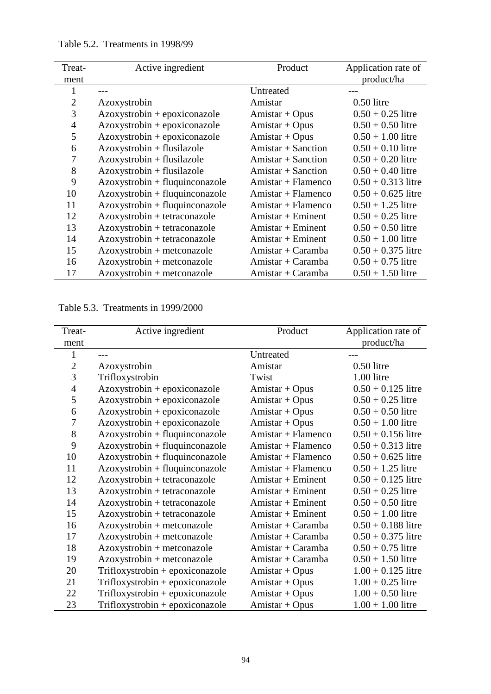| Treat-         | Active ingredient              | Product              | Application rate of  |
|----------------|--------------------------------|----------------------|----------------------|
| ment           |                                |                      | product/ha           |
|                |                                | Untreated            |                      |
| $\overline{2}$ | Azoxystrobin                   | Amistar              | $0.50$ litre         |
| 3              | Azoxystrobin + epoxiconazole   | $Amistar + Opus$     | $0.50 + 0.25$ litre  |
| $\overline{4}$ | $Azoxystrobin + epoxiconazole$ | Amistar + Opus       | $0.50 + 0.50$ litre  |
| 5              | $Azoxystrobin + epoxiconazole$ | $Amistar + Opus$     | $0.50 + 1.00$ litre  |
| 6              | Azoxystrobin + flusilazole     | $Amistar + Sanction$ | $0.50 + 0.10$ litre  |
| 7              | Azoxystrobin + flusilazole     | $Amistar + Sanction$ | $0.50 + 0.20$ litre  |
| 8              | Azoxystrobin + flusilazole     | $Amistar + Sanction$ | $0.50 + 0.40$ litre  |
| 9              | Azoxystrobin + fluquinconazole | $Amistar + Flamenco$ | $0.50 + 0.313$ litre |
| 10             | Azoxystrobin + fluquinconazole | $Amistar + Flamenco$ | $0.50 + 0.625$ litre |
| 11             | Azoxystrobin + fluquinconazole | $Amistar + Flamenco$ | $0.50 + 1.25$ litre  |
| 12             | Azoxystrobin + tetraconazole   | $Amistar + Eminent$  | $0.50 + 0.25$ litre  |
| 13             | Azoxystrobin + tetraconazole   | $Amistar + Eminent$  | $0.50 + 0.50$ litre  |
| 14             | Azoxystrobin + tetraconazole   | $Amistar + Eminent$  | $0.50 + 1.00$ litre  |
| 15             | Azoxystrobin + metconazole     | $Amistar + Caramba$  | $0.50 + 0.375$ litre |
| 16             | $Azoxystrobin + metconazole$   | $Amistar + Caramba$  | $0.50 + 0.75$ litre  |
| 17             | Azoxystrobin + metconazole     | $Amistar + Caramba$  | $0.50 + 1.50$ litre  |

Table 5.2. Treatments in 1998/99

Table 5.3. Treatments in 1999/2000

| Treat-           | Active ingredient                | Product             | Application rate of  |
|------------------|----------------------------------|---------------------|----------------------|
| ment             |                                  |                     | product/ha           |
| 1                |                                  | Untreated           |                      |
| $\overline{2}$   | Azoxystrobin                     | Amistar             | $0.50$ litre         |
| 3                | Trifloxystrobin                  | Twist               | 1.00 litre           |
| $\overline{4}$   | Azoxystrobin + epoxiconazole     | Amistar + Opus      | $0.50 + 0.125$ litre |
| 5                | Azoxystrobin + epoxiconazole     | Amistar + Opus      | $0.50 + 0.25$ litre  |
| 6                | Azoxystrobin + epoxiconazole     | $Amistar + Opus$    | $0.50 + 0.50$ litre  |
| $\boldsymbol{7}$ | $Azoxystrobin + epoxiconazole$   | Amistar + Opus      | $0.50 + 1.00$ litre  |
| 8                | Azoxystrobin + fluquinconazole   | Amistar + Flamenco  | $0.50 + 0.156$ litre |
| 9                | Azoxystrobin + fluquinconazole   | Amistar + Flamenco  | $0.50 + 0.313$ litre |
| 10               | Azoxystrobin + fluquinconazole   | Amistar + Flamenco  | $0.50 + 0.625$ litre |
| 11               | $Azoxystrobin + fluquinconazole$ | Amistar + Flamenco  | $0.50 + 1.25$ litre  |
| 12               | Azoxystrobin + tetraconazole     | $Amistar + Eminent$ | $0.50 + 0.125$ litre |
| 13               | Azoxystrobin + tetraconazole     | $Amistar + Eminent$ | $0.50 + 0.25$ litre  |
| 14               | Azoxystrobin + tetraconazole     | $Amistar + Eminent$ | $0.50 + 0.50$ litre  |
| 15               | Azoxystrobin + tetraconazole     | $Amistar + Eminent$ | $0.50 + 1.00$ litre  |
| 16               | Azoxystrobin + metconazole       | $Amistar + Caramba$ | $0.50 + 0.188$ litre |
| 17               | Azoxystrobin + metconazole       | $Amistar + Caramba$ | $0.50 + 0.375$ litre |
| 18               | Azoxystrobin + metconazole       | $Amistar + Caramba$ | $0.50 + 0.75$ litre  |
| 19               | Azoxystrobin + metconazole       | Amistar + Caramba   | $0.50 + 1.50$ litre  |
| 20               | Trifloxystrobin + epoxiconazole  | $Amistar + Opus$    | $1.00 + 0.125$ litre |
| 21               | Trifloxystrobin + epoxiconazole  | $Amistar + Opus$    | $1.00 + 0.25$ litre  |
| 22               | Trifloxystrobin + epoxiconazole  | $Amistar + Opus$    | $1.00 + 0.50$ litre  |
| 23               | Trifloxystrobin + epoxiconazole  | $Amistar + Opus$    | $1.00 + 1.00$ litre  |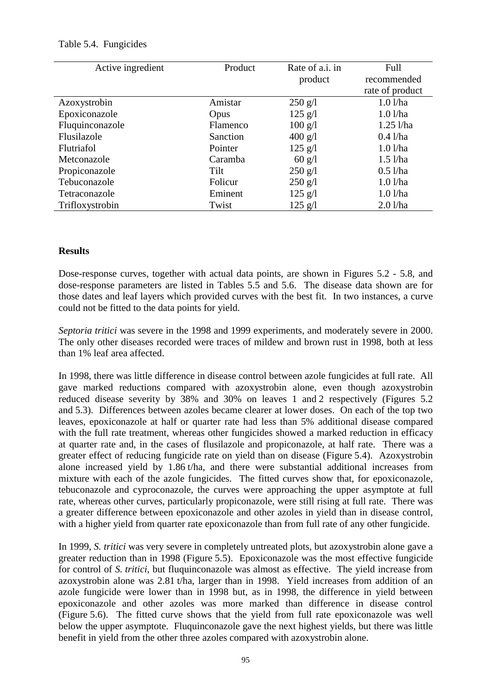| Active ingredient | Product  | Rate of a.i. in          | Full            |
|-------------------|----------|--------------------------|-----------------|
|                   |          | product                  | recommended     |
|                   |          |                          | rate of product |
| Azoxystrobin      | Amistar  | $250$ g/l                | $1.0$ l/ha      |
| Epoxiconazole     | Opus     | $125 \text{ g}/\text{l}$ | $1.0$ $1/ha$    |
| Fluquinconazole   | Flamenco | $100 \text{ g}/\text{l}$ | $1.25$ l/ha     |
| Flusilazole       | Sanction | $400$ g/l                | $0.4$ l/ha      |
| Flutriafol        | Pointer  | $125 \text{ g}/\text{l}$ | $1.0$ $1/ha$    |
| Metconazole       | Caramba  | $60 \text{ g/l}$         | $1.5$ l/ha      |
| Propiconazole     | Tilt     | $250$ g/l                | $0.5$ l/ha      |
| Tebuconazole      | Folicur  | $250$ g/l                | $1.0$ $1/ha$    |
| Tetraconazole     | Eminent  | $125 \text{ g}/\text{l}$ | $1.0$ $1$ /ha   |
| Trifloxystrobin   | Twist    | $125 \text{ g/l}$        | $2.0$ l/ha      |

# Table 5.4. Fungicides

### **Results**

Dose-response curves, together with actual data points, are shown in Figures 5.2 - 5.8, and dose-response parameters are listed in Tables 5.5 and 5.6. The disease data shown are for those dates and leaf layers which provided curves with the best fit. In two instances, a curve could not be fitted to the data points for yield.

*Septoria tritici* was severe in the 1998 and 1999 experiments, and moderately severe in 2000. The only other diseases recorded were traces of mildew and brown rust in 1998, both at less than 1% leaf area affected.

In 1998, there was little difference in disease control between azole fungicides at full rate. All gave marked reductions compared with azoxystrobin alone, even though azoxystrobin reduced disease severity by 38% and 30% on leaves 1 and 2 respectively (Figures 5.2 and 5.3). Differences between azoles became clearer at lower doses. On each of the top two leaves, epoxiconazole at half or quarter rate had less than 5% additional disease compared with the full rate treatment, whereas other fungicides showed a marked reduction in efficacy at quarter rate and, in the cases of flusilazole and propiconazole, at half rate. There was a greater effect of reducing fungicide rate on yield than on disease (Figure 5.4). Azoxystrobin alone increased yield by 1.86 t/ha, and there were substantial additional increases from mixture with each of the azole fungicides. The fitted curves show that, for epoxiconazole, tebuconazole and cyproconazole, the curves were approaching the upper asymptote at full rate, whereas other curves, particularly propiconazole, were still rising at full rate. There was a greater difference between epoxiconazole and other azoles in yield than in disease control, with a higher yield from quarter rate epoxiconazole than from full rate of any other fungicide.

In 1999, *S. tritici* was very severe in completely untreated plots, but azoxystrobin alone gave a greater reduction than in 1998 (Figure 5.5). Epoxiconazole was the most effective fungicide for control of *S. tritici*, but fluquinconazole was almost as effective. The yield increase from azoxystrobin alone was 2.81 t/ha, larger than in 1998. Yield increases from addition of an azole fungicide were lower than in 1998 but, as in 1998, the difference in yield between epoxiconazole and other azoles was more marked than difference in disease control (Figure 5.6). The fitted curve shows that the yield from full rate epoxiconazole was well below the upper asymptote. Fluquinconazole gave the next highest yields, but there was little benefit in yield from the other three azoles compared with azoxystrobin alone.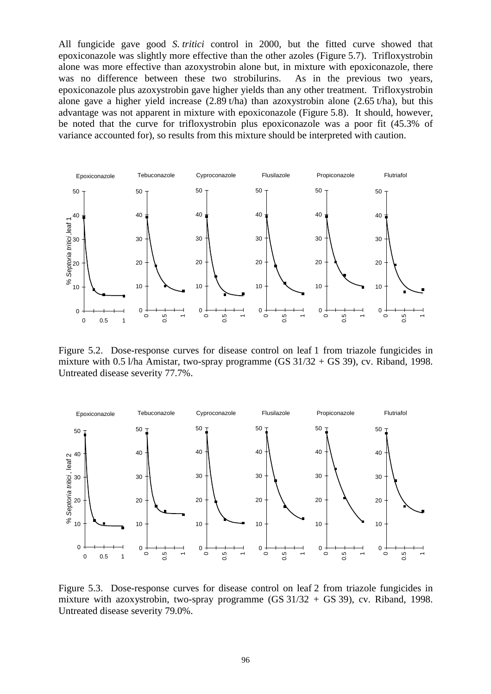All fungicide gave good *S. tritici* control in 2000, but the fitted curve showed that epoxiconazole was slightly more effective than the other azoles (Figure 5.7). Trifloxystrobin alone was more effective than azoxystrobin alone but, in mixture with epoxiconazole, there was no difference between these two strobilurins. As in the previous two years, epoxiconazole plus azoxystrobin gave higher yields than any other treatment. Trifloxystrobin alone gave a higher yield increase (2.89 t/ha) than azoxystrobin alone (2.65 t/ha), but this advantage was not apparent in mixture with epoxiconazole (Figure 5.8). It should, however, be noted that the curve for trifloxystrobin plus epoxiconazole was a poor fit (45.3% of variance accounted for), so results from this mixture should be interpreted with caution.



Figure 5.2. Dose-response curves for disease control on leaf 1 from triazole fungicides in mixture with 0.5 l/ha Amistar, two-spray programme (GS  $31/32 +$  GS 39), cv. Riband, 1998. Untreated disease severity 77.7%.



Figure 5.3. Dose-response curves for disease control on leaf 2 from triazole fungicides in mixture with azoxystrobin, two-spray programme  $(GS\ 31/32 + GS\ 39)$ , cv. Riband, 1998. Untreated disease severity 79.0%.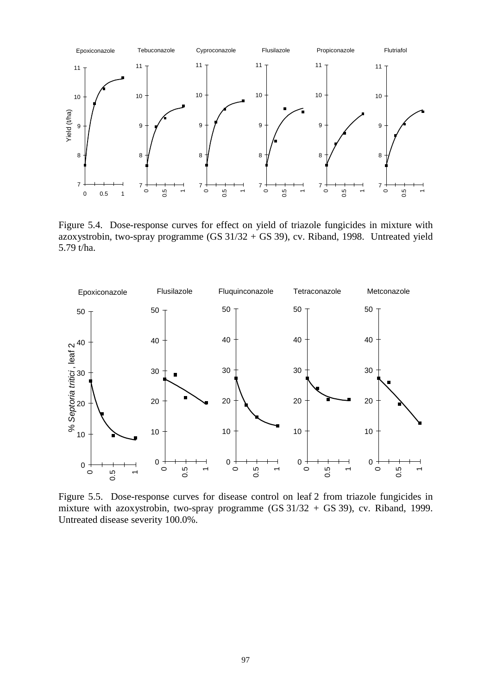

Figure 5.4. Dose-response curves for effect on yield of triazole fungicides in mixture with azoxystrobin, two-spray programme (GS  $31/32 +$  GS 39), cv. Riband, 1998. Untreated yield 5.79 t/ha.



Figure 5.5. Dose-response curves for disease control on leaf 2 from triazole fungicides in mixture with azoxystrobin, two-spray programme (GS 31/32 + GS 39), cv. Riband, 1999. Untreated disease severity 100.0%.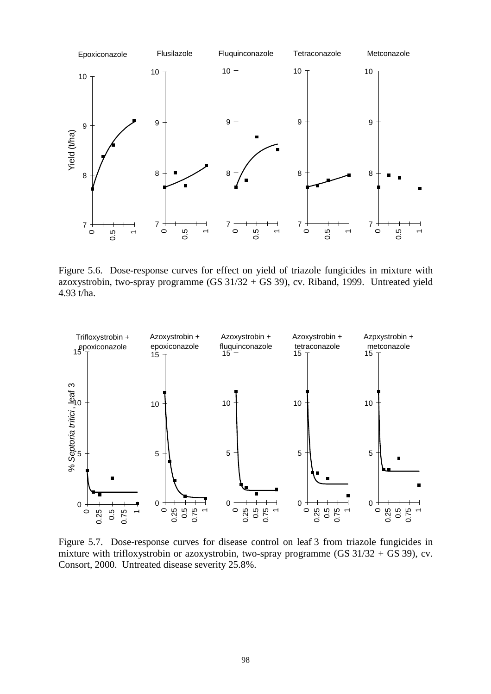

Figure 5.6. Dose-response curves for effect on yield of triazole fungicides in mixture with azoxystrobin, two-spray programme  $(GS\ 31/32 + GS\ 39)$ , cv. Riband, 1999. Untreated yield 4.93 t/ha.



Figure 5.7. Dose-response curves for disease control on leaf 3 from triazole fungicides in mixture with trifloxystrobin or azoxystrobin, two-spray programme (GS  $31/32 +$  GS 39), cv. Consort, 2000. Untreated disease severity 25.8%.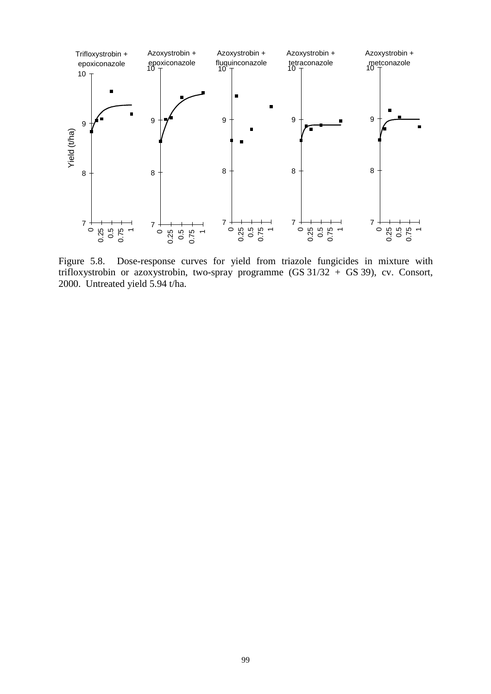

Figure 5.8. Dose-response curves for yield from triazole fungicides in mixture with trifloxystrobin or azoxystrobin, two-spray programme (GS 31/32 + GS 39), cv. Consort, 2000. Untreated yield 5.94 t/ha.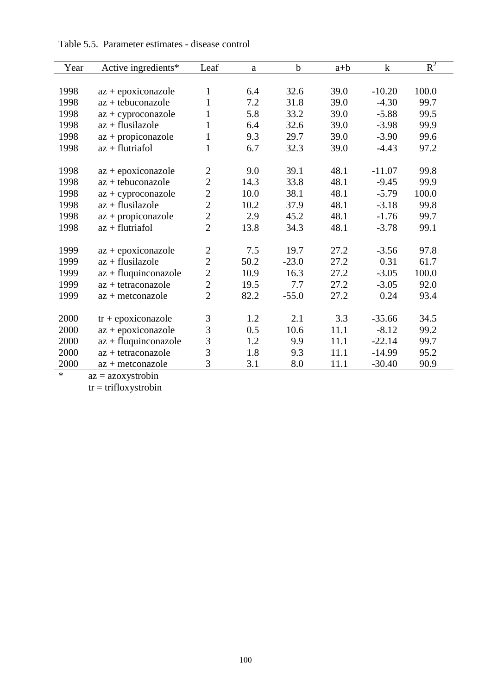| Year | Active ingredients*    | Leaf           | a    | $\mathbf b$ | $a+b$ | $\mathbf k$ | $R^2$ |
|------|------------------------|----------------|------|-------------|-------|-------------|-------|
|      |                        |                |      |             |       |             |       |
| 1998 | $az + epoxiconazole$   | 1              | 6.4  | 32.6        | 39.0  | $-10.20$    | 100.0 |
| 1998 | $az + tebuconazole$    | $\mathbf{1}$   | 7.2  | 31.8        | 39.0  | $-4.30$     | 99.7  |
| 1998 | $az + cyproconazole$   | 1              | 5.8  | 33.2        | 39.0  | $-5.88$     | 99.5  |
| 1998 | $az + flusilazole$     | $\mathbf{1}$   | 6.4  | 32.6        | 39.0  | $-3.98$     | 99.9  |
| 1998 | $az + propiconazole$   | 1              | 9.3  | 29.7        | 39.0  | $-3.90$     | 99.6  |
| 1998 | $az + flutriafol$      | $\mathbf{1}$   | 6.7  | 32.3        | 39.0  | $-4.43$     | 97.2  |
| 1998 | $az + epoxiconazole$   | $\overline{2}$ | 9.0  | 39.1        | 48.1  | $-11.07$    | 99.8  |
| 1998 | $az + tebuconazole$    | $\overline{2}$ | 14.3 | 33.8        | 48.1  | $-9.45$     | 99.9  |
| 1998 | $az + cyproconazole$   | $\overline{2}$ | 10.0 | 38.1        | 48.1  | $-5.79$     | 100.0 |
| 1998 | $az + flusilazole$     | $\overline{2}$ | 10.2 | 37.9        | 48.1  | $-3.18$     | 99.8  |
| 1998 | $az + propiconazole$   | $\overline{c}$ | 2.9  | 45.2        | 48.1  | $-1.76$     | 99.7  |
| 1998 | $az + flutriafol$      | $\overline{2}$ | 13.8 | 34.3        | 48.1  | $-3.78$     | 99.1  |
|      |                        |                |      |             |       |             |       |
| 1999 | $az + epoxiconazole$   | $\overline{2}$ | 7.5  | 19.7        | 27.2  | $-3.56$     | 97.8  |
| 1999 | $az + flusilazole$     | $\overline{2}$ | 50.2 | $-23.0$     | 27.2  | 0.31        | 61.7  |
| 1999 | $az + fluquinoonazole$ | $\overline{2}$ | 10.9 | 16.3        | 27.2  | $-3.05$     | 100.0 |
| 1999 | $az + tetraconazole$   | $\overline{2}$ | 19.5 | 7.7         | 27.2  | $-3.05$     | 92.0  |
| 1999 | $az + metconazole$     | $\overline{2}$ | 82.2 | $-55.0$     | 27.2  | 0.24        | 93.4  |
|      |                        |                |      |             |       |             |       |
| 2000 | $tr + epoxiconazole$   | 3              | 1.2  | 2.1         | 3.3   | $-35.66$    | 34.5  |
| 2000 | $az + epoxiconazole$   | 3              | 0.5  | 10.6        | 11.1  | $-8.12$     | 99.2  |
| 2000 | $az + fluquinoonazole$ | 3              | 1.2  | 9.9         | 11.1  | $-22.14$    | 99.7  |
| 2000 | $az + tetraconazole$   | 3              | 1.8  | 9.3         | 11.1  | $-14.99$    | 95.2  |
| 2000 | $az + metconazole$     | 3              | 3.1  | 8.0         | 11.1  | $-30.40$    | 90.9  |

# Table 5.5. Parameter estimates - disease control

\* az = azoxystrobin

tr = trifloxystrobin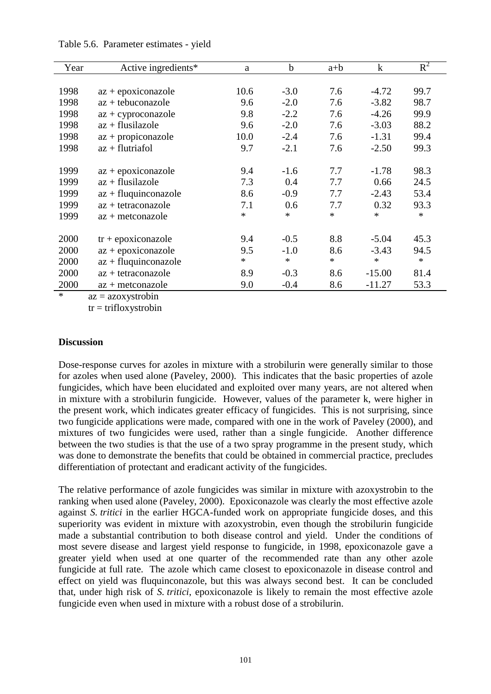| Year | Active ingredients*    | a      | $\mathbf b$ | $a+b$  | $\mathbf k$ | $R^2$  |
|------|------------------------|--------|-------------|--------|-------------|--------|
|      |                        |        |             |        |             |        |
| 1998 | $az + epoxiconazole$   | 10.6   | $-3.0$      | 7.6    | $-4.72$     | 99.7   |
| 1998 | $az + tebuconazole$    | 9.6    | $-2.0$      | 7.6    | $-3.82$     | 98.7   |
| 1998 | $az + cyproconazole$   | 9.8    | $-2.2$      | 7.6    | $-4.26$     | 99.9   |
| 1998 | $az + fluxilazole$     | 9.6    | $-2.0$      | 7.6    | $-3.03$     | 88.2   |
| 1998 | $az + propiconazole$   | 10.0   | $-2.4$      | 7.6    | $-1.31$     | 99.4   |
| 1998 | $az + flutriafol$      | 9.7    | $-2.1$      | 7.6    | $-2.50$     | 99.3   |
|      |                        |        |             |        |             |        |
| 1999 | $az + epoxiconazole$   | 9.4    | $-1.6$      | 7.7    | $-1.78$     | 98.3   |
| 1999 | $az + fluxilazole$     | 7.3    | 0.4         | 7.7    | 0.66        | 24.5   |
| 1999 | $az + fluquinoonazole$ | 8.6    | $-0.9$      | 7.7    | $-2.43$     | 53.4   |
| 1999 | $az + tetraconazole$   | 7.1    | 0.6         | 7.7    | 0.32        | 93.3   |
| 1999 | $az + metconazole$     | *      | $\ast$      | *      | *           | *      |
|      |                        |        |             |        |             |        |
| 2000 | $tr + epoxiconazole$   | 9.4    | $-0.5$      | 8.8    | $-5.04$     | 45.3   |
| 2000 | $az + epoxiconazole$   | 9.5    | $-1.0$      | 8.6    | $-3.43$     | 94.5   |
| 2000 | $az + fluquinoonazole$ | $\ast$ | $\ast$      | $\ast$ | *           | $\ast$ |
| 2000 | az + tetraconazole     | 8.9    | $-0.3$      | 8.6    | $-15.00$    | 81.4   |
| 2000 | $az + metconazole$     | 9.0    | $-0.4$      | 8.6    | $-11.27$    | 53.3   |
|      |                        |        |             |        |             |        |

#### Table 5.6. Parameter estimates - yield

 $az = azoxystrobin$ 

 $tr = trifloxystrobin$ 

#### **Discussion**

Dose-response curves for azoles in mixture with a strobilurin were generally similar to those for azoles when used alone (Paveley, 2000). This indicates that the basic properties of azole fungicides, which have been elucidated and exploited over many years, are not altered when in mixture with a strobilurin fungicide. However, values of the parameter k, were higher in the present work, which indicates greater efficacy of fungicides. This is not surprising, since two fungicide applications were made, compared with one in the work of Paveley (2000), and mixtures of two fungicides were used, rather than a single fungicide. Another difference between the two studies is that the use of a two spray programme in the present study, which was done to demonstrate the benefits that could be obtained in commercial practice, precludes differentiation of protectant and eradicant activity of the fungicides.

The relative performance of azole fungicides was similar in mixture with azoxystrobin to the ranking when used alone (Paveley, 2000). Epoxiconazole was clearly the most effective azole against *S. tritici* in the earlier HGCA-funded work on appropriate fungicide doses, and this superiority was evident in mixture with azoxystrobin, even though the strobilurin fungicide made a substantial contribution to both disease control and yield. Under the conditions of most severe disease and largest yield response to fungicide, in 1998, epoxiconazole gave a greater yield when used at one quarter of the recommended rate than any other azole fungicide at full rate. The azole which came closest to epoxiconazole in disease control and effect on yield was fluquinconazole, but this was always second best. It can be concluded that, under high risk of *S. tritici*, epoxiconazole is likely to remain the most effective azole fungicide even when used in mixture with a robust dose of a strobilurin.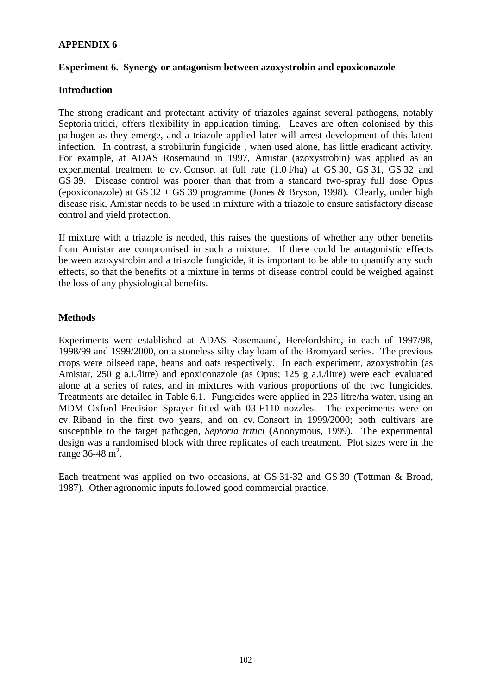# **APPENDIX 6**

### **Experiment 6. Synergy or antagonism between azoxystrobin and epoxiconazole**

### **Introduction**

The strong eradicant and protectant activity of triazoles against several pathogens, notably Septoria tritici, offers flexibility in application timing. Leaves are often colonised by this pathogen as they emerge, and a triazole applied later will arrest development of this latent infection. In contrast, a strobilurin fungicide , when used alone, has little eradicant activity. For example, at ADAS Rosemaund in 1997, Amistar (azoxystrobin) was applied as an experimental treatment to cv. Consort at full rate (1.0 l/ha) at GS 30, GS 31, GS 32 and GS 39. Disease control was poorer than that from a standard two-spray full dose Opus (epoxiconazole) at GS  $32 + GS$  39 programme (Jones & Bryson, 1998). Clearly, under high disease risk, Amistar needs to be used in mixture with a triazole to ensure satisfactory disease control and yield protection.

If mixture with a triazole is needed, this raises the questions of whether any other benefits from Amistar are compromised in such a mixture. If there could be antagonistic effects between azoxystrobin and a triazole fungicide, it is important to be able to quantify any such effects, so that the benefits of a mixture in terms of disease control could be weighed against the loss of any physiological benefits.

# **Methods**

Experiments were established at ADAS Rosemaund, Herefordshire, in each of 1997/98, 1998/99 and 1999/2000, on a stoneless silty clay loam of the Bromyard series. The previous crops were oilseed rape, beans and oats respectively. In each experiment, azoxystrobin (as Amistar, 250 g a.i./litre) and epoxiconazole (as Opus; 125 g a.i./litre) were each evaluated alone at a series of rates, and in mixtures with various proportions of the two fungicides. Treatments are detailed in Table 6.1. Fungicides were applied in 225 litre/ha water, using an MDM Oxford Precision Sprayer fitted with 03-F110 nozzles. The experiments were on cv. Riband in the first two years, and on cv. Consort in 1999/2000; both cultivars are susceptible to the target pathogen, *Septoria tritici* (Anonymous, 1999). The experimental design was a randomised block with three replicates of each treatment. Plot sizes were in the range  $36-48$  m<sup>2</sup>.

Each treatment was applied on two occasions, at GS 31-32 and GS 39 (Tottman & Broad, 1987). Other agronomic inputs followed good commercial practice.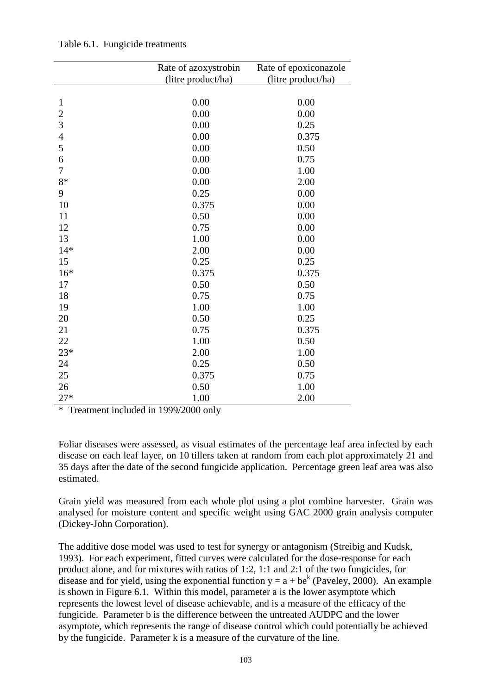|                | Rate of azoxystrobin | Rate of epoxiconazole |
|----------------|----------------------|-----------------------|
|                | (litre product/ha)   | (litre product/ha)    |
|                |                      |                       |
| $\mathbf{1}$   | 0.00                 | 0.00                  |
| $\overline{c}$ | 0.00                 | 0.00                  |
| $\overline{3}$ | 0.00                 | 0.25                  |
| $\overline{4}$ | 0.00                 | 0.375                 |
| 5              | 0.00                 | 0.50                  |
| 6              | 0.00                 | 0.75                  |
| $\overline{7}$ | 0.00                 | 1.00                  |
| 8*             | 0.00                 | 2.00                  |
| 9              | 0.25                 | 0.00                  |
| 10             | 0.375                | 0.00                  |
| 11             | 0.50                 | 0.00                  |
| 12             | 0.75                 | 0.00                  |
| 13             | 1.00                 | 0.00                  |
| $14*$          | 2.00                 | 0.00                  |
| 15             | 0.25                 | 0.25                  |
| $16*$          | 0.375                | 0.375                 |
| 17             | 0.50                 | 0.50                  |
| 18             | 0.75                 | 0.75                  |
| 19             | 1.00                 | 1.00                  |
| 20             | 0.50                 | 0.25                  |
| 21             | 0.75                 | 0.375                 |
| 22             | 1.00                 | 0.50                  |
| $23*$          | 2.00                 | 1.00                  |
| 24             | 0.25                 | 0.50                  |
| 25             | 0.375                | 0.75                  |
| 26             | 0.50                 | 1.00                  |
| $27*$          | 1.00                 | 2.00                  |

Table 6.1. Fungicide treatments

\* Treatment included in 1999/2000 only

Foliar diseases were assessed, as visual estimates of the percentage leaf area infected by each disease on each leaf layer, on 10 tillers taken at random from each plot approximately 21 and 35 days after the date of the second fungicide application. Percentage green leaf area was also estimated.

Grain yield was measured from each whole plot using a plot combine harvester. Grain was analysed for moisture content and specific weight using GAC 2000 grain analysis computer (Dickey-John Corporation).

The additive dose model was used to test for synergy or antagonism (Streibig and Kudsk, 1993). For each experiment, fitted curves were calculated for the dose-response for each product alone, and for mixtures with ratios of 1:2, 1:1 and 2:1 of the two fungicides, for disease and for yield, using the exponential function  $y = a + be^{k}$  (Paveley, 2000). An example is shown in Figure 6.1. Within this model, parameter a is the lower asymptote which represents the lowest level of disease achievable, and is a measure of the efficacy of the fungicide. Parameter b is the difference between the untreated AUDPC and the lower asymptote, which represents the range of disease control which could potentially be achieved by the fungicide. Parameter k is a measure of the curvature of the line.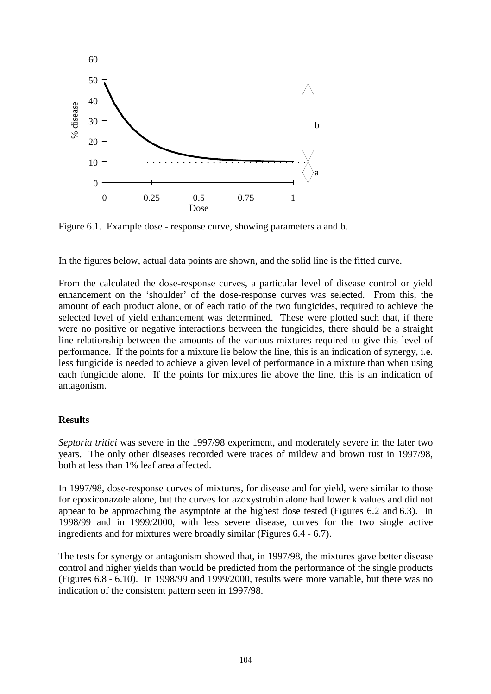

Figure 6.1. Example dose - response curve, showing parameters a and b.

In the figures below, actual data points are shown, and the solid line is the fitted curve.

From the calculated the dose-response curves, a particular level of disease control or yield enhancement on the 'shoulder' of the dose-response curves was selected. From this, the amount of each product alone, or of each ratio of the two fungicides, required to achieve the selected level of yield enhancement was determined. These were plotted such that, if there were no positive or negative interactions between the fungicides, there should be a straight line relationship between the amounts of the various mixtures required to give this level of performance. If the points for a mixture lie below the line, this is an indication of synergy, i.e. less fungicide is needed to achieve a given level of performance in a mixture than when using each fungicide alone. If the points for mixtures lie above the line, this is an indication of antagonism.

# **Results**

*Septoria tritici* was severe in the 1997/98 experiment, and moderately severe in the later two years. The only other diseases recorded were traces of mildew and brown rust in 1997/98, both at less than 1% leaf area affected.

In 1997/98, dose-response curves of mixtures, for disease and for yield, were similar to those for epoxiconazole alone, but the curves for azoxystrobin alone had lower k values and did not appear to be approaching the asymptote at the highest dose tested (Figures 6.2 and 6.3). In 1998/99 and in 1999/2000, with less severe disease, curves for the two single active ingredients and for mixtures were broadly similar (Figures 6.4 - 6.7).

The tests for synergy or antagonism showed that, in 1997/98, the mixtures gave better disease control and higher yields than would be predicted from the performance of the single products (Figures 6.8 - 6.10). In 1998/99 and 1999/2000, results were more variable, but there was no indication of the consistent pattern seen in 1997/98.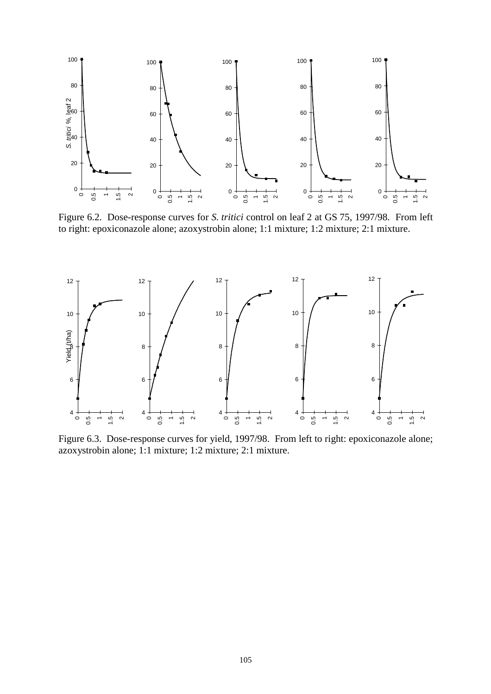

Figure 6.2. Dose-response curves for *S. tritici* control on leaf 2 at GS 75, 1997/98. From left to right: epoxiconazole alone; azoxystrobin alone; 1:1 mixture; 1:2 mixture; 2:1 mixture.



Figure 6.3. Dose-response curves for yield, 1997/98. From left to right: epoxiconazole alone; azoxystrobin alone; 1:1 mixture; 1:2 mixture; 2:1 mixture.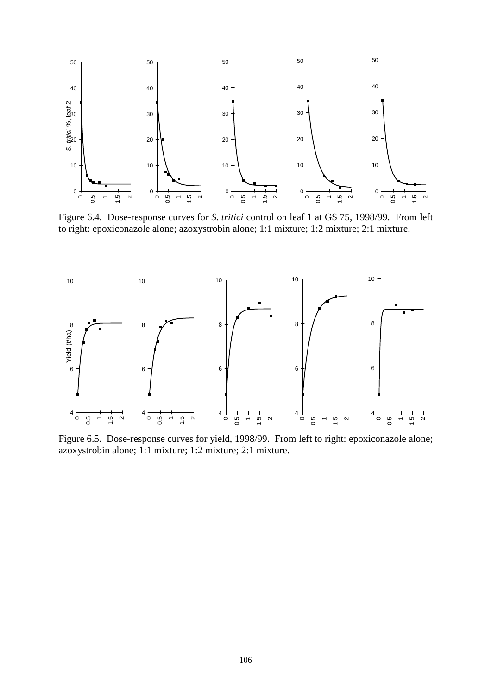

Figure 6.4. Dose-response curves for *S. tritici* control on leaf 1 at GS 75, 1998/99. From left to right: epoxiconazole alone; azoxystrobin alone; 1:1 mixture; 1:2 mixture; 2:1 mixture.



Figure 6.5. Dose-response curves for yield, 1998/99. From left to right: epoxiconazole alone; azoxystrobin alone; 1:1 mixture; 1:2 mixture; 2:1 mixture.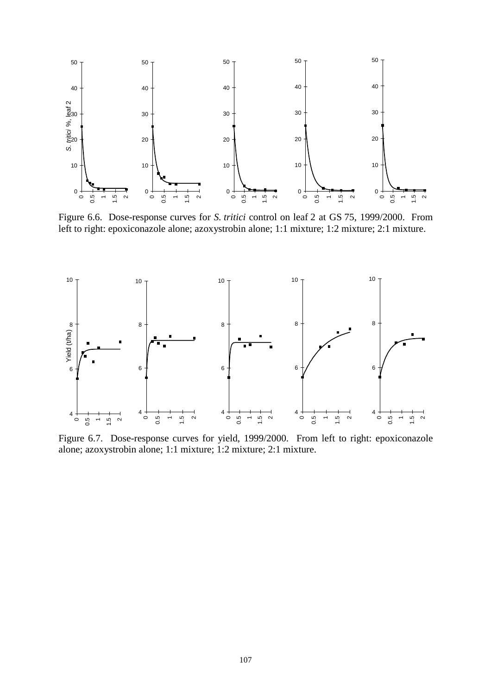

Figure 6.6. Dose-response curves for *S. tritici* control on leaf 2 at GS 75, 1999/2000. From left to right: epoxiconazole alone; azoxystrobin alone; 1:1 mixture; 1:2 mixture; 2:1 mixture.



Figure 6.7. Dose-response curves for yield, 1999/2000. From left to right: epoxiconazole alone; azoxystrobin alone; 1:1 mixture; 1:2 mixture; 2:1 mixture.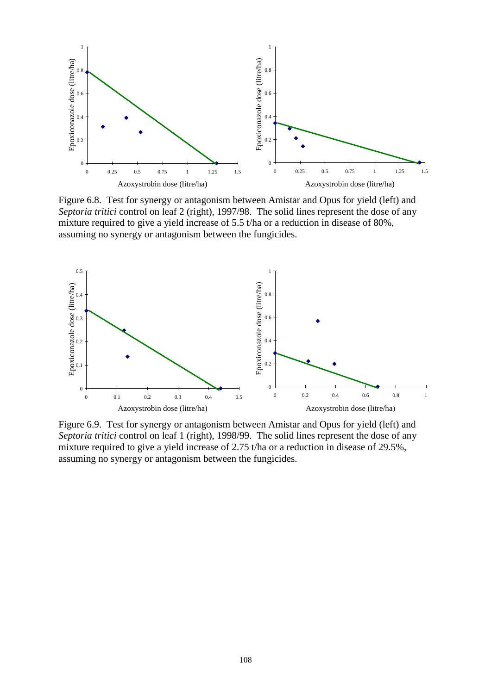

Figure 6.8. Test for synergy or antagonism between Amistar and Opus for yield (left) and *Septoria tritici* control on leaf 2 (right), 1997/98. The solid lines represent the dose of any mixture required to give a yield increase of 5.5 t/ha or a reduction in disease of 80%, assuming no synergy or antagonism between the fungicides.



Figure 6.9. Test for synergy or antagonism between Amistar and Opus for yield (left) and *Septoria tritici* control on leaf 1 (right), 1998/99. The solid lines represent the dose of any mixture required to give a yield increase of 2.75 t/ha or a reduction in disease of 29.5%, assuming no synergy or antagonism between the fungicides.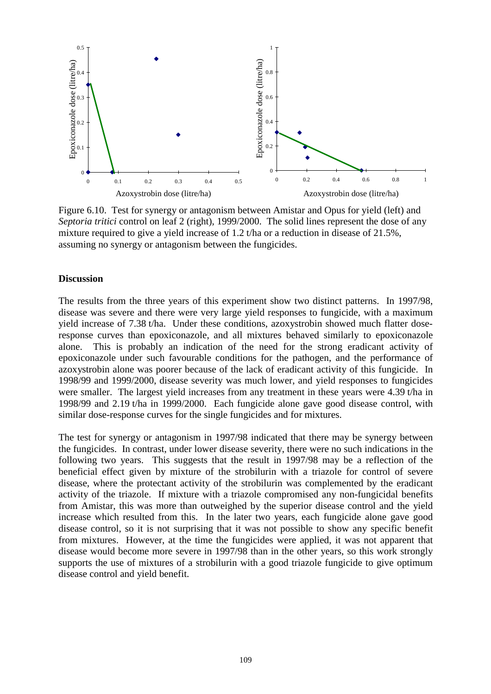

Figure 6.10. Test for synergy or antagonism between Amistar and Opus for yield (left) and *Septoria tritici* control on leaf 2 (right), 1999/2000. The solid lines represent the dose of any mixture required to give a yield increase of 1.2 t/ha or a reduction in disease of 21.5%, assuming no synergy or antagonism between the fungicides.

## **Discussion**

The results from the three years of this experiment show two distinct patterns. In 1997/98, disease was severe and there were very large yield responses to fungicide, with a maximum yield increase of 7.38 t/ha. Under these conditions, azoxystrobin showed much flatter doseresponse curves than epoxiconazole, and all mixtures behaved similarly to epoxiconazole alone. This is probably an indication of the need for the strong eradicant activity of epoxiconazole under such favourable conditions for the pathogen, and the performance of azoxystrobin alone was poorer because of the lack of eradicant activity of this fungicide. In 1998/99 and 1999/2000, disease severity was much lower, and yield responses to fungicides were smaller. The largest yield increases from any treatment in these years were 4.39 t/ha in 1998/99 and 2.19 t/ha in 1999/2000. Each fungicide alone gave good disease control, with similar dose-response curves for the single fungicides and for mixtures.

The test for synergy or antagonism in 1997/98 indicated that there may be synergy between the fungicides. In contrast, under lower disease severity, there were no such indications in the following two years. This suggests that the result in 1997/98 may be a reflection of the beneficial effect given by mixture of the strobilurin with a triazole for control of severe disease, where the protectant activity of the strobilurin was complemented by the eradicant activity of the triazole. If mixture with a triazole compromised any non-fungicidal benefits from Amistar, this was more than outweighed by the superior disease control and the yield increase which resulted from this. In the later two years, each fungicide alone gave good disease control, so it is not surprising that it was not possible to show any specific benefit from mixtures. However, at the time the fungicides were applied, it was not apparent that disease would become more severe in 1997/98 than in the other years, so this work strongly supports the use of mixtures of a strobilurin with a good triazole fungicide to give optimum disease control and yield benefit.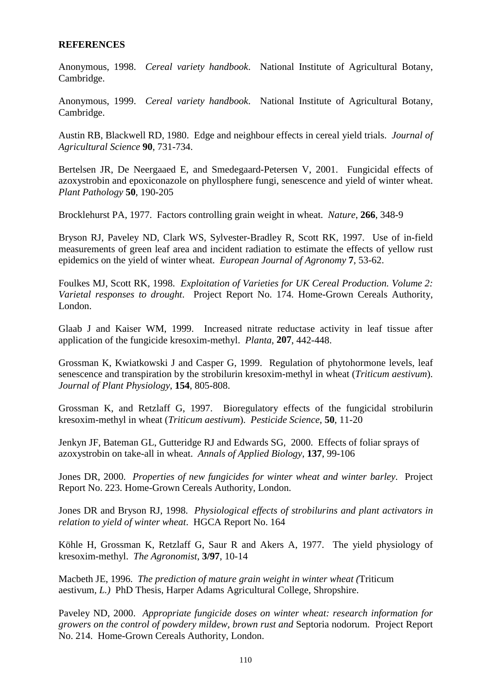## **REFERENCES**

Anonymous, 1998. *Cereal variety handbook*. National Institute of Agricultural Botany, Cambridge.

Anonymous, 1999. *Cereal variety handbook*. National Institute of Agricultural Botany, Cambridge.

Austin RB, Blackwell RD, 1980. Edge and neighbour effects in cereal yield trials. *Journal of Agricultural Science* **90**, 731-734.

Bertelsen JR, De Neergaaed E, and Smedegaard-Petersen V, 2001. Fungicidal effects of azoxystrobin and epoxiconazole on phyllosphere fungi, senescence and yield of winter wheat. *Plant Pathology* **50**, 190-205

Brocklehurst PA, 1977. Factors controlling grain weight in wheat. *Nature*, **266**, 348-9

Bryson RJ, Paveley ND, Clark WS, Sylvester-Bradley R, Scott RK, 1997. Use of in-field measurements of green leaf area and incident radiation to estimate the effects of yellow rust epidemics on the yield of winter wheat. *European Journal of Agronomy* **7**, 53-62.

Foulkes MJ, Scott RK, 1998. *Exploitation of Varieties for UK Cereal Production. Volume 2: Varietal responses to drought*. Project Report No. 174. Home-Grown Cereals Authority, London.

Glaab J and Kaiser WM, 1999. Increased nitrate reductase activity in leaf tissue after application of the fungicide kresoxim-methyl. *Planta*, **207**, 442-448.

Grossman K, Kwiatkowski J and Casper G, 1999. Regulation of phytohormone levels, leaf senescence and transpiration by the strobilurin kresoxim-methyl in wheat (*Triticum aestivum*). *Journal of Plant Physiology*, **154**, 805-808.

Grossman K, and Retzlaff G, 1997. Bioregulatory effects of the fungicidal strobilurin kresoxim-methyl in wheat (*Triticum aestivum*). *Pesticide Science*, **50**, 11-20

Jenkyn JF, Bateman GL, Gutteridge RJ and Edwards SG, 2000. Effects of foliar sprays of azoxystrobin on take-all in wheat. *Annals of Applied Biology*, **137**, 99-106

Jones DR, 2000. *Properties of new fungicides for winter wheat and winter barley*. Project Report No. 223. Home-Grown Cereals Authority, London.

Jones DR and Bryson RJ, 1998. *Physiological effects of strobilurins and plant activators in relation to yield of winter wheat*. HGCA Report No. 164

Köhle H, Grossman K, Retzlaff G, Saur R and Akers A, 1977. The yield physiology of kresoxim-methyl. *The Agronomist*, **3/97**, 10-14

Macbeth JE, 1996. *The prediction of mature grain weight in winter wheat (*Triticum aestivum*, L.)* PhD Thesis, Harper Adams Agricultural College, Shropshire.

Paveley ND, 2000. *Appropriate fungicide doses on winter wheat: research information for growers on the control of powdery mildew, brown rust and* Septoria nodorum. Project Report No. 214. Home-Grown Cereals Authority, London.